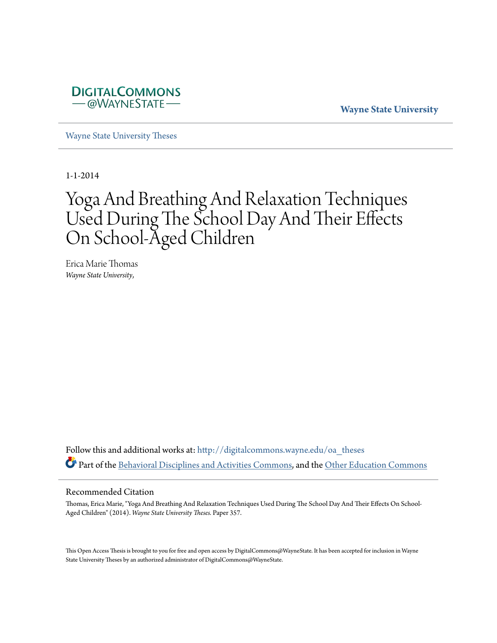

**Wayne State University**

[Wayne State University Theses](http://digitalcommons.wayne.edu/oa_theses?utm_source=digitalcommons.wayne.edu%2Foa_theses%2F357&utm_medium=PDF&utm_campaign=PDFCoverPages)

1-1-2014

# Yoga And Breathing And Relaxation Techniques Used During The School Day And Their Effects On School-Aged Children

Erica Marie Thomas *Wayne State University*,

Follow this and additional works at: [http://digitalcommons.wayne.edu/oa\\_theses](http://digitalcommons.wayne.edu/oa_theses?utm_source=digitalcommons.wayne.edu%2Foa_theses%2F357&utm_medium=PDF&utm_campaign=PDFCoverPages) Part of the [Behavioral Disciplines and Activities Commons,](http://network.bepress.com/hgg/discipline/980?utm_source=digitalcommons.wayne.edu%2Foa_theses%2F357&utm_medium=PDF&utm_campaign=PDFCoverPages) and the [Other Education Commons](http://network.bepress.com/hgg/discipline/811?utm_source=digitalcommons.wayne.edu%2Foa_theses%2F357&utm_medium=PDF&utm_campaign=PDFCoverPages)

#### Recommended Citation

Thomas, Erica Marie, "Yoga And Breathing And Relaxation Techniques Used During The School Day And Their Effects On School-Aged Children" (2014). *Wayne State University Theses.* Paper 357.

This Open Access Thesis is brought to you for free and open access by DigitalCommons@WayneState. It has been accepted for inclusion in Wayne State University Theses by an authorized administrator of DigitalCommons@WayneState.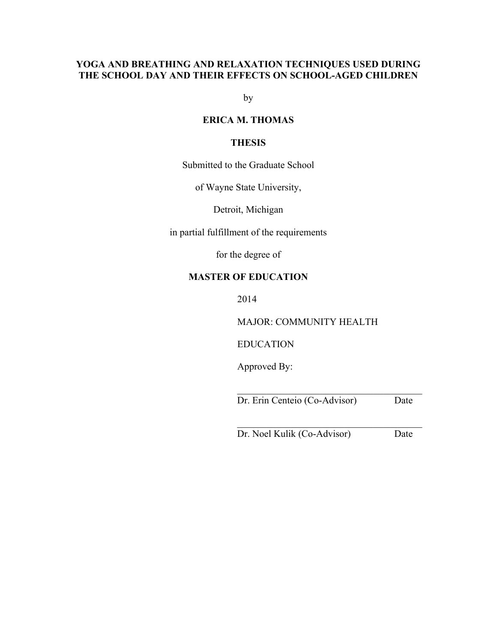## **YOGA AND BREATHING AND RELAXATION TECHNIQUES USED DURING THE SCHOOL DAY AND THEIR EFFECTS ON SCHOOL-AGED CHILDREN**

by

## **ERICA M. THOMAS**

## **THESIS**

Submitted to the Graduate School

of Wayne State University,

Detroit, Michigan

in partial fulfillment of the requirements

for the degree of

## **MASTER OF EDUCATION**

2014

MAJOR: COMMUNITY HEALTH

EDUCATION

Approved By:

Dr. Erin Centeio (Co-Advisor) Date

 $\mathcal{L}_\text{max}$  and  $\mathcal{L}_\text{max}$  and  $\mathcal{L}_\text{max}$  and  $\mathcal{L}_\text{max}$ 

 $\mathcal{L}_\text{max}$  and  $\mathcal{L}_\text{max}$  and  $\mathcal{L}_\text{max}$  and  $\mathcal{L}_\text{max}$ Dr. Noel Kulik (Co-Advisor) Date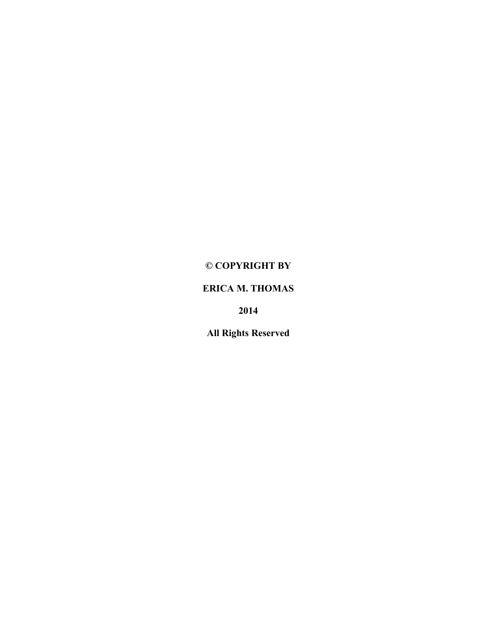# **© COPYRIGHT BY**

# **ERICA M. THOMAS**

**2014**

**All Rights Reserved**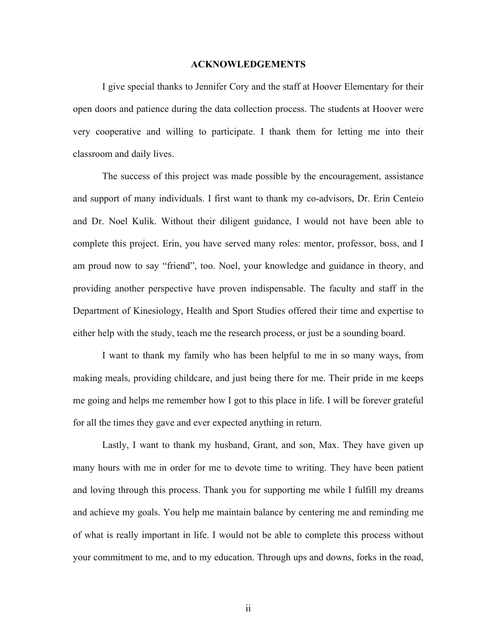#### **ACKNOWLEDGEMENTS**

I give special thanks to Jennifer Cory and the staff at Hoover Elementary for their open doors and patience during the data collection process. The students at Hoover were very cooperative and willing to participate. I thank them for letting me into their classroom and daily lives.

The success of this project was made possible by the encouragement, assistance and support of many individuals. I first want to thank my co-advisors, Dr. Erin Centeio and Dr. Noel Kulik. Without their diligent guidance, I would not have been able to complete this project. Erin, you have served many roles: mentor, professor, boss, and I am proud now to say "friend", too. Noel, your knowledge and guidance in theory, and providing another perspective have proven indispensable. The faculty and staff in the Department of Kinesiology, Health and Sport Studies offered their time and expertise to either help with the study, teach me the research process, or just be a sounding board.

I want to thank my family who has been helpful to me in so many ways, from making meals, providing childcare, and just being there for me. Their pride in me keeps me going and helps me remember how I got to this place in life. I will be forever grateful for all the times they gave and ever expected anything in return.

Lastly, I want to thank my husband, Grant, and son, Max. They have given up many hours with me in order for me to devote time to writing. They have been patient and loving through this process. Thank you for supporting me while I fulfill my dreams and achieve my goals. You help me maintain balance by centering me and reminding me of what is really important in life. I would not be able to complete this process without your commitment to me, and to my education. Through ups and downs, forks in the road,

ii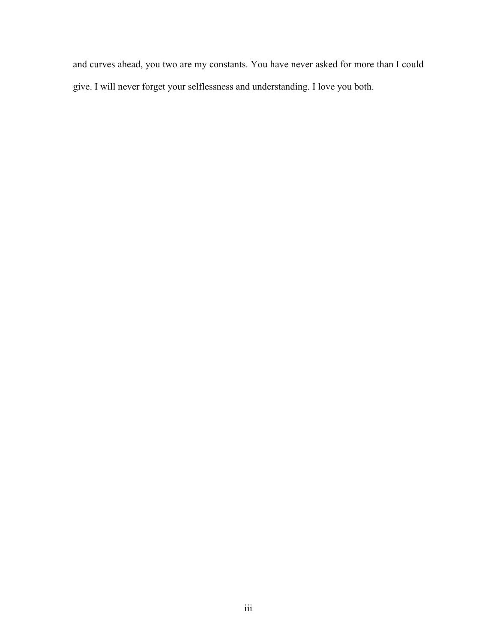and curves ahead, you two are my constants. You have never asked for more than I could give. I will never forget your selflessness and understanding. I love you both.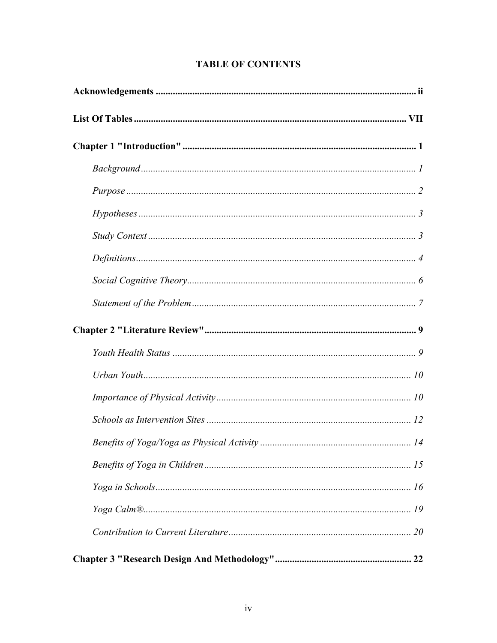# **TABLE OF CONTENTS**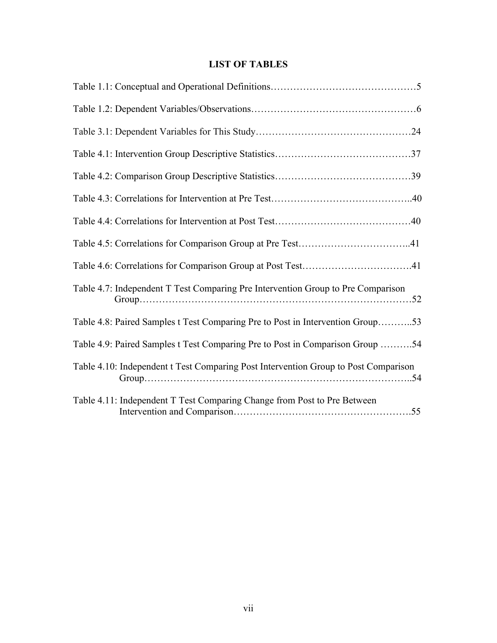# **LIST OF TABLES**

| Table 4.7: Independent T Test Comparing Pre Intervention Group to Pre Comparison    |
|-------------------------------------------------------------------------------------|
| Table 4.8: Paired Samples t Test Comparing Pre to Post in Intervention Group53      |
| Table 4.9: Paired Samples t Test Comparing Pre to Post in Comparison Group 54       |
| Table 4.10: Independent t Test Comparing Post Intervention Group to Post Comparison |
| Table 4.11: Independent T Test Comparing Change from Post to Pre Between            |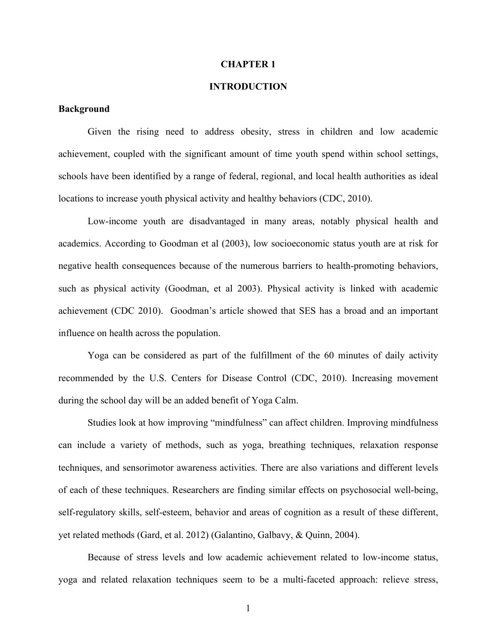#### **CHAPTER 1**

## **INTRODUCTION**

## **Background**

Given the rising need to address obesity, stress in children and low academic achievement, coupled with the significant amount of time youth spend within school settings, schools have been identified by a range of federal, regional, and local health authorities as ideal locations to increase youth physical activity and healthy behaviors (CDC, 2010).

Low-income youth are disadvantaged in many areas, notably physical health and academics. According to Goodman et al (2003), low socioeconomic status youth are at risk for negative health consequences because of the numerous barriers to health-promoting behaviors, such as physical activity (Goodman, et al 2003). Physical activity is linked with academic achievement (CDC 2010). Goodman's article showed that SES has a broad and an important influence on health across the population.

Yoga can be considered as part of the fulfillment of the 60 minutes of daily activity recommended by the U.S. Centers for Disease Control (CDC, 2010). Increasing movement during the school day will be an added benefit of Yoga Calm.

Studies look at how improving "mindfulness" can affect children. Improving mindfulness can include a variety of methods, such as yoga, breathing techniques, relaxation response techniques, and sensorimotor awareness activities. There are also variations and different levels of each of these techniques. Researchers are finding similar effects on psychosocial well-being, self-regulatory skills, self-esteem, behavior and areas of cognition as a result of these different, yet related methods (Gard, et al. 2012) (Galantino, Galbavy, & Quinn, 2004).

Because of stress levels and low academic achievement related to low-income status, yoga and related relaxation techniques seem to be a multi-faceted approach: relieve stress,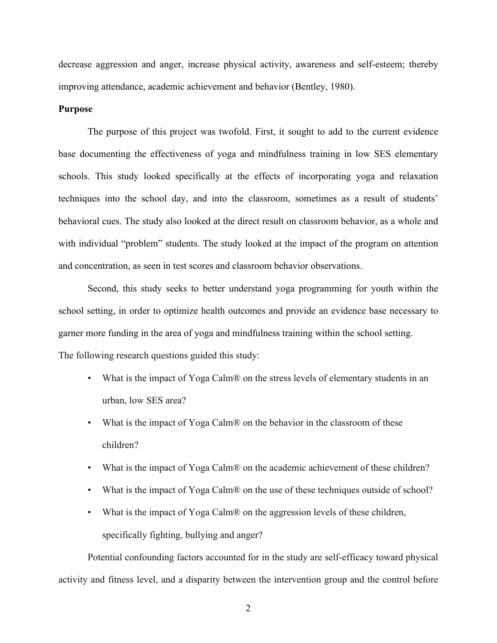decrease aggression and anger, increase physical activity, awareness and self-esteem; thereby improving attendance, academic achievement and behavior (Bentley, 1980).

## **Purpose**

The purpose of this project was twofold. First, it sought to add to the current evidence base documenting the effectiveness of yoga and mindfulness training in low SES elementary schools. This study looked specifically at the effects of incorporating yoga and relaxation techniques into the school day, and into the classroom, sometimes as a result of students' behavioral cues. The study also looked at the direct result on classroom behavior, as a whole and with individual "problem" students. The study looked at the impact of the program on attention and concentration, as seen in test scores and classroom behavior observations.

Second, this study seeks to better understand yoga programming for youth within the school setting, in order to optimize health outcomes and provide an evidence base necessary to garner more funding in the area of yoga and mindfulness training within the school setting. The following research questions guided this study:

- What is the impact of Yoga Calm<sup>®</sup> on the stress levels of elementary students in an urban, low SES area?
- What is the impact of Yoga Calm<sup>®</sup> on the behavior in the classroom of these children?
- What is the impact of Yoga Calm<sup>®</sup> on the academic achievement of these children?
- What is the impact of Yoga Calm<sup>®</sup> on the use of these techniques outside of school?
- What is the impact of Yoga Calm<sup>®</sup> on the aggression levels of these children, specifically fighting, bullying and anger?

Potential confounding factors accounted for in the study are self-efficacy toward physical activity and fitness level, and a disparity between the intervention group and the control before

2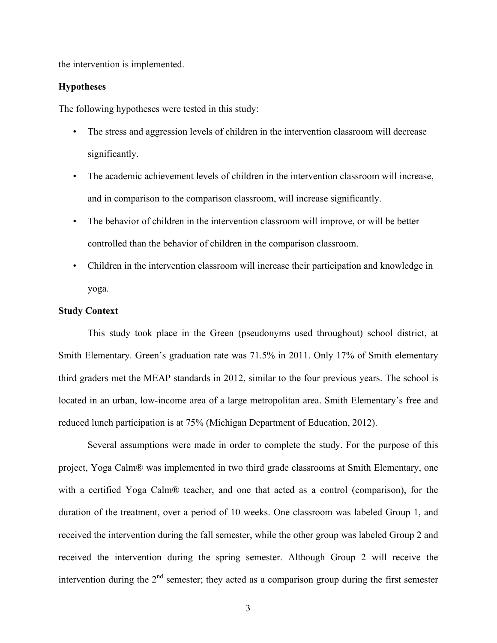the intervention is implemented.

## **Hypotheses**

The following hypotheses were tested in this study:

- The stress and aggression levels of children in the intervention classroom will decrease significantly.
- The academic achievement levels of children in the intervention classroom will increase, and in comparison to the comparison classroom, will increase significantly.
- The behavior of children in the intervention classroom will improve, or will be better controlled than the behavior of children in the comparison classroom.
- Children in the intervention classroom will increase their participation and knowledge in yoga.

## **Study Context**

This study took place in the Green (pseudonyms used throughout) school district, at Smith Elementary. Green's graduation rate was 71.5% in 2011. Only 17% of Smith elementary third graders met the MEAP standards in 2012, similar to the four previous years. The school is located in an urban, low-income area of a large metropolitan area. Smith Elementary's free and reduced lunch participation is at 75% (Michigan Department of Education, 2012).

Several assumptions were made in order to complete the study. For the purpose of this project, Yoga Calm® was implemented in two third grade classrooms at Smith Elementary, one with a certified Yoga Calm® teacher, and one that acted as a control (comparison), for the duration of the treatment, over a period of 10 weeks. One classroom was labeled Group 1, and received the intervention during the fall semester, while the other group was labeled Group 2 and received the intervention during the spring semester. Although Group 2 will receive the intervention during the 2<sup>nd</sup> semester; they acted as a comparison group during the first semester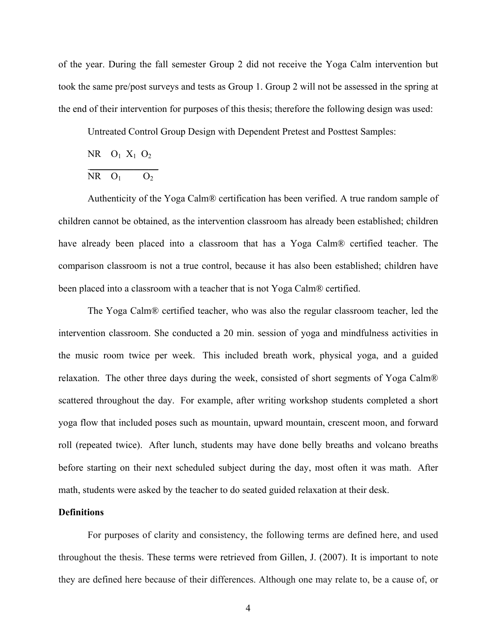of the year. During the fall semester Group 2 did not receive the Yoga Calm intervention but took the same pre/post surveys and tests as Group 1. Group 2 will not be assessed in the spring at the end of their intervention for purposes of this thesis; therefore the following design was used:

Untreated Control Group Design with Dependent Pretest and Posttest Samples:

 $NR$   $O_1$   $X_1$   $O_2$  $\frac{1}{2}$ 

$$
NR \quad O_1 \qquad O_2
$$

Authenticity of the Yoga Calm® certification has been verified. A true random sample of children cannot be obtained, as the intervention classroom has already been established; children have already been placed into a classroom that has a Yoga Calm® certified teacher. The comparison classroom is not a true control, because it has also been established; children have been placed into a classroom with a teacher that is not Yoga Calm® certified.

The Yoga Calm® certified teacher, who was also the regular classroom teacher, led the intervention classroom. She conducted a 20 min. session of yoga and mindfulness activities in the music room twice per week. This included breath work, physical yoga, and a guided relaxation. The other three days during the week, consisted of short segments of Yoga Calm® scattered throughout the day. For example, after writing workshop students completed a short yoga flow that included poses such as mountain, upward mountain, crescent moon, and forward roll (repeated twice). After lunch, students may have done belly breaths and volcano breaths before starting on their next scheduled subject during the day, most often it was math. After math, students were asked by the teacher to do seated guided relaxation at their desk.

## **Definitions**

For purposes of clarity and consistency, the following terms are defined here, and used throughout the thesis. These terms were retrieved from Gillen, J. (2007). It is important to note they are defined here because of their differences. Although one may relate to, be a cause of, or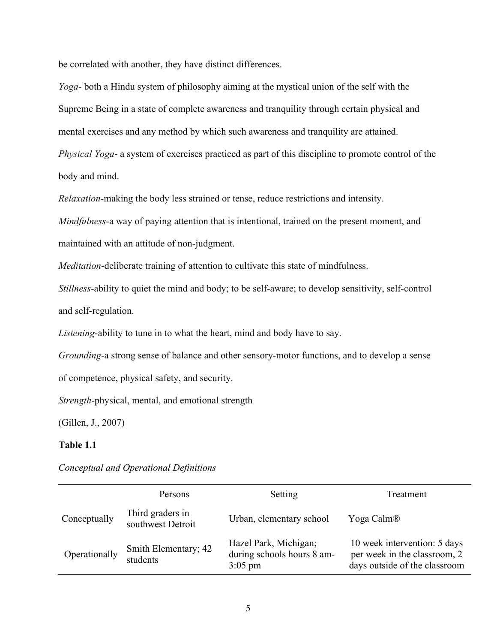be correlated with another, they have distinct differences.

*Yoga-* both a Hindu system of philosophy aiming at the mystical union of the self with the Supreme Being in a state of complete awareness and tranquility through certain physical and mental exercises and any method by which such awareness and tranquility are attained. *Physical Yoga*- a system of exercises practiced as part of this discipline to promote control of the body and mind.

*Relaxation-*making the body less strained or tense, reduce restrictions and intensity.

*Mindfulness*-a way of paying attention that is intentional, trained on the present moment, and maintained with an attitude of non-judgment.

*Meditation*-deliberate training of attention to cultivate this state of mindfulness.

*Stillness*-ability to quiet the mind and body; to be self-aware; to develop sensitivity, self-control and self-regulation.

*Listening*-ability to tune in to what the heart, mind and body have to say.

*Grounding*-a strong sense of balance and other sensory-motor functions, and to develop a sense

of competence, physical safety, and security.

*Strength*-physical, mental, and emotional strength

(Gillen, J., 2007)

## **Table 1.1**

|               | Persons                               | Setting                                                          | Treatment                                                                                     |
|---------------|---------------------------------------|------------------------------------------------------------------|-----------------------------------------------------------------------------------------------|
| Conceptually  | Third graders in<br>southwest Detroit | Urban, elementary school                                         | Yoga Calm <sup>®</sup>                                                                        |
| Operationally | Smith Elementary; 42<br>students      | Hazel Park, Michigan;<br>during schools hours 8 am-<br>$3:05$ pm | 10 week intervention: 5 days<br>per week in the classroom, 2<br>days outside of the classroom |

*Conceptual and Operational Definitions*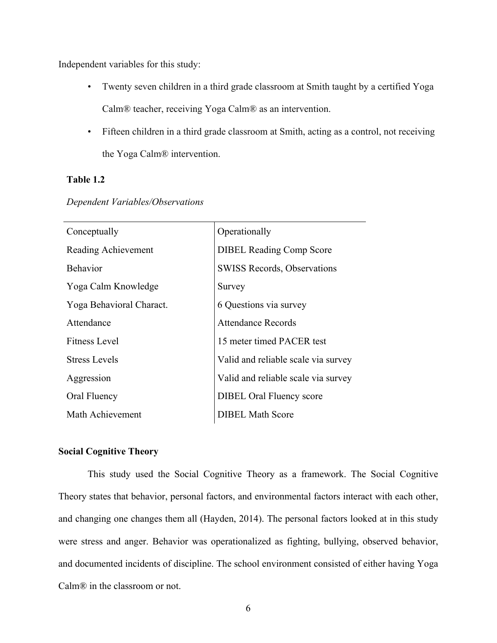Independent variables for this study:

- Twenty seven children in a third grade classroom at Smith taught by a certified Yoga Calm® teacher, receiving Yoga Calm® as an intervention.
- Fifteen children in a third grade classroom at Smith, acting as a control, not receiving the Yoga Calm® intervention.

## **Table 1.2**

| Conceptually             | Operationally                       |
|--------------------------|-------------------------------------|
| Reading Achievement      | <b>DIBEL Reading Comp Score</b>     |
| <b>Behavior</b>          | SWISS Records, Observations         |
| Yoga Calm Knowledge      | Survey                              |
| Yoga Behavioral Charact. | 6 Questions via survey              |
| Attendance               | <b>Attendance Records</b>           |
| <b>Fitness Level</b>     | 15 meter timed PACER test           |
| <b>Stress Levels</b>     | Valid and reliable scale via survey |
| Aggression               | Valid and reliable scale via survey |
| Oral Fluency             | <b>DIBEL Oral Fluency score</b>     |
| Math Achievement         | <b>DIBEL Math Score</b>             |

## *Dependent Variables/Observations*

## **Social Cognitive Theory**

This study used the Social Cognitive Theory as a framework. The Social Cognitive Theory states that behavior, personal factors, and environmental factors interact with each other, and changing one changes them all (Hayden, 2014). The personal factors looked at in this study were stress and anger. Behavior was operationalized as fighting, bullying, observed behavior, and documented incidents of discipline. The school environment consisted of either having Yoga Calm® in the classroom or not.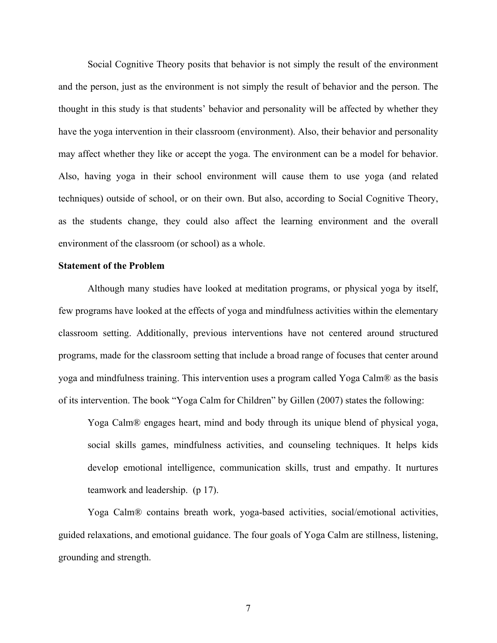Social Cognitive Theory posits that behavior is not simply the result of the environment and the person, just as the environment is not simply the result of behavior and the person. The thought in this study is that students' behavior and personality will be affected by whether they have the yoga intervention in their classroom (environment). Also, their behavior and personality may affect whether they like or accept the yoga. The environment can be a model for behavior. Also, having yoga in their school environment will cause them to use yoga (and related techniques) outside of school, or on their own. But also, according to Social Cognitive Theory, as the students change, they could also affect the learning environment and the overall environment of the classroom (or school) as a whole.

## **Statement of the Problem**

Although many studies have looked at meditation programs, or physical yoga by itself, few programs have looked at the effects of yoga and mindfulness activities within the elementary classroom setting. Additionally, previous interventions have not centered around structured programs, made for the classroom setting that include a broad range of focuses that center around yoga and mindfulness training. This intervention uses a program called Yoga Calm® as the basis of its intervention. The book "Yoga Calm for Children" by Gillen (2007) states the following:

Yoga Calm® engages heart, mind and body through its unique blend of physical yoga, social skills games, mindfulness activities, and counseling techniques. It helps kids develop emotional intelligence, communication skills, trust and empathy. It nurtures teamwork and leadership. (p 17).

Yoga Calm® contains breath work, yoga-based activities, social/emotional activities, guided relaxations, and emotional guidance. The four goals of Yoga Calm are stillness, listening, grounding and strength.

7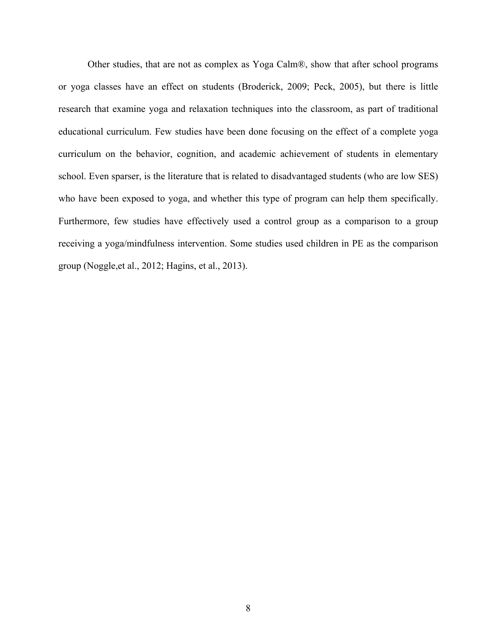Other studies, that are not as complex as Yoga Calm®, show that after school programs or yoga classes have an effect on students (Broderick, 2009; Peck, 2005), but there is little research that examine yoga and relaxation techniques into the classroom, as part of traditional educational curriculum. Few studies have been done focusing on the effect of a complete yoga curriculum on the behavior, cognition, and academic achievement of students in elementary school. Even sparser, is the literature that is related to disadvantaged students (who are low SES) who have been exposed to yoga, and whether this type of program can help them specifically. Furthermore, few studies have effectively used a control group as a comparison to a group receiving a yoga/mindfulness intervention. Some studies used children in PE as the comparison group (Noggle,et al., 2012; Hagins, et al., 2013).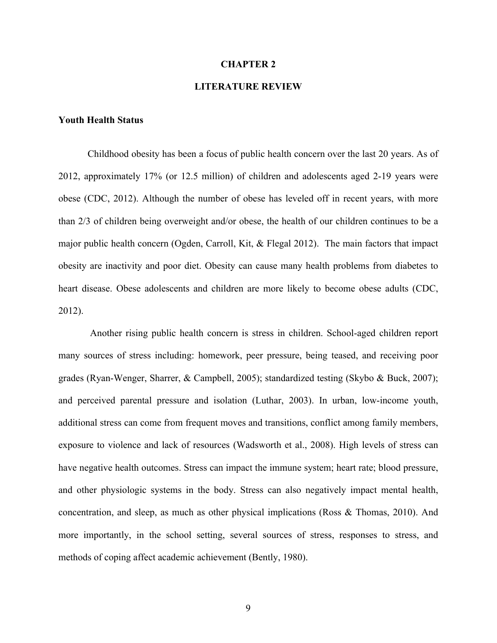#### **CHAPTER 2**

## **LITERATURE REVIEW**

## **Youth Health Status**

Childhood obesity has been a focus of public health concern over the last 20 years. As of 2012, approximately 17% (or 12.5 million) of children and adolescents aged 2-19 years were obese (CDC, 2012). Although the number of obese has leveled off in recent years, with more than 2/3 of children being overweight and/or obese, the health of our children continues to be a major public health concern (Ogden, Carroll, Kit, & Flegal 2012). The main factors that impact obesity are inactivity and poor diet. Obesity can cause many health problems from diabetes to heart disease. Obese adolescents and children are more likely to become obese adults (CDC, 2012).

Another rising public health concern is stress in children. School-aged children report many sources of stress including: homework, peer pressure, being teased, and receiving poor grades (Ryan-Wenger, Sharrer, & Campbell, 2005); standardized testing (Skybo & Buck, 2007); and perceived parental pressure and isolation (Luthar, 2003). In urban, low-income youth, additional stress can come from frequent moves and transitions, conflict among family members, exposure to violence and lack of resources (Wadsworth et al., 2008). High levels of stress can have negative health outcomes. Stress can impact the immune system; heart rate; blood pressure, and other physiologic systems in the body. Stress can also negatively impact mental health, concentration, and sleep, as much as other physical implications (Ross & Thomas, 2010). And more importantly, in the school setting, several sources of stress, responses to stress, and methods of coping affect academic achievement (Bently, 1980).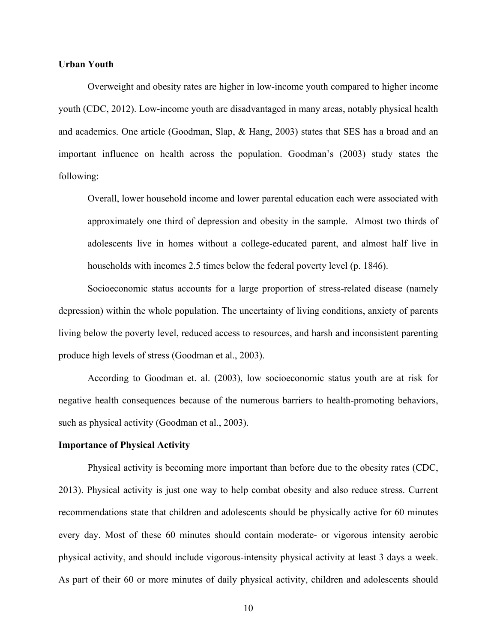#### **Urban Youth**

Overweight and obesity rates are higher in low-income youth compared to higher income youth (CDC, 2012). Low-income youth are disadvantaged in many areas, notably physical health and academics. One article (Goodman, Slap, & Hang, 2003) states that SES has a broad and an important influence on health across the population. Goodman's (2003) study states the following:

Overall, lower household income and lower parental education each were associated with approximately one third of depression and obesity in the sample. Almost two thirds of adolescents live in homes without a college-educated parent, and almost half live in households with incomes 2.5 times below the federal poverty level (p. 1846).

Socioeconomic status accounts for a large proportion of stress-related disease (namely depression) within the whole population. The uncertainty of living conditions, anxiety of parents living below the poverty level, reduced access to resources, and harsh and inconsistent parenting produce high levels of stress (Goodman et al., 2003).

According to Goodman et. al. (2003), low socioeconomic status youth are at risk for negative health consequences because of the numerous barriers to health-promoting behaviors, such as physical activity (Goodman et al., 2003).

## **Importance of Physical Activity**

Physical activity is becoming more important than before due to the obesity rates (CDC, 2013). Physical activity is just one way to help combat obesity and also reduce stress. Current recommendations state that children and adolescents should be physically active for 60 minutes every day. Most of these 60 minutes should contain moderate- or vigorous intensity aerobic physical activity, and should include vigorous-intensity physical activity at least 3 days a week. As part of their 60 or more minutes of daily physical activity, children and adolescents should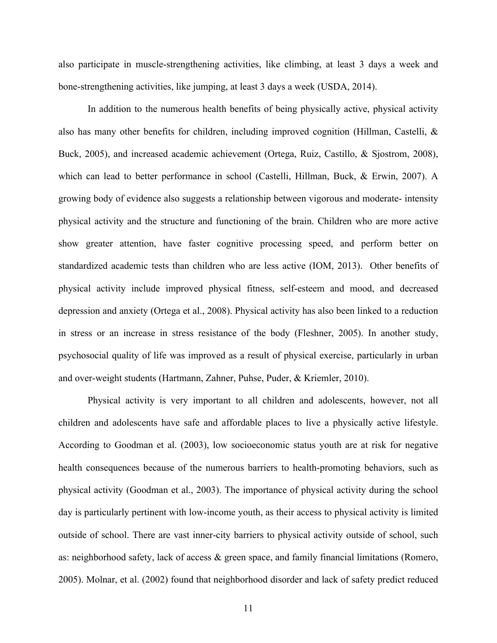also participate in muscle-strengthening activities, like climbing, at least 3 days a week and bone-strengthening activities, like jumping, at least 3 days a week (USDA, 2014).

In addition to the numerous health benefits of being physically active, physical activity also has many other benefits for children, including improved cognition (Hillman, Castelli, & Buck, 2005), and increased academic achievement (Ortega, Ruiz, Castillo, & Sjostrom, 2008), which can lead to better performance in school (Castelli, Hillman, Buck, & Erwin, 2007). A growing body of evidence also suggests a relationship between vigorous and moderate- intensity physical activity and the structure and functioning of the brain. Children who are more active show greater attention, have faster cognitive processing speed, and perform better on standardized academic tests than children who are less active (IOM, 2013). Other benefits of physical activity include improved physical fitness, self-esteem and mood, and decreased depression and anxiety (Ortega et al., 2008). Physical activity has also been linked to a reduction in stress or an increase in stress resistance of the body (Fleshner, 2005). In another study, psychosocial quality of life was improved as a result of physical exercise, particularly in urban and over-weight students (Hartmann, Zahner, Puhse, Puder, & Kriemler, 2010).

Physical activity is very important to all children and adolescents, however, not all children and adolescents have safe and affordable places to live a physically active lifestyle. According to Goodman et al. (2003), low socioeconomic status youth are at risk for negative health consequences because of the numerous barriers to health-promoting behaviors, such as physical activity (Goodman et al., 2003). The importance of physical activity during the school day is particularly pertinent with low-income youth, as their access to physical activity is limited outside of school. There are vast inner-city barriers to physical activity outside of school, such as: neighborhood safety, lack of access & green space, and family financial limitations (Romero, 2005). Molnar, et al. (2002) found that neighborhood disorder and lack of safety predict reduced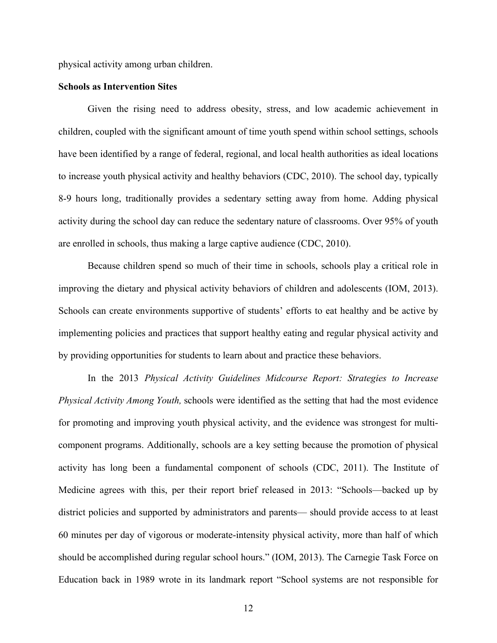physical activity among urban children.

#### **Schools as Intervention Sites**

Given the rising need to address obesity, stress, and low academic achievement in children, coupled with the significant amount of time youth spend within school settings, schools have been identified by a range of federal, regional, and local health authorities as ideal locations to increase youth physical activity and healthy behaviors (CDC, 2010). The school day, typically 8-9 hours long, traditionally provides a sedentary setting away from home. Adding physical activity during the school day can reduce the sedentary nature of classrooms. Over 95% of youth are enrolled in schools, thus making a large captive audience (CDC, 2010).

Because children spend so much of their time in schools, schools play a critical role in improving the dietary and physical activity behaviors of children and adolescents (IOM, 2013). Schools can create environments supportive of students' efforts to eat healthy and be active by implementing policies and practices that support healthy eating and regular physical activity and by providing opportunities for students to learn about and practice these behaviors.

In the 2013 *Physical Activity Guidelines Midcourse Report: Strategies to Increase Physical Activity Among Youth,* schools were identified as the setting that had the most evidence for promoting and improving youth physical activity, and the evidence was strongest for multicomponent programs. Additionally, schools are a key setting because the promotion of physical activity has long been a fundamental component of schools (CDC, 2011). The Institute of Medicine agrees with this, per their report brief released in 2013: "Schools—backed up by district policies and supported by administrators and parents— should provide access to at least 60 minutes per day of vigorous or moderate-intensity physical activity, more than half of which should be accomplished during regular school hours." (IOM, 2013). The Carnegie Task Force on Education back in 1989 wrote in its landmark report "School systems are not responsible for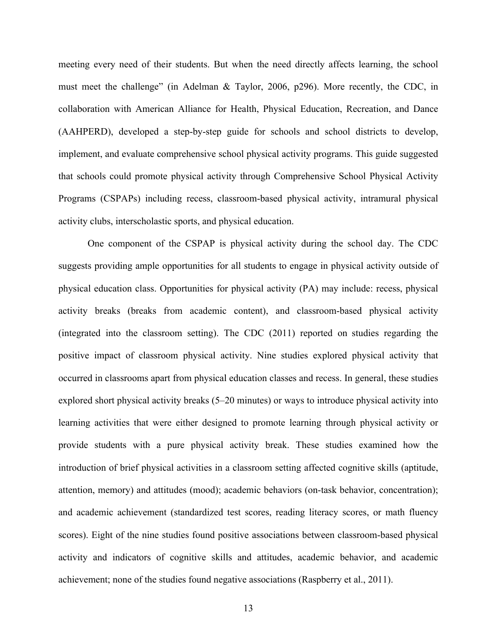meeting every need of their students. But when the need directly affects learning, the school must meet the challenge" (in Adelman & Taylor, 2006, p296). More recently, the CDC, in collaboration with American Alliance for Health, Physical Education, Recreation, and Dance (AAHPERD), developed a step-by-step guide for schools and school districts to develop, implement, and evaluate comprehensive school physical activity programs. This guide suggested that schools could promote physical activity through Comprehensive School Physical Activity Programs (CSPAPs) including recess, classroom-based physical activity, intramural physical activity clubs, interscholastic sports, and physical education.

One component of the CSPAP is physical activity during the school day. The CDC suggests providing ample opportunities for all students to engage in physical activity outside of physical education class. Opportunities for physical activity (PA) may include: recess, physical activity breaks (breaks from academic content), and classroom-based physical activity (integrated into the classroom setting). The CDC (2011) reported on studies regarding the positive impact of classroom physical activity. Nine studies explored physical activity that occurred in classrooms apart from physical education classes and recess. In general, these studies explored short physical activity breaks (5–20 minutes) or ways to introduce physical activity into learning activities that were either designed to promote learning through physical activity or provide students with a pure physical activity break. These studies examined how the introduction of brief physical activities in a classroom setting affected cognitive skills (aptitude, attention, memory) and attitudes (mood); academic behaviors (on-task behavior, concentration); and academic achievement (standardized test scores, reading literacy scores, or math fluency scores). Eight of the nine studies found positive associations between classroom-based physical activity and indicators of cognitive skills and attitudes, academic behavior, and academic achievement; none of the studies found negative associations (Raspberry et al., 2011).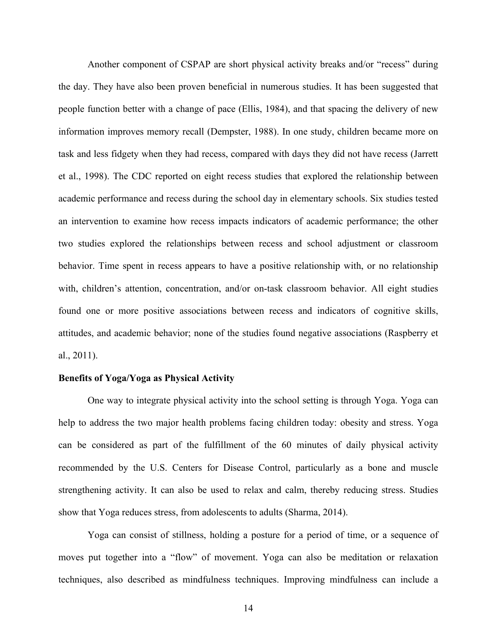Another component of CSPAP are short physical activity breaks and/or "recess" during the day. They have also been proven beneficial in numerous studies. It has been suggested that people function better with a change of pace (Ellis, 1984), and that spacing the delivery of new information improves memory recall (Dempster, 1988). In one study, children became more on task and less fidgety when they had recess, compared with days they did not have recess (Jarrett et al., 1998). The CDC reported on eight recess studies that explored the relationship between academic performance and recess during the school day in elementary schools. Six studies tested an intervention to examine how recess impacts indicators of academic performance; the other two studies explored the relationships between recess and school adjustment or classroom behavior. Time spent in recess appears to have a positive relationship with, or no relationship with, children's attention, concentration, and/or on-task classroom behavior. All eight studies found one or more positive associations between recess and indicators of cognitive skills, attitudes, and academic behavior; none of the studies found negative associations (Raspberry et al., 2011).

## **Benefits of Yoga/Yoga as Physical Activity**

One way to integrate physical activity into the school setting is through Yoga. Yoga can help to address the two major health problems facing children today: obesity and stress. Yoga can be considered as part of the fulfillment of the 60 minutes of daily physical activity recommended by the U.S. Centers for Disease Control, particularly as a bone and muscle strengthening activity. It can also be used to relax and calm, thereby reducing stress. Studies show that Yoga reduces stress, from adolescents to adults (Sharma, 2014).

Yoga can consist of stillness, holding a posture for a period of time, or a sequence of moves put together into a "flow" of movement. Yoga can also be meditation or relaxation techniques, also described as mindfulness techniques. Improving mindfulness can include a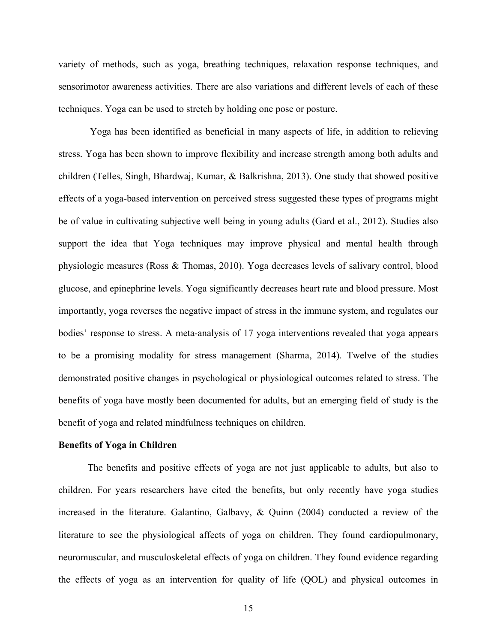variety of methods, such as yoga, breathing techniques, relaxation response techniques, and sensorimotor awareness activities. There are also variations and different levels of each of these techniques. Yoga can be used to stretch by holding one pose or posture.

Yoga has been identified as beneficial in many aspects of life, in addition to relieving stress. Yoga has been shown to improve flexibility and increase strength among both adults and children (Telles, Singh, Bhardwaj, Kumar, & Balkrishna, 2013). One study that showed positive effects of a yoga-based intervention on perceived stress suggested these types of programs might be of value in cultivating subjective well being in young adults (Gard et al., 2012). Studies also support the idea that Yoga techniques may improve physical and mental health through physiologic measures (Ross & Thomas, 2010). Yoga decreases levels of salivary control, blood glucose, and epinephrine levels. Yoga significantly decreases heart rate and blood pressure. Most importantly, yoga reverses the negative impact of stress in the immune system, and regulates our bodies' response to stress. A meta-analysis of 17 yoga interventions revealed that yoga appears to be a promising modality for stress management (Sharma, 2014). Twelve of the studies demonstrated positive changes in psychological or physiological outcomes related to stress. The benefits of yoga have mostly been documented for adults, but an emerging field of study is the benefit of yoga and related mindfulness techniques on children.

## **Benefits of Yoga in Children**

The benefits and positive effects of yoga are not just applicable to adults, but also to children. For years researchers have cited the benefits, but only recently have yoga studies increased in the literature. Galantino, Galbavy, & Quinn (2004) conducted a review of the literature to see the physiological affects of yoga on children. They found cardiopulmonary, neuromuscular, and musculoskeletal effects of yoga on children. They found evidence regarding the effects of yoga as an intervention for quality of life (QOL) and physical outcomes in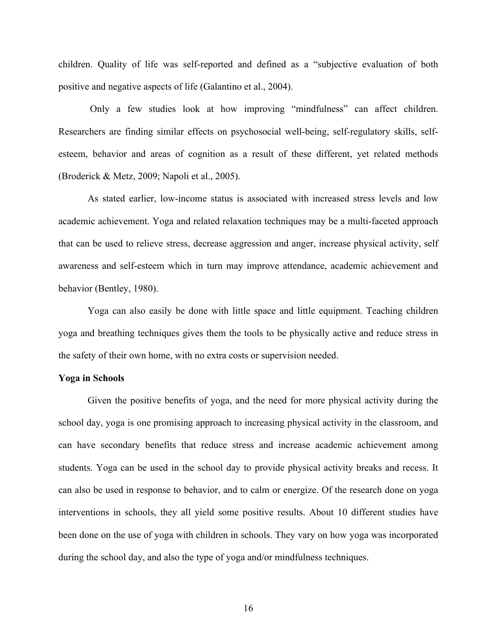children. Quality of life was self-reported and defined as a "subjective evaluation of both positive and negative aspects of life (Galantino et al., 2004).

Only a few studies look at how improving "mindfulness" can affect children. Researchers are finding similar effects on psychosocial well-being, self-regulatory skills, selfesteem, behavior and areas of cognition as a result of these different, yet related methods (Broderick & Metz, 2009; Napoli et al., 2005).

As stated earlier, low-income status is associated with increased stress levels and low academic achievement. Yoga and related relaxation techniques may be a multi-faceted approach that can be used to relieve stress, decrease aggression and anger, increase physical activity, self awareness and self-esteem which in turn may improve attendance, academic achievement and behavior (Bentley, 1980).

Yoga can also easily be done with little space and little equipment. Teaching children yoga and breathing techniques gives them the tools to be physically active and reduce stress in the safety of their own home, with no extra costs or supervision needed.

## **Yoga in Schools**

Given the positive benefits of yoga, and the need for more physical activity during the school day, yoga is one promising approach to increasing physical activity in the classroom, and can have secondary benefits that reduce stress and increase academic achievement among students. Yoga can be used in the school day to provide physical activity breaks and recess. It can also be used in response to behavior, and to calm or energize. Of the research done on yoga interventions in schools, they all yield some positive results. About 10 different studies have been done on the use of yoga with children in schools. They vary on how yoga was incorporated during the school day, and also the type of yoga and/or mindfulness techniques.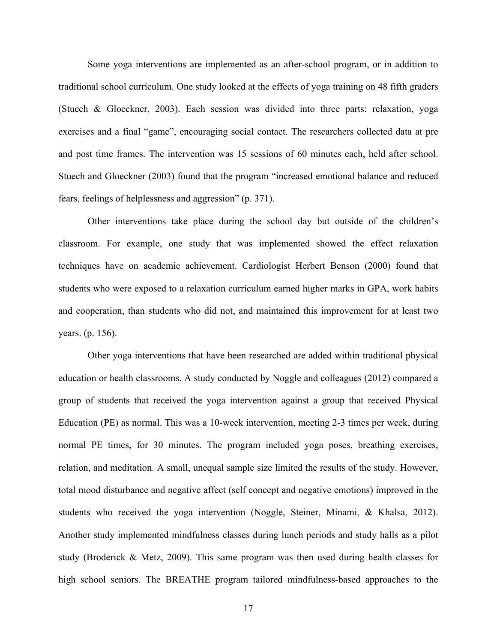Some yoga interventions are implemented as an after-school program, or in addition to traditional school curriculum. One study looked at the effects of yoga training on 48 fifth graders (Stuech & Gloeckner, 2003). Each session was divided into three parts: relaxation, yoga exercises and a final "game", encouraging social contact. The researchers collected data at pre and post time frames. The intervention was 15 sessions of 60 minutes each, held after school. Stuech and Gloeckner (2003) found that the program "increased emotional balance and reduced fears, feelings of helplessness and aggression" (p. 371).

Other interventions take place during the school day but outside of the children's classroom. For example, one study that was implemented showed the effect relaxation techniques have on academic achievement. Cardiologist Herbert Benson (2000) found that students who were exposed to a relaxation curriculum earned higher marks in GPA, work habits and cooperation, than students who did not, and maintained this improvement for at least two years. (p. 156).

Other yoga interventions that have been researched are added within traditional physical education or health classrooms. A study conducted by Noggle and colleagues (2012) compared a group of students that received the yoga intervention against a group that received Physical Education (PE) as normal. This was a 10-week intervention, meeting 2-3 times per week, during normal PE times, for 30 minutes. The program included yoga poses, breathing exercises, relation, and meditation. A small, unequal sample size limited the results of the study. However, total mood disturbance and negative affect (self concept and negative emotions) improved in the students who received the yoga intervention (Noggle, Steiner, Minami, & Khalsa, 2012). Another study implemented mindfulness classes during lunch periods and study halls as a pilot study (Broderick & Metz, 2009). This same program was then used during health classes for high school seniors. The BREATHE program tailored mindfulness-based approaches to the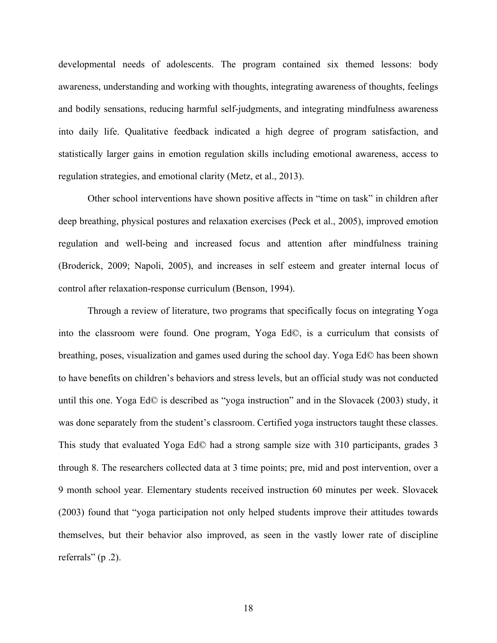developmental needs of adolescents. The program contained six themed lessons: body awareness, understanding and working with thoughts, integrating awareness of thoughts, feelings and bodily sensations, reducing harmful self-judgments, and integrating mindfulness awareness into daily life. Qualitative feedback indicated a high degree of program satisfaction, and statistically larger gains in emotion regulation skills including emotional awareness, access to regulation strategies, and emotional clarity (Metz, et al., 2013).

Other school interventions have shown positive affects in "time on task" in children after deep breathing, physical postures and relaxation exercises (Peck et al., 2005), improved emotion regulation and well-being and increased focus and attention after mindfulness training (Broderick, 2009; Napoli, 2005), and increases in self esteem and greater internal locus of control after relaxation-response curriculum (Benson, 1994).

Through a review of literature, two programs that specifically focus on integrating Yoga into the classroom were found. One program, Yoga Ed©, is a curriculum that consists of breathing, poses, visualization and games used during the school day. Yoga Ed© has been shown to have benefits on children's behaviors and stress levels, but an official study was not conducted until this one. Yoga Ed© is described as "yoga instruction" and in the Slovacek (2003) study, it was done separately from the student's classroom. Certified yoga instructors taught these classes. This study that evaluated Yoga Ed© had a strong sample size with 310 participants, grades 3 through 8. The researchers collected data at 3 time points; pre, mid and post intervention, over a 9 month school year. Elementary students received instruction 60 minutes per week. Slovacek (2003) found that "yoga participation not only helped students improve their attitudes towards themselves, but their behavior also improved, as seen in the vastly lower rate of discipline referrals" (p .2).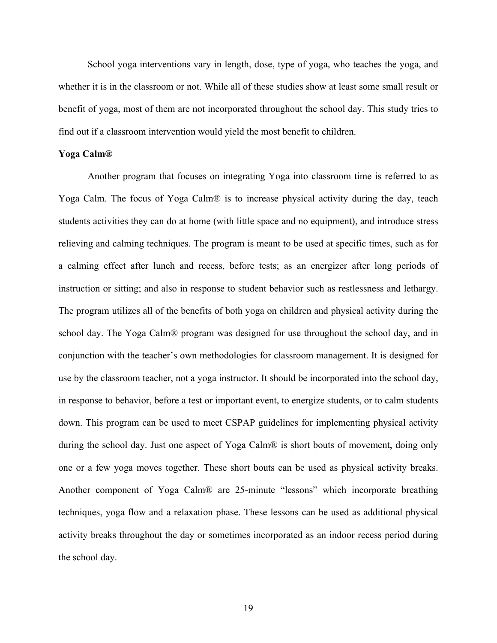School yoga interventions vary in length, dose, type of yoga, who teaches the yoga, and whether it is in the classroom or not. While all of these studies show at least some small result or benefit of yoga, most of them are not incorporated throughout the school day. This study tries to find out if a classroom intervention would yield the most benefit to children.

## **Yoga Calm®**

Another program that focuses on integrating Yoga into classroom time is referred to as Yoga Calm. The focus of Yoga Calm® is to increase physical activity during the day, teach students activities they can do at home (with little space and no equipment), and introduce stress relieving and calming techniques. The program is meant to be used at specific times, such as for a calming effect after lunch and recess, before tests; as an energizer after long periods of instruction or sitting; and also in response to student behavior such as restlessness and lethargy. The program utilizes all of the benefits of both yoga on children and physical activity during the school day. The Yoga Calm® program was designed for use throughout the school day, and in conjunction with the teacher's own methodologies for classroom management. It is designed for use by the classroom teacher, not a yoga instructor. It should be incorporated into the school day, in response to behavior, before a test or important event, to energize students, or to calm students down. This program can be used to meet CSPAP guidelines for implementing physical activity during the school day. Just one aspect of Yoga Calm® is short bouts of movement, doing only one or a few yoga moves together. These short bouts can be used as physical activity breaks. Another component of Yoga Calm® are 25-minute "lessons" which incorporate breathing techniques, yoga flow and a relaxation phase. These lessons can be used as additional physical activity breaks throughout the day or sometimes incorporated as an indoor recess period during the school day.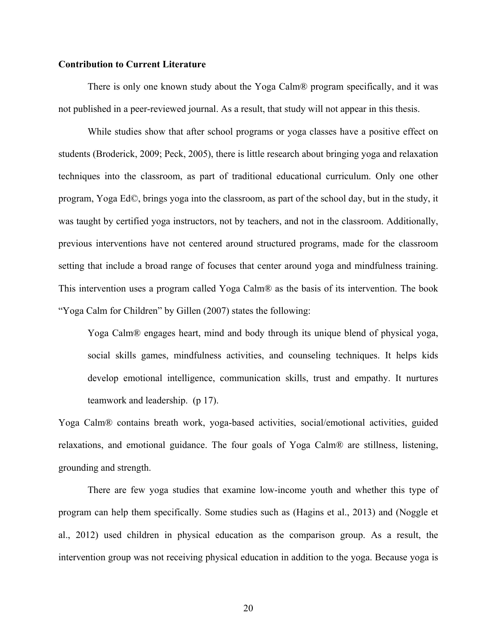## **Contribution to Current Literature**

There is only one known study about the Yoga Calm® program specifically, and it was not published in a peer-reviewed journal. As a result, that study will not appear in this thesis.

While studies show that after school programs or yoga classes have a positive effect on students (Broderick, 2009; Peck, 2005), there is little research about bringing yoga and relaxation techniques into the classroom, as part of traditional educational curriculum. Only one other program, Yoga Ed©, brings yoga into the classroom, as part of the school day, but in the study, it was taught by certified yoga instructors, not by teachers, and not in the classroom. Additionally, previous interventions have not centered around structured programs, made for the classroom setting that include a broad range of focuses that center around yoga and mindfulness training. This intervention uses a program called Yoga Calm® as the basis of its intervention. The book "Yoga Calm for Children" by Gillen (2007) states the following:

Yoga Calm® engages heart, mind and body through its unique blend of physical yoga, social skills games, mindfulness activities, and counseling techniques. It helps kids develop emotional intelligence, communication skills, trust and empathy. It nurtures teamwork and leadership. (p 17).

Yoga Calm® contains breath work, yoga-based activities, social/emotional activities, guided relaxations, and emotional guidance. The four goals of Yoga Calm® are stillness, listening, grounding and strength.

There are few yoga studies that examine low-income youth and whether this type of program can help them specifically. Some studies such as (Hagins et al., 2013) and (Noggle et al., 2012) used children in physical education as the comparison group. As a result, the intervention group was not receiving physical education in addition to the yoga. Because yoga is

20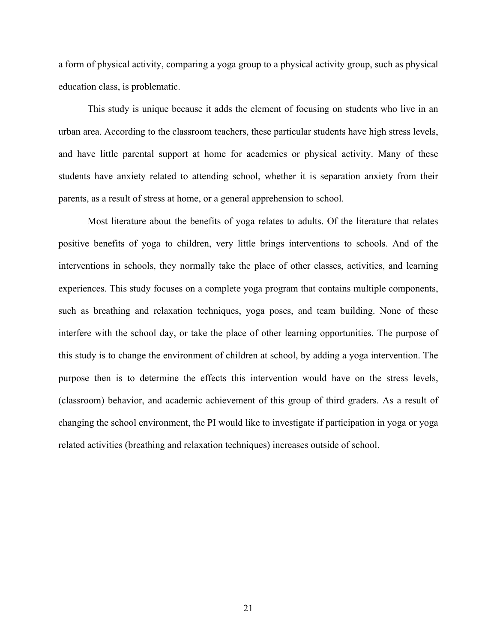a form of physical activity, comparing a yoga group to a physical activity group, such as physical education class, is problematic.

This study is unique because it adds the element of focusing on students who live in an urban area. According to the classroom teachers, these particular students have high stress levels, and have little parental support at home for academics or physical activity. Many of these students have anxiety related to attending school, whether it is separation anxiety from their parents, as a result of stress at home, or a general apprehension to school.

Most literature about the benefits of yoga relates to adults. Of the literature that relates positive benefits of yoga to children, very little brings interventions to schools. And of the interventions in schools, they normally take the place of other classes, activities, and learning experiences. This study focuses on a complete yoga program that contains multiple components, such as breathing and relaxation techniques, yoga poses, and team building. None of these interfere with the school day, or take the place of other learning opportunities. The purpose of this study is to change the environment of children at school, by adding a yoga intervention. The purpose then is to determine the effects this intervention would have on the stress levels, (classroom) behavior, and academic achievement of this group of third graders. As a result of changing the school environment, the PI would like to investigate if participation in yoga or yoga related activities (breathing and relaxation techniques) increases outside of school.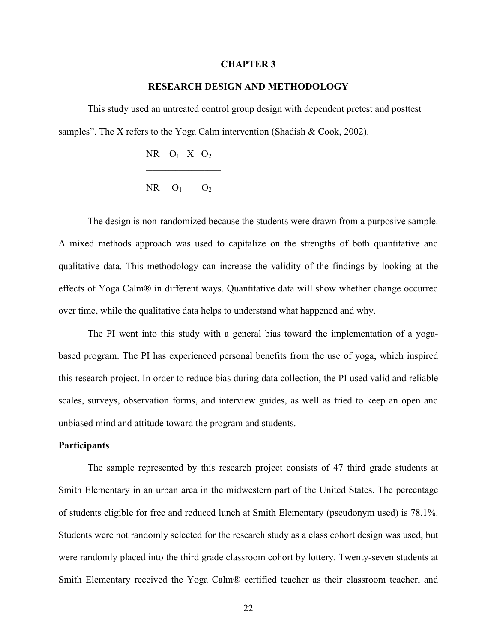#### **CHAPTER 3**

## **RESEARCH DESIGN AND METHODOLOGY**

This study used an untreated control group design with dependent pretest and posttest samples". The X refers to the Yoga Calm intervention (Shadish & Cook, 2002).

|  | NR $O_1$ X $O_2$ |  |
|--|------------------|--|
|  | $NR$ $O_1$ $O_2$ |  |

The design is non-randomized because the students were drawn from a purposive sample. A mixed methods approach was used to capitalize on the strengths of both quantitative and qualitative data. This methodology can increase the validity of the findings by looking at the effects of Yoga Calm® in different ways. Quantitative data will show whether change occurred over time, while the qualitative data helps to understand what happened and why.

The PI went into this study with a general bias toward the implementation of a yogabased program. The PI has experienced personal benefits from the use of yoga, which inspired this research project. In order to reduce bias during data collection, the PI used valid and reliable scales, surveys, observation forms, and interview guides, as well as tried to keep an open and unbiased mind and attitude toward the program and students.

#### **Participants**

The sample represented by this research project consists of 47 third grade students at Smith Elementary in an urban area in the midwestern part of the United States. The percentage of students eligible for free and reduced lunch at Smith Elementary (pseudonym used) is 78.1%. Students were not randomly selected for the research study as a class cohort design was used, but were randomly placed into the third grade classroom cohort by lottery. Twenty-seven students at Smith Elementary received the Yoga Calm® certified teacher as their classroom teacher, and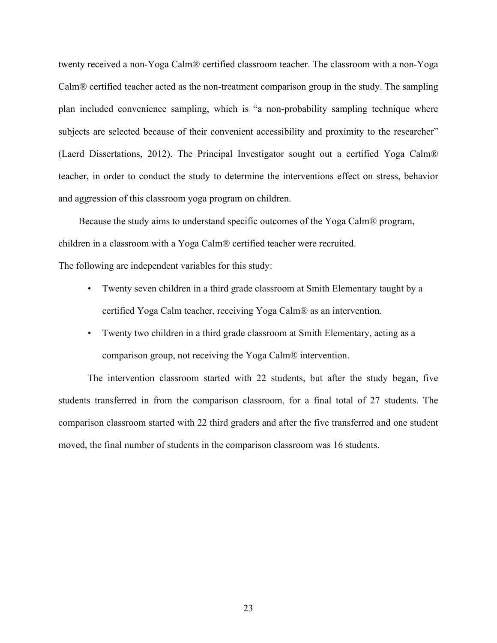twenty received a non-Yoga Calm® certified classroom teacher. The classroom with a non-Yoga Calm® certified teacher acted as the non-treatment comparison group in the study. The sampling plan included convenience sampling, which is "a non-probability sampling technique where subjects are selected because of their convenient accessibility and proximity to the researcher" (Laerd Dissertations, 2012). The Principal Investigator sought out a certified Yoga Calm® teacher, in order to conduct the study to determine the interventions effect on stress, behavior and aggression of this classroom yoga program on children.

Because the study aims to understand specific outcomes of the Yoga Calm® program, children in a classroom with a Yoga Calm® certified teacher were recruited.

The following are independent variables for this study:

- Twenty seven children in a third grade classroom at Smith Elementary taught by a certified Yoga Calm teacher, receiving Yoga Calm® as an intervention.
- Twenty two children in a third grade classroom at Smith Elementary, acting as a comparison group, not receiving the Yoga Calm® intervention.

The intervention classroom started with 22 students, but after the study began, five students transferred in from the comparison classroom, for a final total of 27 students. The comparison classroom started with 22 third graders and after the five transferred and one student moved, the final number of students in the comparison classroom was 16 students.

23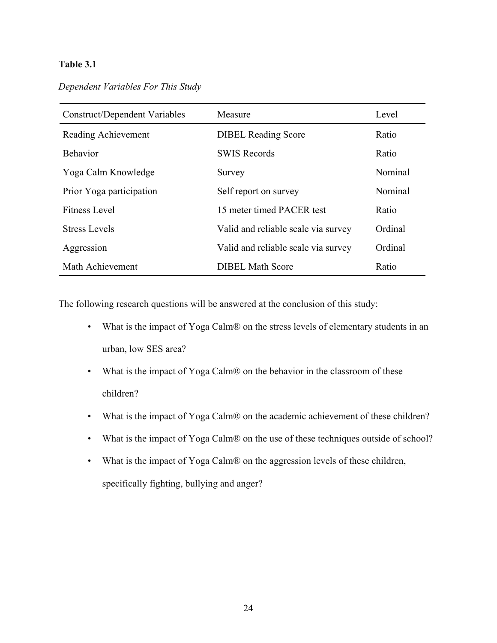## **Table 3.1**

| Dependent Variables For This Study |  |  |  |  |
|------------------------------------|--|--|--|--|
|------------------------------------|--|--|--|--|

| <b>Construct/Dependent Variables</b> | Measure                             | Level   |
|--------------------------------------|-------------------------------------|---------|
| Reading Achievement                  | <b>DIBEL Reading Score</b>          | Ratio   |
| <b>Behavior</b>                      | <b>SWIS Records</b>                 | Ratio   |
| Yoga Calm Knowledge                  | Survey                              | Nominal |
| Prior Yoga participation             | Self report on survey               | Nominal |
| <b>Fitness Level</b>                 | 15 meter timed PACER test           | Ratio   |
| <b>Stress Levels</b>                 | Valid and reliable scale via survey | Ordinal |
| Aggression                           | Valid and reliable scale via survey | Ordinal |
| Math Achievement                     | <b>DIBEL Math Score</b>             | Ratio   |

The following research questions will be answered at the conclusion of this study:

- What is the impact of Yoga Calm® on the stress levels of elementary students in an urban, low SES area?
- What is the impact of Yoga Calm® on the behavior in the classroom of these children?
- What is the impact of Yoga Calm® on the academic achievement of these children?
- What is the impact of Yoga Calm® on the use of these techniques outside of school?
- What is the impact of Yoga Calm® on the aggression levels of these children, specifically fighting, bullying and anger?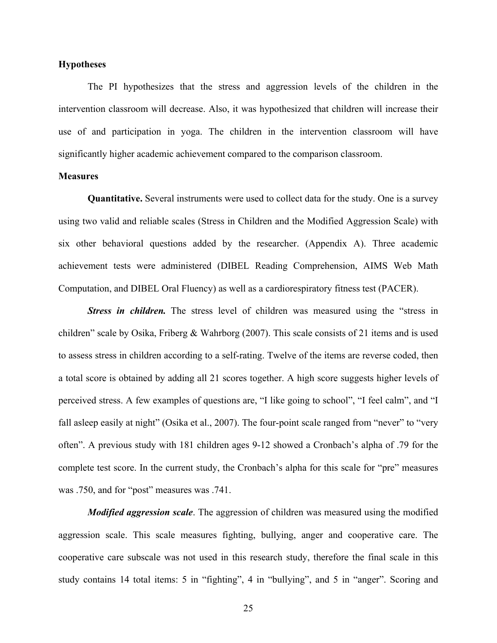## **Hypotheses**

The PI hypothesizes that the stress and aggression levels of the children in the intervention classroom will decrease. Also, it was hypothesized that children will increase their use of and participation in yoga. The children in the intervention classroom will have significantly higher academic achievement compared to the comparison classroom.

## **Measures**

**Quantitative.** Several instruments were used to collect data for the study. One is a survey using two valid and reliable scales (Stress in Children and the Modified Aggression Scale) with six other behavioral questions added by the researcher. (Appendix A). Three academic achievement tests were administered (DIBEL Reading Comprehension, AIMS Web Math Computation, and DIBEL Oral Fluency) as well as a cardiorespiratory fitness test (PACER).

*Stress in children.* The stress level of children was measured using the "stress in children" scale by Osika, Friberg & Wahrborg (2007). This scale consists of 21 items and is used to assess stress in children according to a self-rating. Twelve of the items are reverse coded, then a total score is obtained by adding all 21 scores together. A high score suggests higher levels of perceived stress. A few examples of questions are, "I like going to school", "I feel calm", and "I fall asleep easily at night" (Osika et al., 2007). The four-point scale ranged from "never" to "very often". A previous study with 181 children ages 9-12 showed a Cronbach's alpha of .79 for the complete test score. In the current study, the Cronbach's alpha for this scale for "pre" measures was .750, and for "post" measures was .741.

*Modified aggression scale*. The aggression of children was measured using the modified aggression scale. This scale measures fighting, bullying, anger and cooperative care. The cooperative care subscale was not used in this research study, therefore the final scale in this study contains 14 total items: 5 in "fighting", 4 in "bullying", and 5 in "anger". Scoring and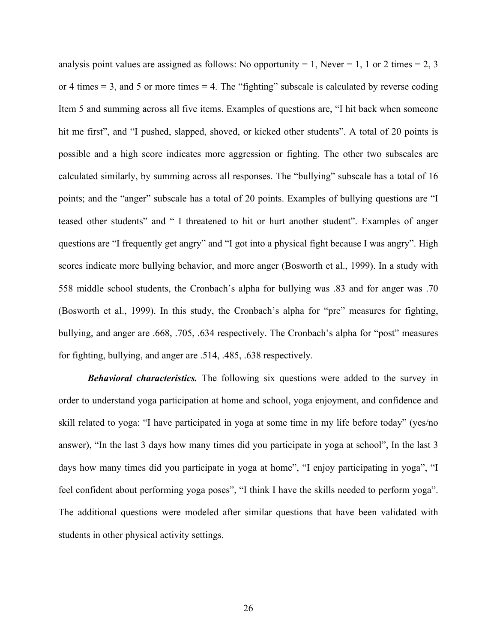analysis point values are assigned as follows: No opportunity = 1, Never = 1, 1 or 2 times = 2, 3 or 4 times  $= 3$ , and 5 or more times  $= 4$ . The "fighting" subscale is calculated by reverse coding Item 5 and summing across all five items. Examples of questions are, "I hit back when someone hit me first", and "I pushed, slapped, shoved, or kicked other students". A total of 20 points is possible and a high score indicates more aggression or fighting. The other two subscales are calculated similarly, by summing across all responses. The "bullying" subscale has a total of 16 points; and the "anger" subscale has a total of 20 points. Examples of bullying questions are "I teased other students" and " I threatened to hit or hurt another student". Examples of anger questions are "I frequently get angry" and "I got into a physical fight because I was angry". High scores indicate more bullying behavior, and more anger (Bosworth et al., 1999). In a study with 558 middle school students, the Cronbach's alpha for bullying was .83 and for anger was .70 (Bosworth et al., 1999). In this study, the Cronbach's alpha for "pre" measures for fighting, bullying, and anger are .668, .705, .634 respectively. The Cronbach's alpha for "post" measures for fighting, bullying, and anger are .514, .485, .638 respectively.

*Behavioral characteristics.* The following six questions were added to the survey in order to understand yoga participation at home and school, yoga enjoyment, and confidence and skill related to yoga: "I have participated in yoga at some time in my life before today" (yes/no answer), "In the last 3 days how many times did you participate in yoga at school", In the last 3 days how many times did you participate in yoga at home", "I enjoy participating in yoga", "I feel confident about performing yoga poses", "I think I have the skills needed to perform yoga". The additional questions were modeled after similar questions that have been validated with students in other physical activity settings.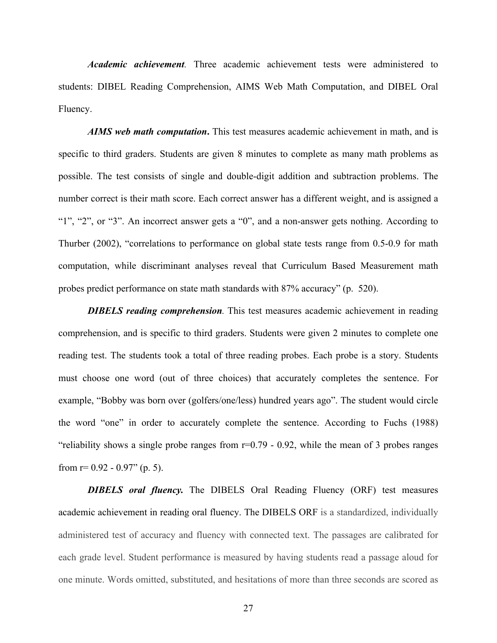*Academic achievement.* Three academic achievement tests were administered to students: DIBEL Reading Comprehension, AIMS Web Math Computation, and DIBEL Oral Fluency.

*AIMS web math computation***.** This test measures academic achievement in math, and is specific to third graders. Students are given 8 minutes to complete as many math problems as possible. The test consists of single and double-digit addition and subtraction problems. The number correct is their math score. Each correct answer has a different weight, and is assigned a "1", "2", or "3". An incorrect answer gets a "0", and a non-answer gets nothing. According to Thurber (2002), "correlations to performance on global state tests range from 0.5-0.9 for math computation, while discriminant analyses reveal that Curriculum Based Measurement math probes predict performance on state math standards with 87% accuracy" (p. 520).

*DIBELS reading comprehension.* This test measures academic achievement in reading comprehension, and is specific to third graders. Students were given 2 minutes to complete one reading test. The students took a total of three reading probes. Each probe is a story. Students must choose one word (out of three choices) that accurately completes the sentence. For example, "Bobby was born over (golfers/one/less) hundred years ago". The student would circle the word "one" in order to accurately complete the sentence. According to Fuchs (1988) "reliability shows a single probe ranges from  $r=0.79 - 0.92$ , while the mean of 3 probes ranges from  $r= 0.92 - 0.97$ " (p. 5).

*DIBELS oral fluency.* The DIBELS Oral Reading Fluency (ORF) test measures academic achievement in reading oral fluency. The DIBELS ORF is a standardized, individually administered test of accuracy and fluency with connected text. The passages are calibrated for each grade level. Student performance is measured by having students read a passage aloud for one minute. Words omitted, substituted, and hesitations of more than three seconds are scored as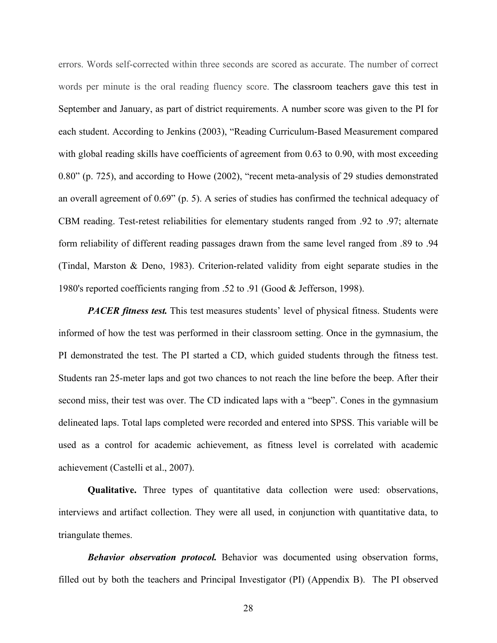errors. Words self-corrected within three seconds are scored as accurate. The number of correct words per minute is the oral reading fluency score. The classroom teachers gave this test in September and January, as part of district requirements. A number score was given to the PI for each student. According to Jenkins (2003), "Reading Curriculum-Based Measurement compared with global reading skills have coefficients of agreement from 0.63 to 0.90, with most exceeding 0.80" (p. 725), and according to Howe (2002), "recent meta-analysis of 29 studies demonstrated an overall agreement of 0.69" (p. 5). A series of studies has confirmed the technical adequacy of CBM reading. Test-retest reliabilities for elementary students ranged from .92 to .97; alternate form reliability of different reading passages drawn from the same level ranged from .89 to .94 (Tindal, Marston & Deno, 1983). Criterion-related validity from eight separate studies in the 1980's reported coefficients ranging from .52 to .91 (Good & Jefferson, 1998).

*PACER fitness test.* This test measures students' level of physical fitness. Students were informed of how the test was performed in their classroom setting. Once in the gymnasium, the PI demonstrated the test. The PI started a CD, which guided students through the fitness test. Students ran 25-meter laps and got two chances to not reach the line before the beep. After their second miss, their test was over. The CD indicated laps with a "beep". Cones in the gymnasium delineated laps. Total laps completed were recorded and entered into SPSS. This variable will be used as a control for academic achievement, as fitness level is correlated with academic achievement (Castelli et al., 2007).

**Qualitative.** Three types of quantitative data collection were used: observations, interviews and artifact collection. They were all used, in conjunction with quantitative data, to triangulate themes.

*Behavior observation protocol.* Behavior was documented using observation forms, filled out by both the teachers and Principal Investigator (PI) (Appendix B). The PI observed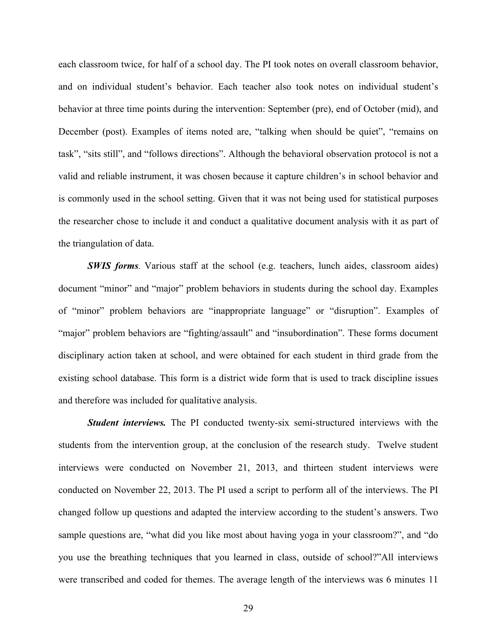each classroom twice, for half of a school day. The PI took notes on overall classroom behavior, and on individual student's behavior. Each teacher also took notes on individual student's behavior at three time points during the intervention: September (pre), end of October (mid), and December (post). Examples of items noted are, "talking when should be quiet", "remains on task", "sits still", and "follows directions". Although the behavioral observation protocol is not a valid and reliable instrument, it was chosen because it capture children's in school behavior and is commonly used in the school setting. Given that it was not being used for statistical purposes the researcher chose to include it and conduct a qualitative document analysis with it as part of the triangulation of data.

*SWIS forms.* Various staff at the school (e.g. teachers, lunch aides, classroom aides) document "minor" and "major" problem behaviors in students during the school day. Examples of "minor" problem behaviors are "inappropriate language" or "disruption". Examples of "major" problem behaviors are "fighting/assault" and "insubordination". These forms document disciplinary action taken at school, and were obtained for each student in third grade from the existing school database. This form is a district wide form that is used to track discipline issues and therefore was included for qualitative analysis.

*Student interviews.* The PI conducted twenty-six semi-structured interviews with the students from the intervention group, at the conclusion of the research study. Twelve student interviews were conducted on November 21, 2013, and thirteen student interviews were conducted on November 22, 2013. The PI used a script to perform all of the interviews. The PI changed follow up questions and adapted the interview according to the student's answers. Two sample questions are, "what did you like most about having yoga in your classroom?", and "do you use the breathing techniques that you learned in class, outside of school?"All interviews were transcribed and coded for themes. The average length of the interviews was 6 minutes 11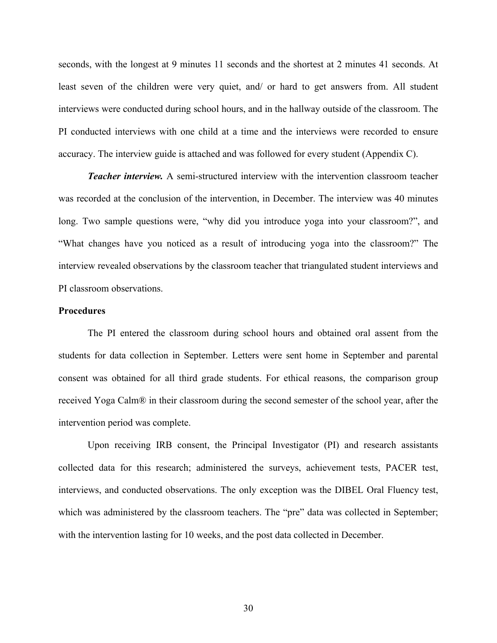seconds, with the longest at 9 minutes 11 seconds and the shortest at 2 minutes 41 seconds. At least seven of the children were very quiet, and/ or hard to get answers from. All student interviews were conducted during school hours, and in the hallway outside of the classroom. The PI conducted interviews with one child at a time and the interviews were recorded to ensure accuracy. The interview guide is attached and was followed for every student (Appendix C).

*Teacher interview.* A semi-structured interview with the intervention classroom teacher was recorded at the conclusion of the intervention, in December. The interview was 40 minutes long. Two sample questions were, "why did you introduce yoga into your classroom?", and "What changes have you noticed as a result of introducing yoga into the classroom?" The interview revealed observations by the classroom teacher that triangulated student interviews and PI classroom observations.

#### **Procedures**

The PI entered the classroom during school hours and obtained oral assent from the students for data collection in September. Letters were sent home in September and parental consent was obtained for all third grade students. For ethical reasons, the comparison group received Yoga Calm® in their classroom during the second semester of the school year, after the intervention period was complete.

Upon receiving IRB consent, the Principal Investigator (PI) and research assistants collected data for this research; administered the surveys, achievement tests, PACER test, interviews, and conducted observations. The only exception was the DIBEL Oral Fluency test, which was administered by the classroom teachers. The "pre" data was collected in September; with the intervention lasting for 10 weeks, and the post data collected in December.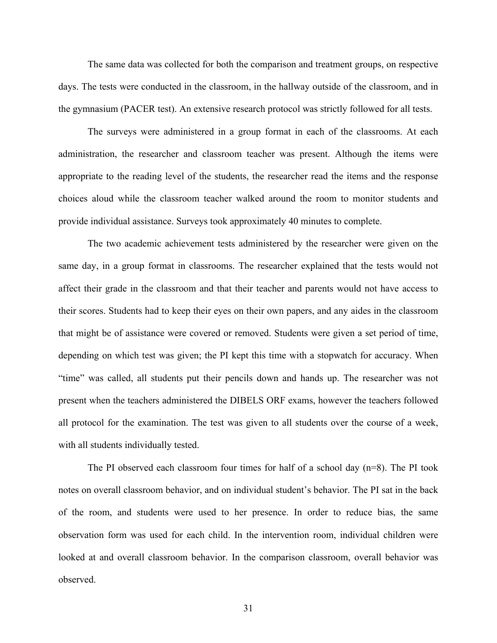The same data was collected for both the comparison and treatment groups, on respective days. The tests were conducted in the classroom, in the hallway outside of the classroom, and in the gymnasium (PACER test). An extensive research protocol was strictly followed for all tests.

The surveys were administered in a group format in each of the classrooms. At each administration, the researcher and classroom teacher was present. Although the items were appropriate to the reading level of the students, the researcher read the items and the response choices aloud while the classroom teacher walked around the room to monitor students and provide individual assistance. Surveys took approximately 40 minutes to complete.

The two academic achievement tests administered by the researcher were given on the same day, in a group format in classrooms. The researcher explained that the tests would not affect their grade in the classroom and that their teacher and parents would not have access to their scores. Students had to keep their eyes on their own papers, and any aides in the classroom that might be of assistance were covered or removed. Students were given a set period of time, depending on which test was given; the PI kept this time with a stopwatch for accuracy. When "time" was called, all students put their pencils down and hands up. The researcher was not present when the teachers administered the DIBELS ORF exams, however the teachers followed all protocol for the examination. The test was given to all students over the course of a week, with all students individually tested.

The PI observed each classroom four times for half of a school day  $(n=8)$ . The PI took notes on overall classroom behavior, and on individual student's behavior. The PI sat in the back of the room, and students were used to her presence. In order to reduce bias, the same observation form was used for each child. In the intervention room, individual children were looked at and overall classroom behavior. In the comparison classroom, overall behavior was observed.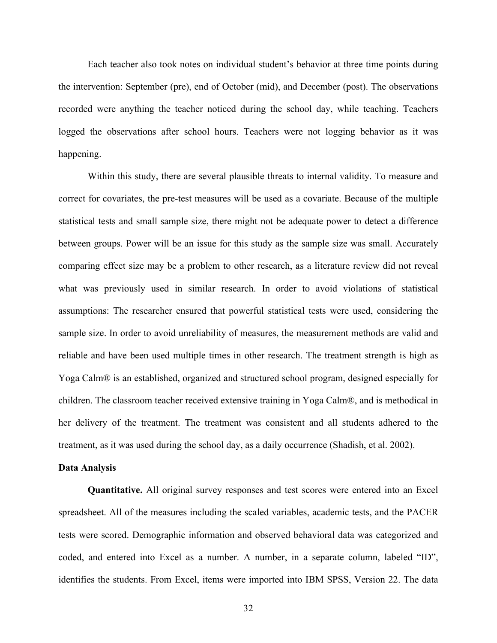Each teacher also took notes on individual student's behavior at three time points during the intervention: September (pre), end of October (mid), and December (post). The observations recorded were anything the teacher noticed during the school day, while teaching. Teachers logged the observations after school hours. Teachers were not logging behavior as it was happening.

Within this study, there are several plausible threats to internal validity. To measure and correct for covariates, the pre-test measures will be used as a covariate. Because of the multiple statistical tests and small sample size, there might not be adequate power to detect a difference between groups. Power will be an issue for this study as the sample size was small. Accurately comparing effect size may be a problem to other research, as a literature review did not reveal what was previously used in similar research. In order to avoid violations of statistical assumptions: The researcher ensured that powerful statistical tests were used, considering the sample size. In order to avoid unreliability of measures, the measurement methods are valid and reliable and have been used multiple times in other research. The treatment strength is high as Yoga Calm® is an established, organized and structured school program, designed especially for children. The classroom teacher received extensive training in Yoga Calm®, and is methodical in her delivery of the treatment. The treatment was consistent and all students adhered to the treatment, as it was used during the school day, as a daily occurrence (Shadish, et al. 2002).

#### **Data Analysis**

**Quantitative.** All original survey responses and test scores were entered into an Excel spreadsheet. All of the measures including the scaled variables, academic tests, and the PACER tests were scored. Demographic information and observed behavioral data was categorized and coded, and entered into Excel as a number. A number, in a separate column, labeled "ID", identifies the students. From Excel, items were imported into IBM SPSS, Version 22. The data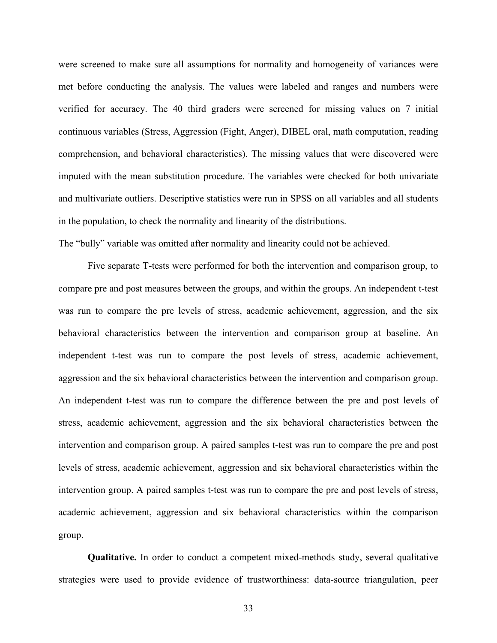were screened to make sure all assumptions for normality and homogeneity of variances were met before conducting the analysis. The values were labeled and ranges and numbers were verified for accuracy. The 40 third graders were screened for missing values on 7 initial continuous variables (Stress, Aggression (Fight, Anger), DIBEL oral, math computation, reading comprehension, and behavioral characteristics). The missing values that were discovered were imputed with the mean substitution procedure. The variables were checked for both univariate and multivariate outliers. Descriptive statistics were run in SPSS on all variables and all students in the population, to check the normality and linearity of the distributions.

The "bully" variable was omitted after normality and linearity could not be achieved.

Five separate T-tests were performed for both the intervention and comparison group, to compare pre and post measures between the groups, and within the groups. An independent t-test was run to compare the pre levels of stress, academic achievement, aggression, and the six behavioral characteristics between the intervention and comparison group at baseline. An independent t-test was run to compare the post levels of stress, academic achievement, aggression and the six behavioral characteristics between the intervention and comparison group. An independent t-test was run to compare the difference between the pre and post levels of stress, academic achievement, aggression and the six behavioral characteristics between the intervention and comparison group. A paired samples t-test was run to compare the pre and post levels of stress, academic achievement, aggression and six behavioral characteristics within the intervention group. A paired samples t-test was run to compare the pre and post levels of stress, academic achievement, aggression and six behavioral characteristics within the comparison group.

**Qualitative.** In order to conduct a competent mixed-methods study, several qualitative strategies were used to provide evidence of trustworthiness: data-source triangulation, peer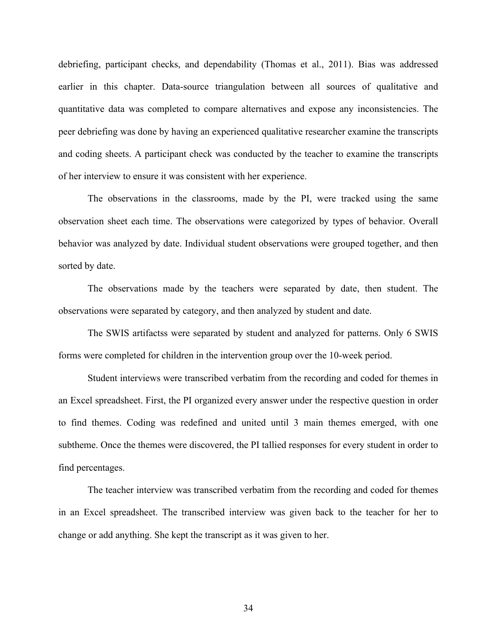debriefing, participant checks, and dependability (Thomas et al., 2011). Bias was addressed earlier in this chapter. Data-source triangulation between all sources of qualitative and quantitative data was completed to compare alternatives and expose any inconsistencies. The peer debriefing was done by having an experienced qualitative researcher examine the transcripts and coding sheets. A participant check was conducted by the teacher to examine the transcripts of her interview to ensure it was consistent with her experience.

The observations in the classrooms, made by the PI, were tracked using the same observation sheet each time. The observations were categorized by types of behavior. Overall behavior was analyzed by date. Individual student observations were grouped together, and then sorted by date.

The observations made by the teachers were separated by date, then student. The observations were separated by category, and then analyzed by student and date.

The SWIS artifactss were separated by student and analyzed for patterns. Only 6 SWIS forms were completed for children in the intervention group over the 10-week period.

Student interviews were transcribed verbatim from the recording and coded for themes in an Excel spreadsheet. First, the PI organized every answer under the respective question in order to find themes. Coding was redefined and united until 3 main themes emerged, with one subtheme. Once the themes were discovered, the PI tallied responses for every student in order to find percentages.

The teacher interview was transcribed verbatim from the recording and coded for themes in an Excel spreadsheet. The transcribed interview was given back to the teacher for her to change or add anything. She kept the transcript as it was given to her.

34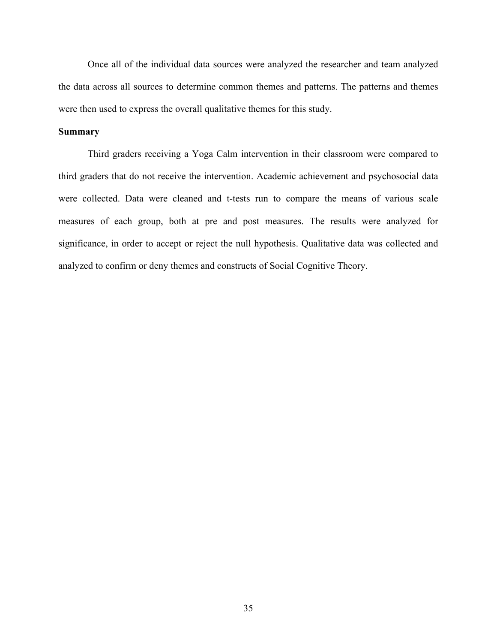Once all of the individual data sources were analyzed the researcher and team analyzed the data across all sources to determine common themes and patterns. The patterns and themes were then used to express the overall qualitative themes for this study.

### **Summary**

Third graders receiving a Yoga Calm intervention in their classroom were compared to third graders that do not receive the intervention. Academic achievement and psychosocial data were collected. Data were cleaned and t-tests run to compare the means of various scale measures of each group, both at pre and post measures. The results were analyzed for significance, in order to accept or reject the null hypothesis. Qualitative data was collected and analyzed to confirm or deny themes and constructs of Social Cognitive Theory.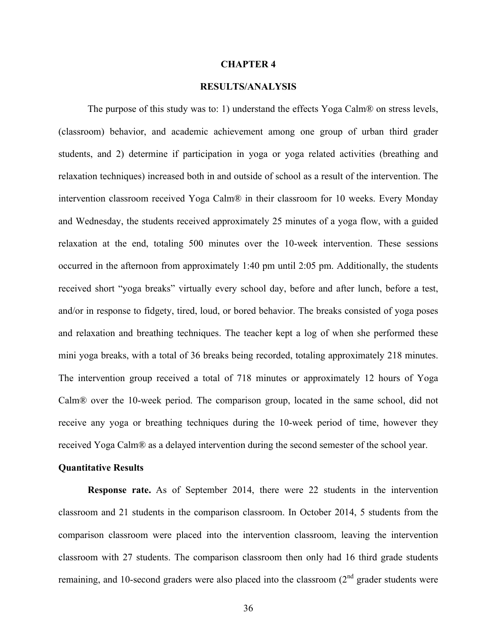#### **CHAPTER 4**

## **RESULTS/ANALYSIS**

The purpose of this study was to: 1) understand the effects Yoga Calm® on stress levels, (classroom) behavior, and academic achievement among one group of urban third grader students, and 2) determine if participation in yoga or yoga related activities (breathing and relaxation techniques) increased both in and outside of school as a result of the intervention. The intervention classroom received Yoga Calm® in their classroom for 10 weeks. Every Monday and Wednesday, the students received approximately 25 minutes of a yoga flow, with a guided relaxation at the end, totaling 500 minutes over the 10-week intervention. These sessions occurred in the afternoon from approximately 1:40 pm until 2:05 pm. Additionally, the students received short "yoga breaks" virtually every school day, before and after lunch, before a test, and/or in response to fidgety, tired, loud, or bored behavior. The breaks consisted of yoga poses and relaxation and breathing techniques. The teacher kept a log of when she performed these mini yoga breaks, with a total of 36 breaks being recorded, totaling approximately 218 minutes. The intervention group received a total of 718 minutes or approximately 12 hours of Yoga Calm® over the 10-week period. The comparison group, located in the same school, did not receive any yoga or breathing techniques during the 10-week period of time, however they received Yoga Calm® as a delayed intervention during the second semester of the school year.

#### **Quantitative Results**

**Response rate.** As of September 2014, there were 22 students in the intervention classroom and 21 students in the comparison classroom. In October 2014, 5 students from the comparison classroom were placed into the intervention classroom, leaving the intervention classroom with 27 students. The comparison classroom then only had 16 third grade students remaining, and 10-second graders were also placed into the classroom  $(2<sup>nd</sup>$  grader students were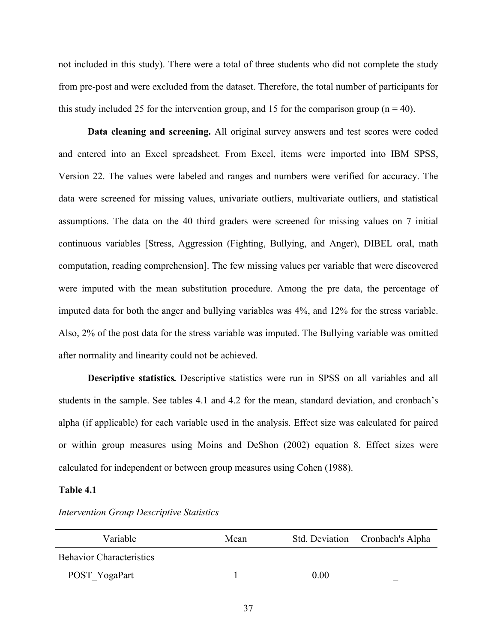not included in this study). There were a total of three students who did not complete the study from pre-post and were excluded from the dataset. Therefore, the total number of participants for this study included 25 for the intervention group, and 15 for the comparison group ( $n = 40$ ).

**Data cleaning and screening.** All original survey answers and test scores were coded and entered into an Excel spreadsheet. From Excel, items were imported into IBM SPSS, Version 22. The values were labeled and ranges and numbers were verified for accuracy. The data were screened for missing values, univariate outliers, multivariate outliers, and statistical assumptions. The data on the 40 third graders were screened for missing values on 7 initial continuous variables [Stress, Aggression (Fighting, Bullying, and Anger), DIBEL oral, math computation, reading comprehension]. The few missing values per variable that were discovered were imputed with the mean substitution procedure. Among the pre data, the percentage of imputed data for both the anger and bullying variables was 4%, and 12% for the stress variable. Also, 2% of the post data for the stress variable was imputed. The Bullying variable was omitted after normality and linearity could not be achieved.

**Descriptive statistics***.* Descriptive statistics were run in SPSS on all variables and all students in the sample. See tables 4.1 and 4.2 for the mean, standard deviation, and cronbach's alpha (if applicable) for each variable used in the analysis. Effect size was calculated for paired or within group measures using Moins and DeShon (2002) equation 8. Effect sizes were calculated for independent or between group measures using Cohen (1988).

#### **Table 4.1**

| Variable                        | Mean |      | Std. Deviation Cronbach's Alpha |
|---------------------------------|------|------|---------------------------------|
| <b>Behavior Characteristics</b> |      |      |                                 |
| POST YogaPart                   |      | 0.00 |                                 |

#### *Intervention Group Descriptive Statistics*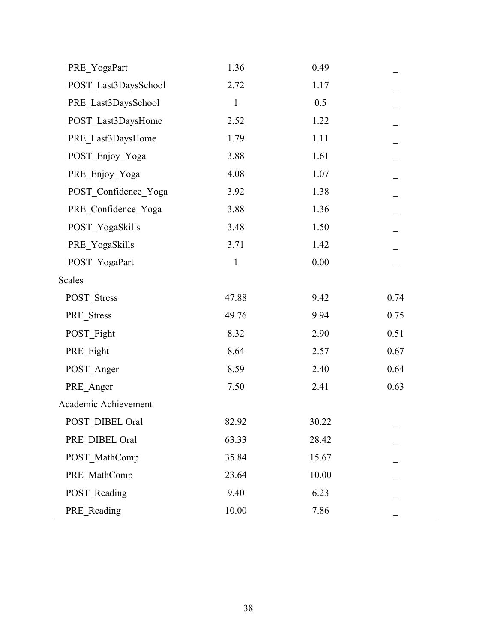| PRE YogaPart         | 1.36         | 0.49     |      |
|----------------------|--------------|----------|------|
| POST Last3DaysSchool | 2.72         | 1.17     |      |
| PRE_Last3DaysSchool  | $\mathbf{1}$ | 0.5      |      |
| POST_Last3DaysHome   | 2.52         | 1.22     |      |
| PRE_Last3DaysHome    | 1.79         | 1.11     |      |
| POST_Enjoy_Yoga      | 3.88         | 1.61     |      |
| PRE_Enjoy_Yoga       | 4.08         | 1.07     |      |
| POST_Confidence_Yoga | 3.92         | 1.38     |      |
| PRE_Confidence_Yoga  | 3.88         | 1.36     |      |
| POST YogaSkills      | 3.48         | 1.50     |      |
| PRE YogaSkills       | 3.71         | 1.42     |      |
| POST YogaPart        | $\mathbf{1}$ | $0.00\,$ |      |
| Scales               |              |          |      |
| POST_Stress          | 47.88        | 9.42     | 0.74 |
| PRE_Stress           | 49.76        | 9.94     | 0.75 |
| POST_Fight           | 8.32         | 2.90     | 0.51 |
| PRE_Fight            | 8.64         | 2.57     | 0.67 |
| POST_Anger           | 8.59         | 2.40     | 0.64 |
| PRE_Anger            | 7.50         | 2.41     | 0.63 |
| Academic Achievement |              |          |      |
| POST DIBEL Oral      | 82.92        | 30.22    |      |
| PRE DIBEL Oral       | 63.33        | 28.42    |      |
| POST_MathComp        | 35.84        | 15.67    |      |
| PRE_MathComp         | 23.64        | 10.00    |      |
| POST_Reading         | 9.40         | 6.23     |      |
| PRE_Reading          | 10.00        | 7.86     |      |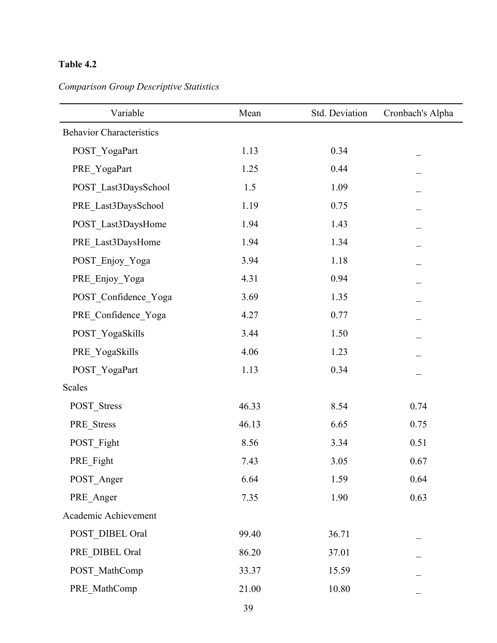| Variable                        | Mean  | Std. Deviation | Cronbach's Alpha |
|---------------------------------|-------|----------------|------------------|
| <b>Behavior Characteristics</b> |       |                |                  |
| POST_YogaPart                   | 1.13  | 0.34           |                  |
| PRE_YogaPart                    | 1.25  | 0.44           |                  |
| POST_Last3DaysSchool            | 1.5   | 1.09           |                  |
| PRE_Last3DaysSchool             | 1.19  | 0.75           |                  |
| POST_Last3DaysHome              | 1.94  | 1.43           |                  |
| PRE_Last3DaysHome               | 1.94  | 1.34           |                  |
| POST_Enjoy_Yoga                 | 3.94  | 1.18           |                  |
| PRE_Enjoy_Yoga                  | 4.31  | 0.94           |                  |
| POST Confidence Yoga            | 3.69  | 1.35           |                  |
| PRE_Confidence_Yoga             | 4.27  | 0.77           |                  |
| POST_YogaSkills                 | 3.44  | 1.50           |                  |
| PRE_YogaSkills                  | 4.06  | 1.23           |                  |
| POST_YogaPart                   | 1.13  | 0.34           |                  |
| Scales                          |       |                |                  |
| POST_Stress                     | 46.33 | 8.54           | 0.74             |
| PRE Stress                      | 46.13 | 6.65           | 0.75             |
| POST_Fight                      | 8.56  | 3.34           | 0.51             |
| PRE_Fight                       | 7.43  | 3.05           | 0.67             |
| POST_Anger                      | 6.64  | 1.59           | 0.64             |
| PRE_Anger                       | 7.35  | 1.90           | 0.63             |
| Academic Achievement            |       |                |                  |
| POST_DIBEL Oral                 | 99.40 | 36.71          |                  |
| PRE_DIBEL Oral                  | 86.20 | 37.01          |                  |
| POST_MathComp                   | 33.37 | 15.59          |                  |
| PRE_MathComp                    | 21.00 | 10.80          |                  |

*Comparison Group Descriptive Statistics*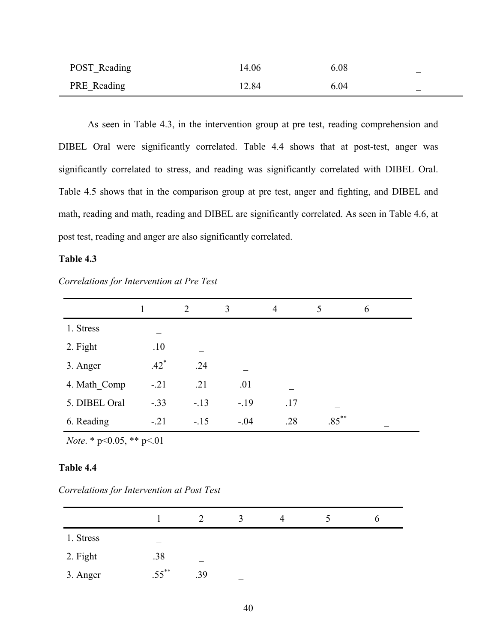| POST_Reading | 14.06 | 6.08 | $\overline{\phantom{m}}$ |
|--------------|-------|------|--------------------------|
| PRE_Reading  | 12.84 | 6.04 | $\overline{\phantom{m}}$ |

As seen in Table 4.3, in the intervention group at pre test, reading comprehension and DIBEL Oral were significantly correlated. Table 4.4 shows that at post-test, anger was significantly correlated to stress, and reading was significantly correlated with DIBEL Oral. Table 4.5 shows that in the comparison group at pre test, anger and fighting, and DIBEL and math, reading and math, reading and DIBEL are significantly correlated. As seen in Table 4.6, at post test, reading and anger are also significantly correlated.

### **Table 4.3**

| Correlations for Intervention at Pre Test |  |  |  |  |  |
|-------------------------------------------|--|--|--|--|--|
|-------------------------------------------|--|--|--|--|--|

|               |        | $\overline{2}$ | 3      | $\overline{4}$ | 5        | 6 |
|---------------|--------|----------------|--------|----------------|----------|---|
| 1. Stress     |        |                |        |                |          |   |
| 2. Fight      | .10    |                |        |                |          |   |
| 3. Anger      | $.42*$ | .24            |        |                |          |   |
| 4. Math Comp  | $-.21$ | .21            | .01    |                |          |   |
| 5. DIBEL Oral | $-.33$ | $-13$          | $-19$  | .17            |          |   |
| 6. Reading    | $-.21$ | $-15$          | $-.04$ | .28            | $.85***$ |   |

*Note*. \* p<0.05, \*\* p<.01

*Correlations for Intervention at Post Test*

|           |           |     | ζ | 4 |  |
|-----------|-----------|-----|---|---|--|
| 1. Stress |           |     |   |   |  |
| 2. Fight  | .38       |     |   |   |  |
| 3. Anger  | $55^{**}$ | .39 |   |   |  |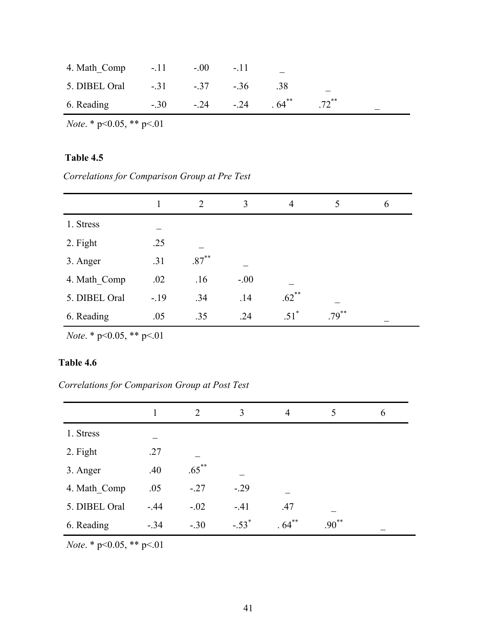| 4. Math_Comp $-.11$ $-.00$ $-.11$       |  |     |                     |  |
|-----------------------------------------|--|-----|---------------------|--|
| 5. DIBEL Oral -.31 -.37 -.36            |  | .38 |                     |  |
| 6. Reading $-30$ $-24$ $-24$ $-64^{**}$ |  |     | $.72$ <sup>**</sup> |  |

*Note*. \* p<0.05, \*\* p<.01

## **Table 4.5**

 *Correlations for Comparison Group at Pre Test*

|               |       | 2        | 3      | $\overline{4}$     |          | 6 |
|---------------|-------|----------|--------|--------------------|----------|---|
| 1. Stress     |       |          |        |                    |          |   |
| 2. Fight      | .25   |          |        |                    |          |   |
| 3. Anger      | .31   | $.87***$ |        |                    |          |   |
| 4. Math Comp  | .02   | .16      | $-.00$ |                    |          |   |
| 5. DIBEL Oral | $-19$ | .34      | .14    | $.62***$           |          |   |
| 6. Reading    | .05   | .35      | .24    | $.51$ <sup>*</sup> | $.79***$ |   |

*Note*. \* p<0.05, \*\* p<.01

# **Table 4.6**

*Correlations for Comparison Group at Post Test*

|               |        | 2        | 3                   | $\overline{4}$ | 5        | 6 |
|---------------|--------|----------|---------------------|----------------|----------|---|
| 1. Stress     |        |          |                     |                |          |   |
| 2. Fight      | .27    |          |                     |                |          |   |
| 3. Anger      | .40    | $.65***$ |                     |                |          |   |
| 4. Math Comp  | .05    | $-.27$   | $-.29$              |                |          |   |
| 5. DIBEL Oral | $-44$  | $-.02$   | $-41$               | .47            |          |   |
| 6. Reading    | $-.34$ | $-.30$   | $-.53$ <sup>*</sup> | $.64***$       | $.90***$ |   |

*Note*. \* p<0.05, \*\* p<.01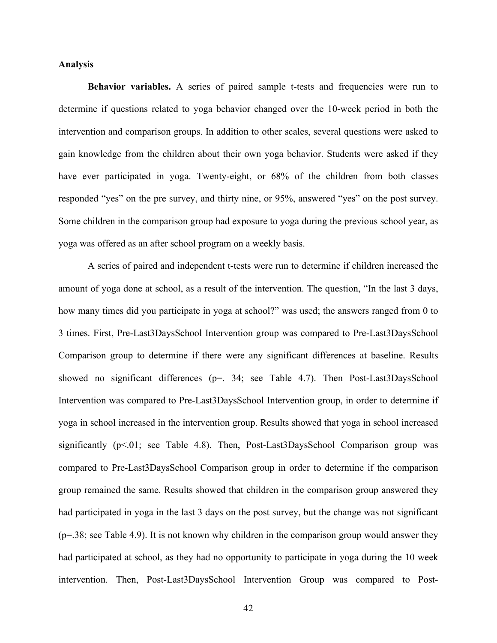### **Analysis**

**Behavior variables.** A series of paired sample t-tests and frequencies were run to determine if questions related to yoga behavior changed over the 10-week period in both the intervention and comparison groups. In addition to other scales, several questions were asked to gain knowledge from the children about their own yoga behavior. Students were asked if they have ever participated in yoga. Twenty-eight, or 68% of the children from both classes responded "yes" on the pre survey, and thirty nine, or 95%, answered "yes" on the post survey. Some children in the comparison group had exposure to yoga during the previous school year, as yoga was offered as an after school program on a weekly basis.

A series of paired and independent t-tests were run to determine if children increased the amount of yoga done at school, as a result of the intervention. The question, "In the last 3 days, how many times did you participate in yoga at school?" was used; the answers ranged from 0 to 3 times. First, Pre-Last3DaysSchool Intervention group was compared to Pre-Last3DaysSchool Comparison group to determine if there were any significant differences at baseline. Results showed no significant differences (p=. 34; see Table 4.7). Then Post-Last3DaysSchool Intervention was compared to Pre-Last3DaysSchool Intervention group, in order to determine if yoga in school increased in the intervention group. Results showed that yoga in school increased significantly  $(p<.01$ ; see Table 4.8). Then, Post-Last3DaysSchool Comparison group was compared to Pre-Last3DaysSchool Comparison group in order to determine if the comparison group remained the same. Results showed that children in the comparison group answered they had participated in yoga in the last 3 days on the post survey, but the change was not significant  $(p=38;$  see Table 4.9). It is not known why children in the comparison group would answer they had participated at school, as they had no opportunity to participate in yoga during the 10 week intervention. Then, Post-Last3DaysSchool Intervention Group was compared to Post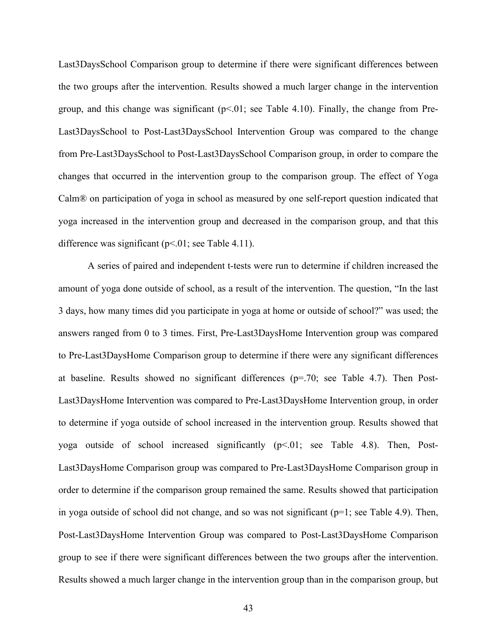Last3DaysSchool Comparison group to determine if there were significant differences between the two groups after the intervention. Results showed a much larger change in the intervention group, and this change was significant  $(p<0.01)$ ; see Table 4.10). Finally, the change from Pre-Last3DaysSchool to Post-Last3DaysSchool Intervention Group was compared to the change from Pre-Last3DaysSchool to Post-Last3DaysSchool Comparison group, in order to compare the changes that occurred in the intervention group to the comparison group. The effect of Yoga Calm® on participation of yoga in school as measured by one self-report question indicated that yoga increased in the intervention group and decreased in the comparison group, and that this difference was significant ( $p<01$ ; see Table 4.11).

A series of paired and independent t-tests were run to determine if children increased the amount of yoga done outside of school, as a result of the intervention. The question, "In the last 3 days, how many times did you participate in yoga at home or outside of school?" was used; the answers ranged from 0 to 3 times. First, Pre-Last3DaysHome Intervention group was compared to Pre-Last3DaysHome Comparison group to determine if there were any significant differences at baseline. Results showed no significant differences (p=.70; see Table 4.7). Then Post-Last3DaysHome Intervention was compared to Pre-Last3DaysHome Intervention group, in order to determine if yoga outside of school increased in the intervention group. Results showed that yoga outside of school increased significantly  $(p<.01$ ; see Table 4.8). Then, Post-Last3DaysHome Comparison group was compared to Pre-Last3DaysHome Comparison group in order to determine if the comparison group remained the same. Results showed that participation in yoga outside of school did not change, and so was not significant  $(p=1;$  see Table 4.9). Then, Post-Last3DaysHome Intervention Group was compared to Post-Last3DaysHome Comparison group to see if there were significant differences between the two groups after the intervention. Results showed a much larger change in the intervention group than in the comparison group, but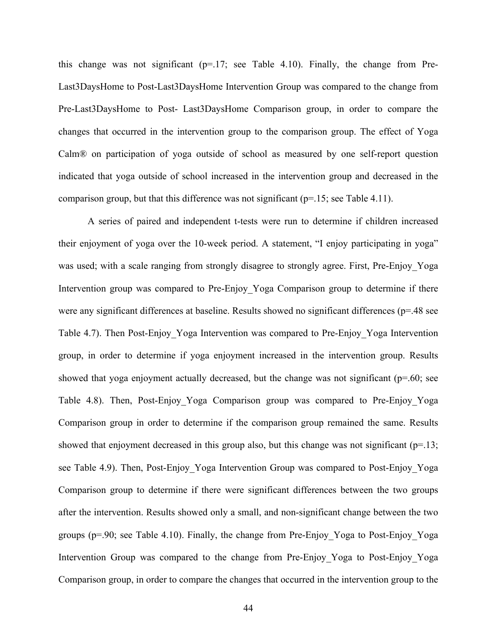this change was not significant  $(p=17;$  see Table 4.10). Finally, the change from Pre-Last3DaysHome to Post-Last3DaysHome Intervention Group was compared to the change from Pre-Last3DaysHome to Post- Last3DaysHome Comparison group, in order to compare the changes that occurred in the intervention group to the comparison group. The effect of Yoga Calm® on participation of yoga outside of school as measured by one self-report question indicated that yoga outside of school increased in the intervention group and decreased in the comparison group, but that this difference was not significant ( $p=15$ ; see Table 4.11).

A series of paired and independent t-tests were run to determine if children increased their enjoyment of yoga over the 10-week period. A statement, "I enjoy participating in yoga" was used; with a scale ranging from strongly disagree to strongly agree. First, Pre-Enjoy Yoga Intervention group was compared to Pre-Enjoy\_Yoga Comparison group to determine if there were any significant differences at baseline. Results showed no significant differences (p=.48 see Table 4.7). Then Post-Enjoy\_Yoga Intervention was compared to Pre-Enjoy\_Yoga Intervention group, in order to determine if yoga enjoyment increased in the intervention group. Results showed that yoga enjoyment actually decreased, but the change was not significant ( $p=60$ ; see Table 4.8). Then, Post-Enjoy\_Yoga Comparison group was compared to Pre-Enjoy\_Yoga Comparison group in order to determine if the comparison group remained the same. Results showed that enjoyment decreased in this group also, but this change was not significant ( $p=13$ ; see Table 4.9). Then, Post-Enjoy\_Yoga Intervention Group was compared to Post-Enjoy\_Yoga Comparison group to determine if there were significant differences between the two groups after the intervention. Results showed only a small, and non-significant change between the two groups (p=.90; see Table 4.10). Finally, the change from Pre-Enjoy\_Yoga to Post-Enjoy\_Yoga Intervention Group was compared to the change from Pre-Enjoy\_Yoga to Post-Enjoy\_Yoga Comparison group, in order to compare the changes that occurred in the intervention group to the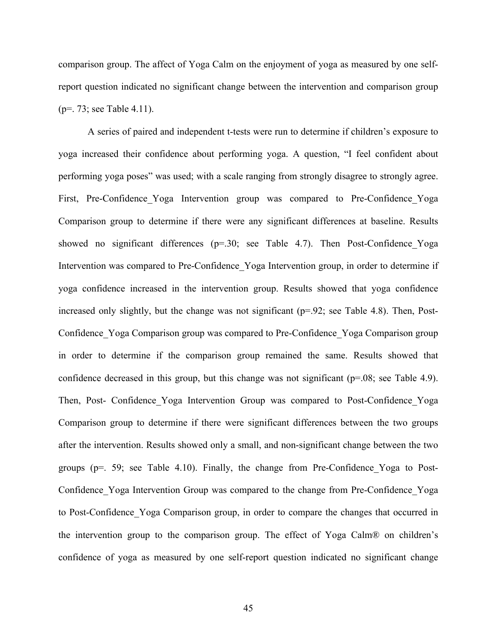comparison group. The affect of Yoga Calm on the enjoyment of yoga as measured by one selfreport question indicated no significant change between the intervention and comparison group (p=. 73; see Table 4.11).

A series of paired and independent t-tests were run to determine if children's exposure to yoga increased their confidence about performing yoga. A question, "I feel confident about performing yoga poses" was used; with a scale ranging from strongly disagree to strongly agree. First, Pre-Confidence Yoga Intervention group was compared to Pre-Confidence Yoga Comparison group to determine if there were any significant differences at baseline. Results showed no significant differences ( $p=30$ ; see Table 4.7). Then Post-Confidence Yoga Intervention was compared to Pre-Confidence Yoga Intervention group, in order to determine if yoga confidence increased in the intervention group. Results showed that yoga confidence increased only slightly, but the change was not significant  $(p=0.92)$ ; see Table 4.8). Then, Post-Confidence\_Yoga Comparison group was compared to Pre-Confidence\_Yoga Comparison group in order to determine if the comparison group remained the same. Results showed that confidence decreased in this group, but this change was not significant (p=.08; see Table 4.9). Then, Post- Confidence\_Yoga Intervention Group was compared to Post-Confidence\_Yoga Comparison group to determine if there were significant differences between the two groups after the intervention. Results showed only a small, and non-significant change between the two groups ( $p=$ . 59; see Table 4.10). Finally, the change from Pre-Confidence Yoga to Post-Confidence\_Yoga Intervention Group was compared to the change from Pre-Confidence\_Yoga to Post-Confidence\_Yoga Comparison group, in order to compare the changes that occurred in the intervention group to the comparison group. The effect of Yoga Calm® on children's confidence of yoga as measured by one self-report question indicated no significant change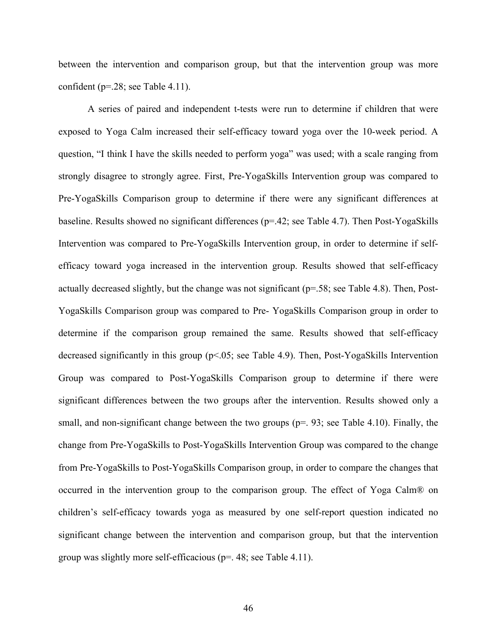between the intervention and comparison group, but that the intervention group was more confident (p=.28; see Table 4.11).

A series of paired and independent t-tests were run to determine if children that were exposed to Yoga Calm increased their self-efficacy toward yoga over the 10-week period. A question, "I think I have the skills needed to perform yoga" was used; with a scale ranging from strongly disagree to strongly agree. First, Pre-YogaSkills Intervention group was compared to Pre-YogaSkills Comparison group to determine if there were any significant differences at baseline. Results showed no significant differences (p=.42; see Table 4.7). Then Post-YogaSkills Intervention was compared to Pre-YogaSkills Intervention group, in order to determine if selfefficacy toward yoga increased in the intervention group. Results showed that self-efficacy actually decreased slightly, but the change was not significant  $(p=58;$  see Table 4.8). Then, Post-YogaSkills Comparison group was compared to Pre- YogaSkills Comparison group in order to determine if the comparison group remained the same. Results showed that self-efficacy decreased significantly in this group (p<.05; see Table 4.9). Then, Post-YogaSkills Intervention Group was compared to Post-YogaSkills Comparison group to determine if there were significant differences between the two groups after the intervention. Results showed only a small, and non-significant change between the two groups ( $p=$ , 93; see Table 4.10). Finally, the change from Pre-YogaSkills to Post-YogaSkills Intervention Group was compared to the change from Pre-YogaSkills to Post-YogaSkills Comparison group, in order to compare the changes that occurred in the intervention group to the comparison group. The effect of Yoga Calm® on children's self-efficacy towards yoga as measured by one self-report question indicated no significant change between the intervention and comparison group, but that the intervention group was slightly more self-efficacious ( $p=$ . 48; see Table 4.11).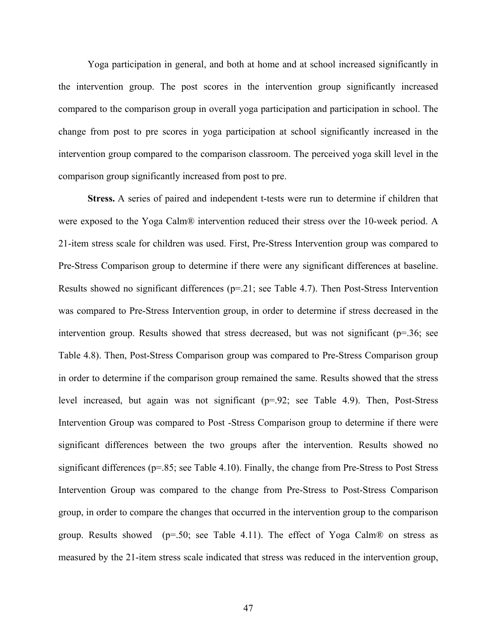Yoga participation in general, and both at home and at school increased significantly in the intervention group. The post scores in the intervention group significantly increased compared to the comparison group in overall yoga participation and participation in school. The change from post to pre scores in yoga participation at school significantly increased in the intervention group compared to the comparison classroom. The perceived yoga skill level in the comparison group significantly increased from post to pre.

**Stress.** A series of paired and independent t-tests were run to determine if children that were exposed to the Yoga Calm® intervention reduced their stress over the 10-week period. A 21-item stress scale for children was used. First, Pre-Stress Intervention group was compared to Pre-Stress Comparison group to determine if there were any significant differences at baseline. Results showed no significant differences ( $p=21$ ; see Table 4.7). Then Post-Stress Intervention was compared to Pre-Stress Intervention group, in order to determine if stress decreased in the intervention group. Results showed that stress decreased, but was not significant ( $p=36$ ; see Table 4.8). Then, Post-Stress Comparison group was compared to Pre-Stress Comparison group in order to determine if the comparison group remained the same. Results showed that the stress level increased, but again was not significant (p=.92; see Table 4.9). Then, Post-Stress Intervention Group was compared to Post -Stress Comparison group to determine if there were significant differences between the two groups after the intervention. Results showed no significant differences ( $p=85$ ; see Table 4.10). Finally, the change from Pre-Stress to Post Stress Intervention Group was compared to the change from Pre-Stress to Post-Stress Comparison group, in order to compare the changes that occurred in the intervention group to the comparison group. Results showed ( $p=50$ ; see Table 4.11). The effect of Yoga Calm® on stress as measured by the 21-item stress scale indicated that stress was reduced in the intervention group,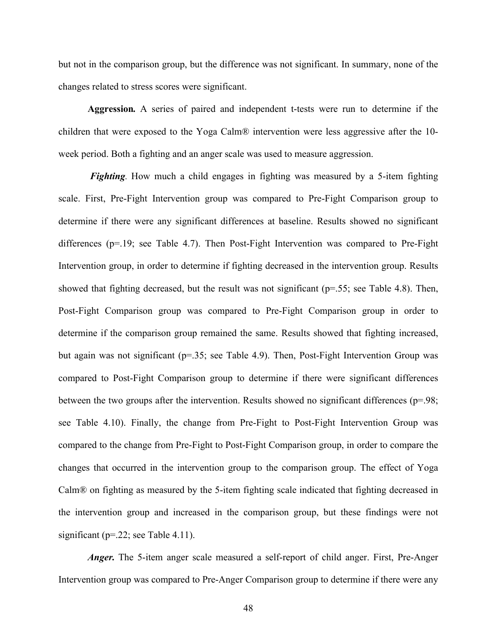but not in the comparison group, but the difference was not significant. In summary, none of the changes related to stress scores were significant.

**Aggression***.* A series of paired and independent t-tests were run to determine if the children that were exposed to the Yoga Calm® intervention were less aggressive after the 10 week period. Both a fighting and an anger scale was used to measure aggression.

*Fighting*. How much a child engages in fighting was measured by a 5-item fighting scale. First, Pre-Fight Intervention group was compared to Pre-Fight Comparison group to determine if there were any significant differences at baseline. Results showed no significant differences (p=.19; see Table 4.7). Then Post-Fight Intervention was compared to Pre-Fight Intervention group, in order to determine if fighting decreased in the intervention group. Results showed that fighting decreased, but the result was not significant ( $p=0.55$ ; see Table 4.8). Then, Post-Fight Comparison group was compared to Pre-Fight Comparison group in order to determine if the comparison group remained the same. Results showed that fighting increased, but again was not significant (p=.35; see Table 4.9). Then, Post-Fight Intervention Group was compared to Post-Fight Comparison group to determine if there were significant differences between the two groups after the intervention. Results showed no significant differences (p=.98; see Table 4.10). Finally, the change from Pre-Fight to Post-Fight Intervention Group was compared to the change from Pre-Fight to Post-Fight Comparison group, in order to compare the changes that occurred in the intervention group to the comparison group. The effect of Yoga Calm® on fighting as measured by the 5-item fighting scale indicated that fighting decreased in the intervention group and increased in the comparison group, but these findings were not significant ( $p = 22$ ; see Table 4.11).

*Anger*. The 5-item anger scale measured a self-report of child anger. First, Pre-Anger Intervention group was compared to Pre-Anger Comparison group to determine if there were any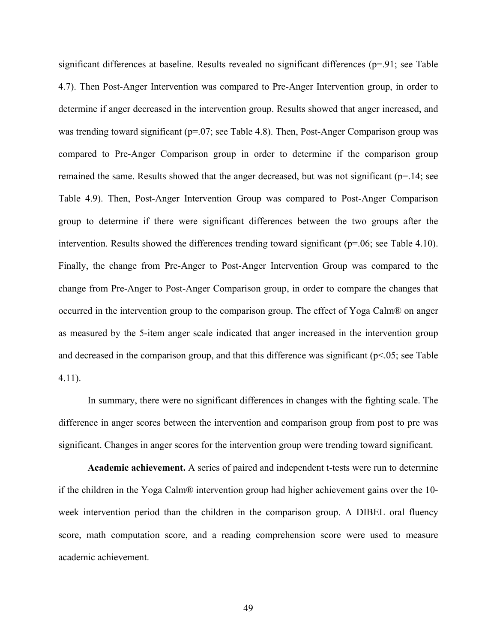significant differences at baseline. Results revealed no significant differences (p=.91; see Table 4.7). Then Post-Anger Intervention was compared to Pre-Anger Intervention group, in order to determine if anger decreased in the intervention group. Results showed that anger increased, and was trending toward significant (p=.07; see Table 4.8). Then, Post-Anger Comparison group was compared to Pre-Anger Comparison group in order to determine if the comparison group remained the same. Results showed that the anger decreased, but was not significant ( $p=14$ ; see Table 4.9). Then, Post-Anger Intervention Group was compared to Post-Anger Comparison group to determine if there were significant differences between the two groups after the intervention. Results showed the differences trending toward significant (p=.06; see Table 4.10). Finally, the change from Pre-Anger to Post-Anger Intervention Group was compared to the change from Pre-Anger to Post-Anger Comparison group, in order to compare the changes that occurred in the intervention group to the comparison group. The effect of Yoga Calm® on anger as measured by the 5-item anger scale indicated that anger increased in the intervention group and decreased in the comparison group, and that this difference was significant ( $p<.05$ ; see Table 4.11).

In summary, there were no significant differences in changes with the fighting scale. The difference in anger scores between the intervention and comparison group from post to pre was significant. Changes in anger scores for the intervention group were trending toward significant.

**Academic achievement.** A series of paired and independent t-tests were run to determine if the children in the Yoga Calm® intervention group had higher achievement gains over the 10 week intervention period than the children in the comparison group. A DIBEL oral fluency score, math computation score, and a reading comprehension score were used to measure academic achievement.

49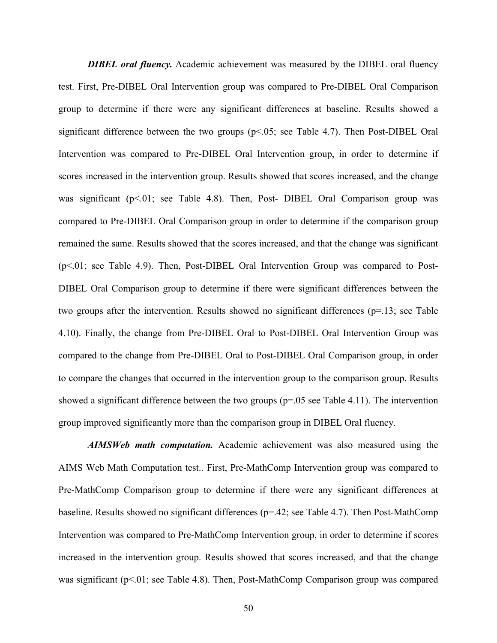*DIBEL oral fluency.* Academic achievement was measured by the DIBEL oral fluency test. First, Pre-DIBEL Oral Intervention group was compared to Pre-DIBEL Oral Comparison group to determine if there were any significant differences at baseline. Results showed a significant difference between the two groups  $(p<0.05$ ; see Table 4.7). Then Post-DIBEL Oral Intervention was compared to Pre-DIBEL Oral Intervention group, in order to determine if scores increased in the intervention group. Results showed that scores increased, and the change was significant  $(p<0.01$ ; see Table 4.8). Then, Post- DIBEL Oral Comparison group was compared to Pre-DIBEL Oral Comparison group in order to determine if the comparison group remained the same. Results showed that the scores increased, and that the change was significant (p<.01; see Table 4.9). Then, Post-DIBEL Oral Intervention Group was compared to Post-DIBEL Oral Comparison group to determine if there were significant differences between the two groups after the intervention. Results showed no significant differences  $(p=13)$ ; see Table 4.10). Finally, the change from Pre-DIBEL Oral to Post-DIBEL Oral Intervention Group was compared to the change from Pre-DIBEL Oral to Post-DIBEL Oral Comparison group, in order to compare the changes that occurred in the intervention group to the comparison group. Results showed a significant difference between the two groups ( $p=.05$  see Table 4.11). The intervention group improved significantly more than the comparison group in DIBEL Oral fluency.

*AIMSWeb math computation.* Academic achievement was also measured using the AIMS Web Math Computation test.. First, Pre-MathComp Intervention group was compared to Pre-MathComp Comparison group to determine if there were any significant differences at baseline. Results showed no significant differences (p=.42; see Table 4.7). Then Post-MathComp Intervention was compared to Pre-MathComp Intervention group, in order to determine if scores increased in the intervention group. Results showed that scores increased, and that the change was significant ( $p<01$ ; see Table 4.8). Then, Post-MathComp Comparison group was compared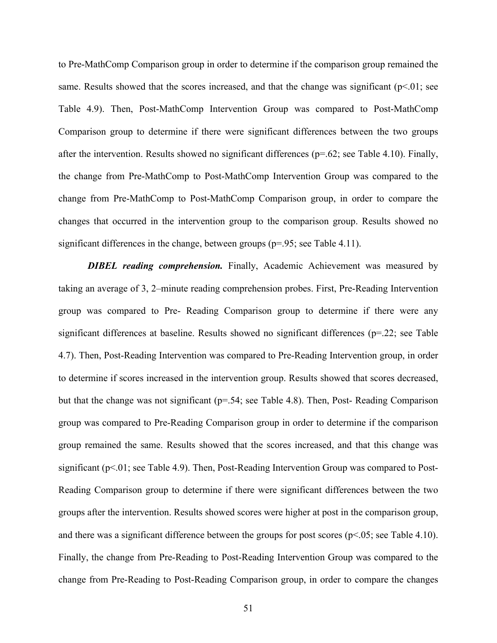to Pre-MathComp Comparison group in order to determine if the comparison group remained the same. Results showed that the scores increased, and that the change was significant ( $p<01$ ; see Table 4.9). Then, Post-MathComp Intervention Group was compared to Post-MathComp Comparison group to determine if there were significant differences between the two groups after the intervention. Results showed no significant differences ( $p=62$ ; see Table 4.10). Finally, the change from Pre-MathComp to Post-MathComp Intervention Group was compared to the change from Pre-MathComp to Post-MathComp Comparison group, in order to compare the changes that occurred in the intervention group to the comparison group. Results showed no significant differences in the change, between groups ( $p=0.95$ ; see Table 4.11).

*DIBEL reading comprehension.* Finally, Academic Achievement was measured by taking an average of 3, 2–minute reading comprehension probes. First, Pre-Reading Intervention group was compared to Pre- Reading Comparison group to determine if there were any significant differences at baseline. Results showed no significant differences (p=.22; see Table 4.7). Then, Post-Reading Intervention was compared to Pre-Reading Intervention group, in order to determine if scores increased in the intervention group. Results showed that scores decreased, but that the change was not significant  $(p=.54;$  see Table 4.8). Then, Post-Reading Comparison group was compared to Pre-Reading Comparison group in order to determine if the comparison group remained the same. Results showed that the scores increased, and that this change was significant (p<.01; see Table 4.9). Then, Post-Reading Intervention Group was compared to Post-Reading Comparison group to determine if there were significant differences between the two groups after the intervention. Results showed scores were higher at post in the comparison group, and there was a significant difference between the groups for post scores ( $p<.05$ ; see Table 4.10). Finally, the change from Pre-Reading to Post-Reading Intervention Group was compared to the change from Pre-Reading to Post-Reading Comparison group, in order to compare the changes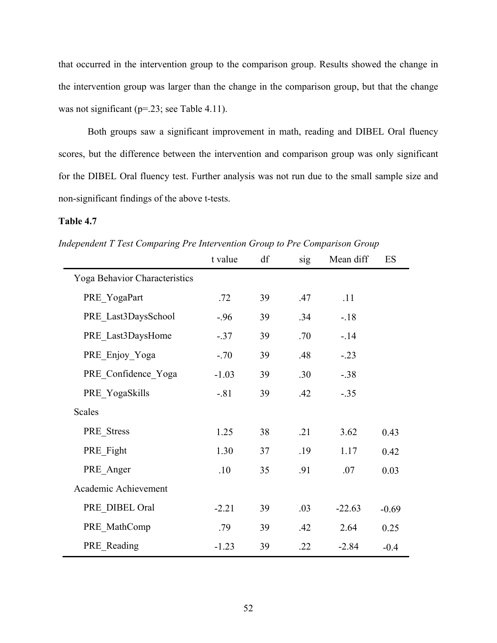that occurred in the intervention group to the comparison group. Results showed the change in the intervention group was larger than the change in the comparison group, but that the change was not significant (p=.23; see Table 4.11).

Both groups saw a significant improvement in math, reading and DIBEL Oral fluency scores, but the difference between the intervention and comparison group was only significant for the DIBEL Oral fluency test. Further analysis was not run due to the small sample size and non-significant findings of the above t-tests.

*Independent T Test Comparing Pre Intervention Group to Pre Comparison Group*

|                               | t value | df | sig | Mean diff | ES      |
|-------------------------------|---------|----|-----|-----------|---------|
| Yoga Behavior Characteristics |         |    |     |           |         |
| PRE YogaPart                  | .72     | 39 | .47 | .11       |         |
| PRE Last3DaysSchool           | $-.96$  | 39 | .34 | $-.18$    |         |
| PRE Last3DaysHome             | $-37$   | 39 | .70 | $-14$     |         |
| PRE Enjoy Yoga                | $-.70$  | 39 | .48 | $-.23$    |         |
| PRE Confidence Yoga           | $-1.03$ | 39 | .30 | $-.38$    |         |
| PRE YogaSkills                | $-.81$  | 39 | .42 | $-.35$    |         |
| Scales                        |         |    |     |           |         |
| PRE_Stress                    | 1.25    | 38 | .21 | 3.62      | 0.43    |
| PRE_Fight                     | 1.30    | 37 | .19 | 1.17      | 0.42    |
| PRE Anger                     | .10     | 35 | .91 | .07       | 0.03    |
| Academic Achievement          |         |    |     |           |         |
| PRE_DIBEL Oral                | $-2.21$ | 39 | .03 | $-22.63$  | $-0.69$ |
| PRE MathComp                  | .79     | 39 | .42 | 2.64      | 0.25    |
| PRE_Reading                   | $-1.23$ | 39 | .22 | $-2.84$   | $-0.4$  |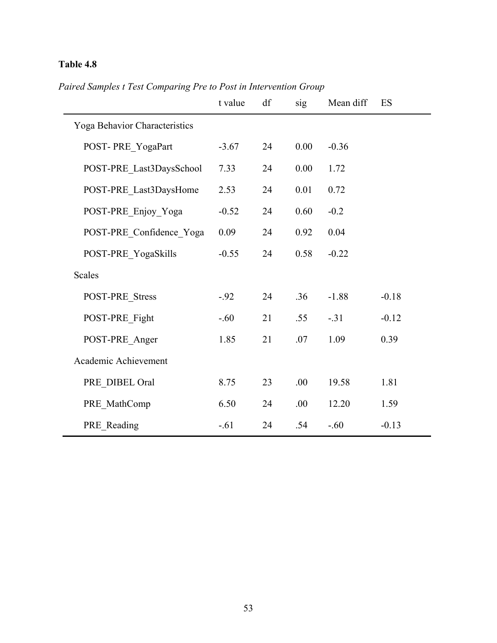|                               | t value | df | sig  | Mean diff | ES      |
|-------------------------------|---------|----|------|-----------|---------|
| Yoga Behavior Characteristics |         |    |      |           |         |
| POST-PRE YogaPart             | $-3.67$ | 24 | 0.00 | $-0.36$   |         |
| POST-PRE_Last3DaysSchool      | 7.33    | 24 | 0.00 | 1.72      |         |
| POST-PRE Last3DaysHome        | 2.53    | 24 | 0.01 | 0.72      |         |
| POST-PRE_Enjoy_Yoga           | $-0.52$ | 24 | 0.60 | $-0.2$    |         |
| POST-PRE_Confidence_Yoga      | 0.09    | 24 | 0.92 | 0.04      |         |
| POST-PRE_YogaSkills           | $-0.55$ | 24 | 0.58 | $-0.22$   |         |
| Scales                        |         |    |      |           |         |
| POST-PRE_Stress               | $-.92$  | 24 | .36  | $-1.88$   | $-0.18$ |
| POST-PRE Fight                | $-.60$  | 21 | .55  | $-.31$    | $-0.12$ |
| POST-PRE_Anger                | 1.85    | 21 | .07  | 1.09      | 0.39    |
| Academic Achievement          |         |    |      |           |         |
| PRE DIBEL Oral                | 8.75    | 23 | .00  | 19.58     | 1.81    |
| PRE MathComp                  | 6.50    | 24 | .00  | 12.20     | 1.59    |
| PRE_Reading                   | $-.61$  | 24 | .54  | $-.60$    | $-0.13$ |

*Paired Samples t Test Comparing Pre to Post in Intervention Group*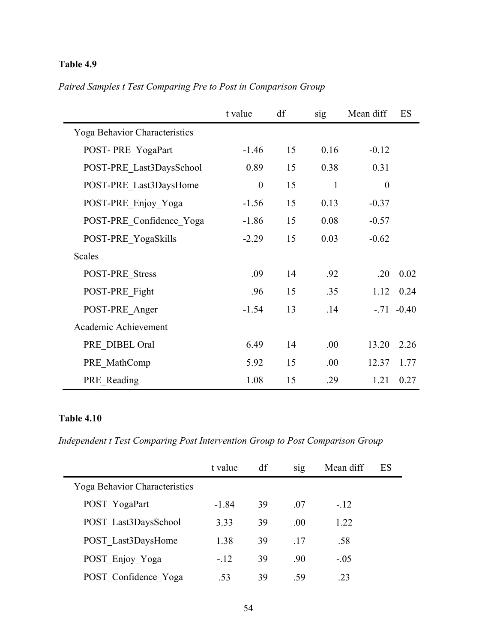|                                      | t value  | df | sig          | Mean diff | ES           |
|--------------------------------------|----------|----|--------------|-----------|--------------|
| <b>Yoga Behavior Characteristics</b> |          |    |              |           |              |
| POST-PRE YogaPart                    | $-1.46$  | 15 | 0.16         | $-0.12$   |              |
| POST-PRE Last3DaysSchool             | 0.89     | 15 | 0.38         | 0.31      |              |
| POST-PRE Last3DaysHome               | $\theta$ | 15 | $\mathbf{1}$ | $\theta$  |              |
| POST-PRE Enjoy Yoga                  | $-1.56$  | 15 | 0.13         | $-0.37$   |              |
| POST-PRE Confidence Yoga             | $-1.86$  | 15 | 0.08         | $-0.57$   |              |
| POST-PRE YogaSkills                  | $-2.29$  | 15 | 0.03         | $-0.62$   |              |
| <b>Scales</b>                        |          |    |              |           |              |
| POST-PRE Stress                      | .09      | 14 | .92          | .20       | 0.02         |
| POST-PRE Fight                       | .96      | 15 | .35          | 1.12      | 0.24         |
| POST-PRE_Anger                       | $-1.54$  | 13 | .14          |           | $-.71 -0.40$ |
| Academic Achievement                 |          |    |              |           |              |
| PRE DIBEL Oral                       | 6.49     | 14 | .00.         | 13.20     | 2.26         |
| PRE MathComp                         | 5.92     | 15 | .00.         | 12.37     | 1.77         |
| PRE Reading                          | 1.08     | 15 | .29          | 1.21      | 0.27         |

*Paired Samples t Test Comparing Pre to Post in Comparison Group*

*Independent t Test Comparing Post Intervention Group to Post Comparison Group*

|                               | t value | df | S1g  | Mean diff | ES |
|-------------------------------|---------|----|------|-----------|----|
| Yoga Behavior Characteristics |         |    |      |           |    |
| POST YogaPart                 | $-1.84$ | 39 | -07  | $-.12$    |    |
| POST Last3DaysSchool          | 3.33    | 39 | .00. | 1.22      |    |
| POST Last3DaysHome            | 1.38    | 39 | -17  | .58       |    |
| POST Enjoy Yoga               | $-.12$  | 39 | .90  | $-.05$    |    |
| POST Confidence Yoga          | .53     | 39 | -59  | .23       |    |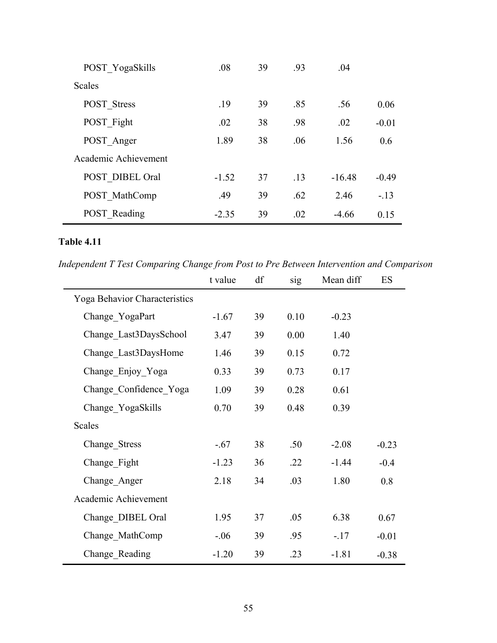| POST YogaSkills      | .08     | 39 | .93 | .04      |         |
|----------------------|---------|----|-----|----------|---------|
| Scales               |         |    |     |          |         |
| <b>POST</b> Stress   | .19     | 39 | .85 | .56      | 0.06    |
| POST Fight           | .02     | 38 | .98 | .02      | $-0.01$ |
| POST Anger           | 1.89    | 38 | .06 | 1.56     | 0.6     |
| Academic Achievement |         |    |     |          |         |
| POST DIBEL Oral      | $-1.52$ | 37 | .13 | $-16.48$ | $-0.49$ |
| POST MathComp        | .49     | 39 | .62 | 2.46     | $-13$   |
| <b>POST</b> Reading  | $-2.35$ | 39 | .02 | $-4.66$  | 0.15    |

*Independent T Test Comparing Change from Post to Pre Between Intervention and Comparison*

|                               | t value | df | sig  | Mean diff | ES      |
|-------------------------------|---------|----|------|-----------|---------|
| Yoga Behavior Characteristics |         |    |      |           |         |
| Change YogaPart               | $-1.67$ | 39 | 0.10 | $-0.23$   |         |
| Change Last3DaysSchool        | 3.47    | 39 | 0.00 | 1.40      |         |
| Change Last3DaysHome          | 1.46    | 39 | 0.15 | 0.72      |         |
| Change Enjoy Yoga             | 0.33    | 39 | 0.73 | 0.17      |         |
| Change Confidence Yoga        | 1.09    | 39 | 0.28 | 0.61      |         |
| Change YogaSkills             | 0.70    | 39 | 0.48 | 0.39      |         |
| Scales                        |         |    |      |           |         |
| Change Stress                 | $-.67$  | 38 | .50  | $-2.08$   | $-0.23$ |
| Change_Fight                  | $-1.23$ | 36 | .22  | $-1.44$   | $-0.4$  |
| Change Anger                  | 2.18    | 34 | .03  | 1.80      | 0.8     |
| Academic Achievement          |         |    |      |           |         |
| Change DIBEL Oral             | 1.95    | 37 | .05  | 6.38      | 0.67    |
| Change MathComp               | $-06$   | 39 | .95  | $-17$     | $-0.01$ |
| Change Reading                | $-1.20$ | 39 | .23  | $-1.81$   | $-0.38$ |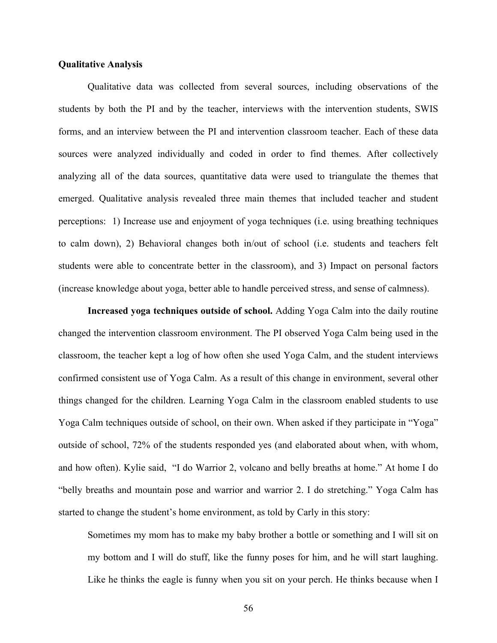### **Qualitative Analysis**

Qualitative data was collected from several sources, including observations of the students by both the PI and by the teacher, interviews with the intervention students, SWIS forms, and an interview between the PI and intervention classroom teacher. Each of these data sources were analyzed individually and coded in order to find themes. After collectively analyzing all of the data sources, quantitative data were used to triangulate the themes that emerged. Qualitative analysis revealed three main themes that included teacher and student perceptions: 1) Increase use and enjoyment of yoga techniques (i.e. using breathing techniques to calm down), 2) Behavioral changes both in/out of school (i.e. students and teachers felt students were able to concentrate better in the classroom), and 3) Impact on personal factors (increase knowledge about yoga, better able to handle perceived stress, and sense of calmness).

**Increased yoga techniques outside of school.** Adding Yoga Calm into the daily routine changed the intervention classroom environment. The PI observed Yoga Calm being used in the classroom, the teacher kept a log of how often she used Yoga Calm, and the student interviews confirmed consistent use of Yoga Calm. As a result of this change in environment, several other things changed for the children. Learning Yoga Calm in the classroom enabled students to use Yoga Calm techniques outside of school, on their own. When asked if they participate in "Yoga" outside of school, 72% of the students responded yes (and elaborated about when, with whom, and how often). Kylie said, "I do Warrior 2, volcano and belly breaths at home." At home I do "belly breaths and mountain pose and warrior and warrior 2. I do stretching." Yoga Calm has started to change the student's home environment, as told by Carly in this story:

Sometimes my mom has to make my baby brother a bottle or something and I will sit on my bottom and I will do stuff, like the funny poses for him, and he will start laughing. Like he thinks the eagle is funny when you sit on your perch. He thinks because when I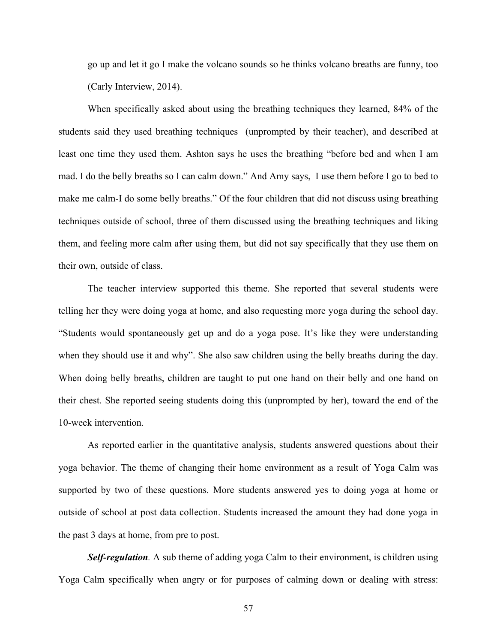go up and let it go I make the volcano sounds so he thinks volcano breaths are funny, too (Carly Interview, 2014).

When specifically asked about using the breathing techniques they learned, 84% of the students said they used breathing techniques (unprompted by their teacher), and described at least one time they used them. Ashton says he uses the breathing "before bed and when I am mad. I do the belly breaths so I can calm down." And Amy says, I use them before I go to bed to make me calm-I do some belly breaths." Of the four children that did not discuss using breathing techniques outside of school, three of them discussed using the breathing techniques and liking them, and feeling more calm after using them, but did not say specifically that they use them on their own, outside of class.

The teacher interview supported this theme. She reported that several students were telling her they were doing yoga at home, and also requesting more yoga during the school day. "Students would spontaneously get up and do a yoga pose. It's like they were understanding when they should use it and why". She also saw children using the belly breaths during the day. When doing belly breaths, children are taught to put one hand on their belly and one hand on their chest. She reported seeing students doing this (unprompted by her), toward the end of the 10-week intervention.

As reported earlier in the quantitative analysis, students answered questions about their yoga behavior. The theme of changing their home environment as a result of Yoga Calm was supported by two of these questions. More students answered yes to doing yoga at home or outside of school at post data collection. Students increased the amount they had done yoga in the past 3 days at home, from pre to post.

*Self-regulation.* A sub theme of adding yoga Calm to their environment, is children using Yoga Calm specifically when angry or for purposes of calming down or dealing with stress: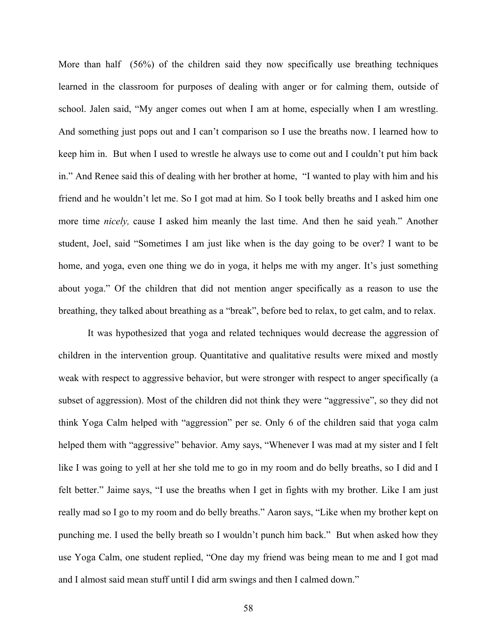More than half (56%) of the children said they now specifically use breathing techniques learned in the classroom for purposes of dealing with anger or for calming them, outside of school. Jalen said, "My anger comes out when I am at home, especially when I am wrestling. And something just pops out and I can't comparison so I use the breaths now. I learned how to keep him in. But when I used to wrestle he always use to come out and I couldn't put him back in." And Renee said this of dealing with her brother at home, "I wanted to play with him and his friend and he wouldn't let me. So I got mad at him. So I took belly breaths and I asked him one more time *nicely,* cause I asked him meanly the last time. And then he said yeah." Another student, Joel, said "Sometimes I am just like when is the day going to be over? I want to be home, and yoga, even one thing we do in yoga, it helps me with my anger. It's just something about yoga." Of the children that did not mention anger specifically as a reason to use the breathing, they talked about breathing as a "break", before bed to relax, to get calm, and to relax.

It was hypothesized that yoga and related techniques would decrease the aggression of children in the intervention group. Quantitative and qualitative results were mixed and mostly weak with respect to aggressive behavior, but were stronger with respect to anger specifically (a subset of aggression). Most of the children did not think they were "aggressive", so they did not think Yoga Calm helped with "aggression" per se. Only 6 of the children said that yoga calm helped them with "aggressive" behavior. Amy says, "Whenever I was mad at my sister and I felt like I was going to yell at her she told me to go in my room and do belly breaths, so I did and I felt better." Jaime says, "I use the breaths when I get in fights with my brother. Like I am just really mad so I go to my room and do belly breaths." Aaron says, "Like when my brother kept on punching me. I used the belly breath so I wouldn't punch him back." But when asked how they use Yoga Calm, one student replied, "One day my friend was being mean to me and I got mad and I almost said mean stuff until I did arm swings and then I calmed down."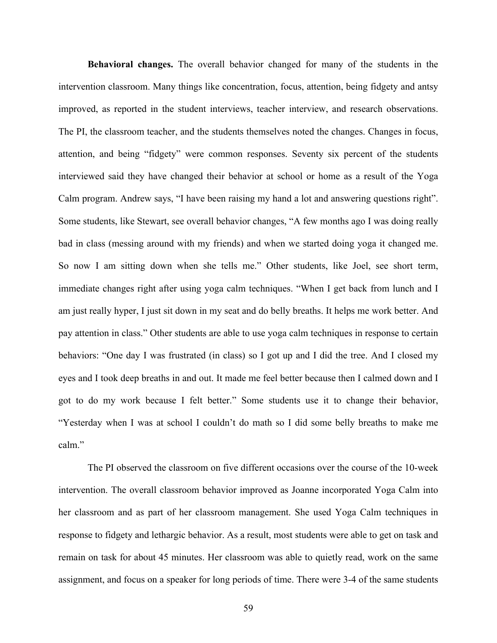**Behavioral changes.** The overall behavior changed for many of the students in the intervention classroom. Many things like concentration, focus, attention, being fidgety and antsy improved, as reported in the student interviews, teacher interview, and research observations. The PI, the classroom teacher, and the students themselves noted the changes. Changes in focus, attention, and being "fidgety" were common responses. Seventy six percent of the students interviewed said they have changed their behavior at school or home as a result of the Yoga Calm program. Andrew says, "I have been raising my hand a lot and answering questions right". Some students, like Stewart, see overall behavior changes, "A few months ago I was doing really bad in class (messing around with my friends) and when we started doing yoga it changed me. So now I am sitting down when she tells me." Other students, like Joel, see short term, immediate changes right after using yoga calm techniques. "When I get back from lunch and I am just really hyper, I just sit down in my seat and do belly breaths. It helps me work better. And pay attention in class." Other students are able to use yoga calm techniques in response to certain behaviors: "One day I was frustrated (in class) so I got up and I did the tree. And I closed my eyes and I took deep breaths in and out. It made me feel better because then I calmed down and I got to do my work because I felt better." Some students use it to change their behavior, "Yesterday when I was at school I couldn't do math so I did some belly breaths to make me calm"

The PI observed the classroom on five different occasions over the course of the 10-week intervention. The overall classroom behavior improved as Joanne incorporated Yoga Calm into her classroom and as part of her classroom management. She used Yoga Calm techniques in response to fidgety and lethargic behavior. As a result, most students were able to get on task and remain on task for about 45 minutes. Her classroom was able to quietly read, work on the same assignment, and focus on a speaker for long periods of time. There were 3-4 of the same students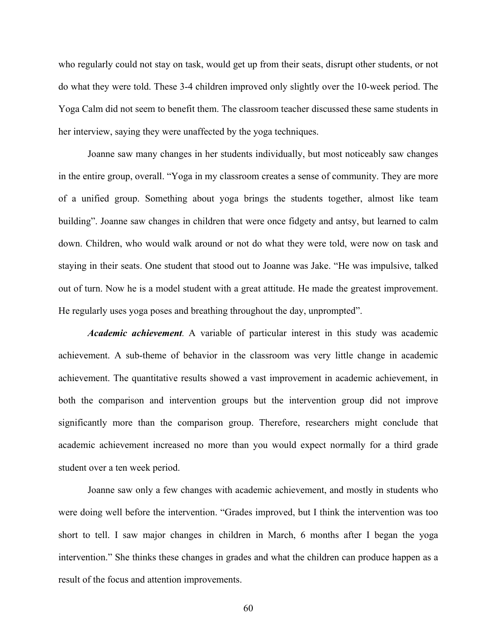who regularly could not stay on task, would get up from their seats, disrupt other students, or not do what they were told. These 3-4 children improved only slightly over the 10-week period. The Yoga Calm did not seem to benefit them. The classroom teacher discussed these same students in her interview, saying they were unaffected by the yoga techniques.

Joanne saw many changes in her students individually, but most noticeably saw changes in the entire group, overall. "Yoga in my classroom creates a sense of community. They are more of a unified group. Something about yoga brings the students together, almost like team building". Joanne saw changes in children that were once fidgety and antsy, but learned to calm down. Children, who would walk around or not do what they were told, were now on task and staying in their seats. One student that stood out to Joanne was Jake. "He was impulsive, talked out of turn. Now he is a model student with a great attitude. He made the greatest improvement. He regularly uses yoga poses and breathing throughout the day, unprompted".

*Academic achievement.* A variable of particular interest in this study was academic achievement. A sub-theme of behavior in the classroom was very little change in academic achievement. The quantitative results showed a vast improvement in academic achievement, in both the comparison and intervention groups but the intervention group did not improve significantly more than the comparison group. Therefore, researchers might conclude that academic achievement increased no more than you would expect normally for a third grade student over a ten week period.

Joanne saw only a few changes with academic achievement, and mostly in students who were doing well before the intervention. "Grades improved, but I think the intervention was too short to tell. I saw major changes in children in March, 6 months after I began the yoga intervention." She thinks these changes in grades and what the children can produce happen as a result of the focus and attention improvements.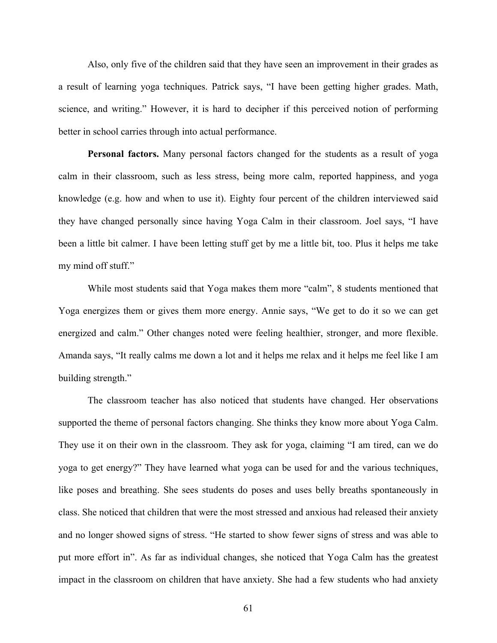Also, only five of the children said that they have seen an improvement in their grades as a result of learning yoga techniques. Patrick says, "I have been getting higher grades. Math, science, and writing." However, it is hard to decipher if this perceived notion of performing better in school carries through into actual performance.

**Personal factors.** Many personal factors changed for the students as a result of yoga calm in their classroom, such as less stress, being more calm, reported happiness, and yoga knowledge (e.g. how and when to use it). Eighty four percent of the children interviewed said they have changed personally since having Yoga Calm in their classroom. Joel says, "I have been a little bit calmer. I have been letting stuff get by me a little bit, too. Plus it helps me take my mind off stuff."

While most students said that Yoga makes them more "calm", 8 students mentioned that Yoga energizes them or gives them more energy. Annie says, "We get to do it so we can get energized and calm." Other changes noted were feeling healthier, stronger, and more flexible. Amanda says, "It really calms me down a lot and it helps me relax and it helps me feel like I am building strength."

The classroom teacher has also noticed that students have changed. Her observations supported the theme of personal factors changing. She thinks they know more about Yoga Calm. They use it on their own in the classroom. They ask for yoga, claiming "I am tired, can we do yoga to get energy?" They have learned what yoga can be used for and the various techniques, like poses and breathing. She sees students do poses and uses belly breaths spontaneously in class. She noticed that children that were the most stressed and anxious had released their anxiety and no longer showed signs of stress. "He started to show fewer signs of stress and was able to put more effort in". As far as individual changes, she noticed that Yoga Calm has the greatest impact in the classroom on children that have anxiety. She had a few students who had anxiety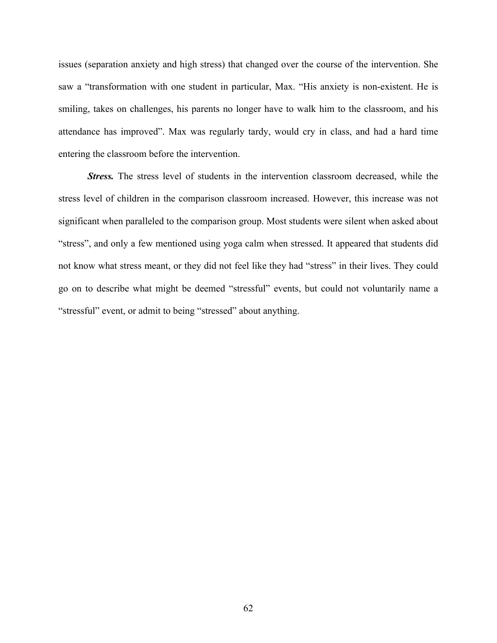issues (separation anxiety and high stress) that changed over the course of the intervention. She saw a "transformation with one student in particular, Max. "His anxiety is non-existent. He is smiling, takes on challenges, his parents no longer have to walk him to the classroom, and his attendance has improved". Max was regularly tardy, would cry in class, and had a hard time entering the classroom before the intervention.

*Stress.* The stress level of students in the intervention classroom decreased, while the stress level of children in the comparison classroom increased. However, this increase was not significant when paralleled to the comparison group. Most students were silent when asked about "stress", and only a few mentioned using yoga calm when stressed. It appeared that students did not know what stress meant, or they did not feel like they had "stress" in their lives. They could go on to describe what might be deemed "stressful" events, but could not voluntarily name a "stressful" event, or admit to being "stressed" about anything.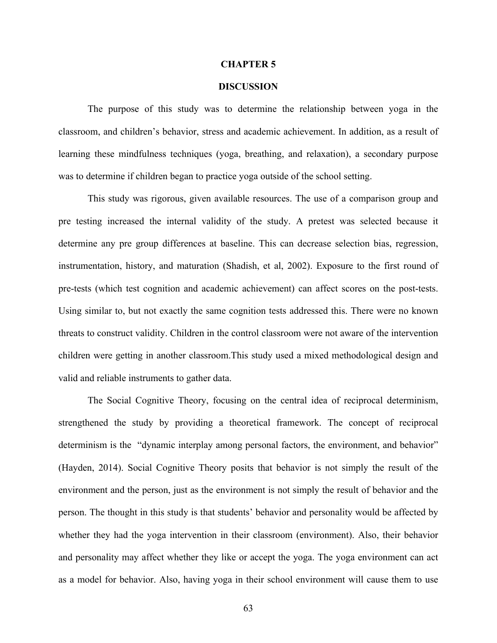#### **CHAPTER 5**

### **DISCUSSION**

The purpose of this study was to determine the relationship between yoga in the classroom, and children's behavior, stress and academic achievement. In addition, as a result of learning these mindfulness techniques (yoga, breathing, and relaxation), a secondary purpose was to determine if children began to practice yoga outside of the school setting.

This study was rigorous, given available resources. The use of a comparison group and pre testing increased the internal validity of the study. A pretest was selected because it determine any pre group differences at baseline. This can decrease selection bias, regression, instrumentation, history, and maturation (Shadish, et al, 2002). Exposure to the first round of pre-tests (which test cognition and academic achievement) can affect scores on the post-tests. Using similar to, but not exactly the same cognition tests addressed this. There were no known threats to construct validity. Children in the control classroom were not aware of the intervention children were getting in another classroom.This study used a mixed methodological design and valid and reliable instruments to gather data.

The Social Cognitive Theory, focusing on the central idea of reciprocal determinism, strengthened the study by providing a theoretical framework. The concept of reciprocal determinism is the "dynamic interplay among personal factors, the environment, and behavior" (Hayden, 2014). Social Cognitive Theory posits that behavior is not simply the result of the environment and the person, just as the environment is not simply the result of behavior and the person. The thought in this study is that students' behavior and personality would be affected by whether they had the yoga intervention in their classroom (environment). Also, their behavior and personality may affect whether they like or accept the yoga. The yoga environment can act as a model for behavior. Also, having yoga in their school environment will cause them to use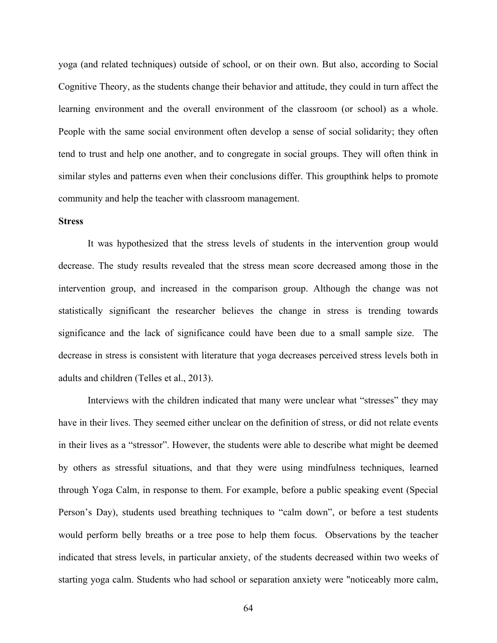yoga (and related techniques) outside of school, or on their own. But also, according to Social Cognitive Theory, as the students change their behavior and attitude, they could in turn affect the learning environment and the overall environment of the classroom (or school) as a whole. People with the same social environment often develop a sense of social solidarity; they often tend to trust and help one another, and to congregate in social groups. They will often think in similar styles and patterns even when their conclusions differ. This groupthink helps to promote community and help the teacher with classroom management.

## **Stress**

It was hypothesized that the stress levels of students in the intervention group would decrease. The study results revealed that the stress mean score decreased among those in the intervention group, and increased in the comparison group. Although the change was not statistically significant the researcher believes the change in stress is trending towards significance and the lack of significance could have been due to a small sample size. The decrease in stress is consistent with literature that yoga decreases perceived stress levels both in adults and children (Telles et al., 2013).

Interviews with the children indicated that many were unclear what "stresses" they may have in their lives. They seemed either unclear on the definition of stress, or did not relate events in their lives as a "stressor". However, the students were able to describe what might be deemed by others as stressful situations, and that they were using mindfulness techniques, learned through Yoga Calm, in response to them. For example, before a public speaking event (Special Person's Day), students used breathing techniques to "calm down", or before a test students would perform belly breaths or a tree pose to help them focus. Observations by the teacher indicated that stress levels, in particular anxiety, of the students decreased within two weeks of starting yoga calm. Students who had school or separation anxiety were "noticeably more calm,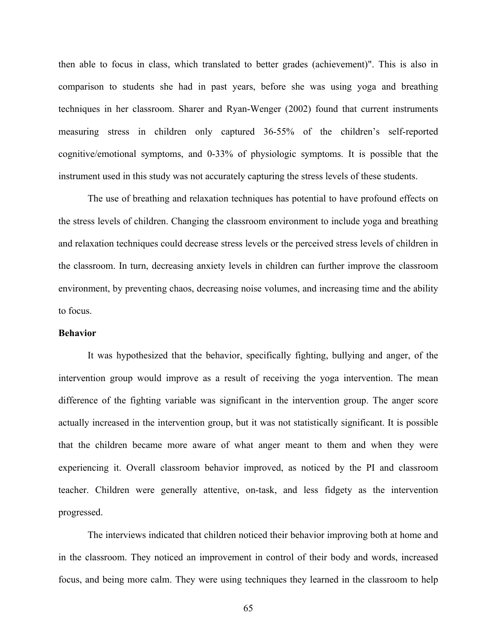then able to focus in class, which translated to better grades (achievement)". This is also in comparison to students she had in past years, before she was using yoga and breathing techniques in her classroom. Sharer and Ryan-Wenger (2002) found that current instruments measuring stress in children only captured 36-55% of the children's self-reported cognitive/emotional symptoms, and 0-33% of physiologic symptoms. It is possible that the instrument used in this study was not accurately capturing the stress levels of these students.

The use of breathing and relaxation techniques has potential to have profound effects on the stress levels of children. Changing the classroom environment to include yoga and breathing and relaxation techniques could decrease stress levels or the perceived stress levels of children in the classroom. In turn, decreasing anxiety levels in children can further improve the classroom environment, by preventing chaos, decreasing noise volumes, and increasing time and the ability to focus.

#### **Behavior**

It was hypothesized that the behavior, specifically fighting, bullying and anger, of the intervention group would improve as a result of receiving the yoga intervention. The mean difference of the fighting variable was significant in the intervention group. The anger score actually increased in the intervention group, but it was not statistically significant. It is possible that the children became more aware of what anger meant to them and when they were experiencing it. Overall classroom behavior improved, as noticed by the PI and classroom teacher. Children were generally attentive, on-task, and less fidgety as the intervention progressed.

The interviews indicated that children noticed their behavior improving both at home and in the classroom. They noticed an improvement in control of their body and words, increased focus, and being more calm. They were using techniques they learned in the classroom to help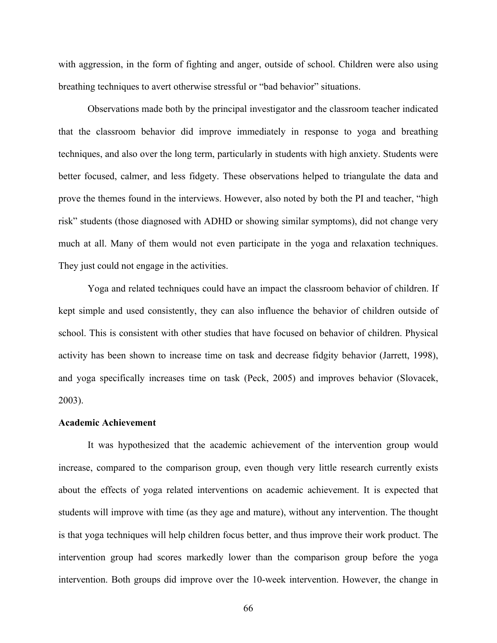with aggression, in the form of fighting and anger, outside of school. Children were also using breathing techniques to avert otherwise stressful or "bad behavior" situations.

Observations made both by the principal investigator and the classroom teacher indicated that the classroom behavior did improve immediately in response to yoga and breathing techniques, and also over the long term, particularly in students with high anxiety. Students were better focused, calmer, and less fidgety. These observations helped to triangulate the data and prove the themes found in the interviews. However, also noted by both the PI and teacher, "high risk" students (those diagnosed with ADHD or showing similar symptoms), did not change very much at all. Many of them would not even participate in the yoga and relaxation techniques. They just could not engage in the activities.

Yoga and related techniques could have an impact the classroom behavior of children. If kept simple and used consistently, they can also influence the behavior of children outside of school. This is consistent with other studies that have focused on behavior of children. Physical activity has been shown to increase time on task and decrease fidgity behavior (Jarrett, 1998), and yoga specifically increases time on task (Peck, 2005) and improves behavior (Slovacek, 2003).

### **Academic Achievement**

It was hypothesized that the academic achievement of the intervention group would increase, compared to the comparison group, even though very little research currently exists about the effects of yoga related interventions on academic achievement. It is expected that students will improve with time (as they age and mature), without any intervention. The thought is that yoga techniques will help children focus better, and thus improve their work product. The intervention group had scores markedly lower than the comparison group before the yoga intervention. Both groups did improve over the 10-week intervention. However, the change in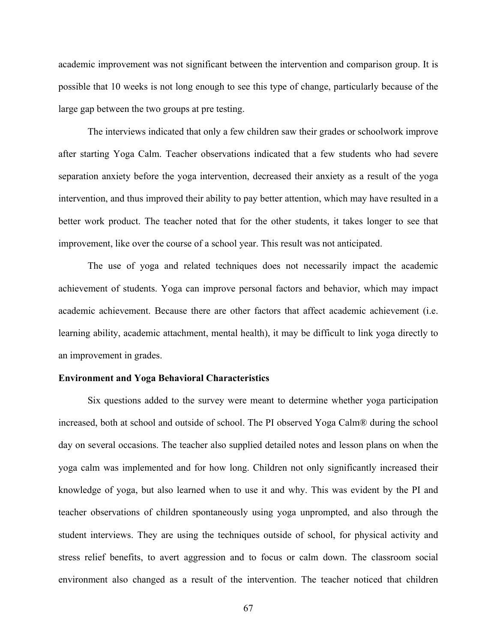academic improvement was not significant between the intervention and comparison group. It is possible that 10 weeks is not long enough to see this type of change, particularly because of the large gap between the two groups at pre testing.

The interviews indicated that only a few children saw their grades or schoolwork improve after starting Yoga Calm. Teacher observations indicated that a few students who had severe separation anxiety before the yoga intervention, decreased their anxiety as a result of the yoga intervention, and thus improved their ability to pay better attention, which may have resulted in a better work product. The teacher noted that for the other students, it takes longer to see that improvement, like over the course of a school year. This result was not anticipated.

The use of yoga and related techniques does not necessarily impact the academic achievement of students. Yoga can improve personal factors and behavior, which may impact academic achievement. Because there are other factors that affect academic achievement (i.e. learning ability, academic attachment, mental health), it may be difficult to link yoga directly to an improvement in grades.

#### **Environment and Yoga Behavioral Characteristics**

Six questions added to the survey were meant to determine whether yoga participation increased, both at school and outside of school. The PI observed Yoga Calm® during the school day on several occasions. The teacher also supplied detailed notes and lesson plans on when the yoga calm was implemented and for how long. Children not only significantly increased their knowledge of yoga, but also learned when to use it and why. This was evident by the PI and teacher observations of children spontaneously using yoga unprompted, and also through the student interviews. They are using the techniques outside of school, for physical activity and stress relief benefits, to avert aggression and to focus or calm down. The classroom social environment also changed as a result of the intervention. The teacher noticed that children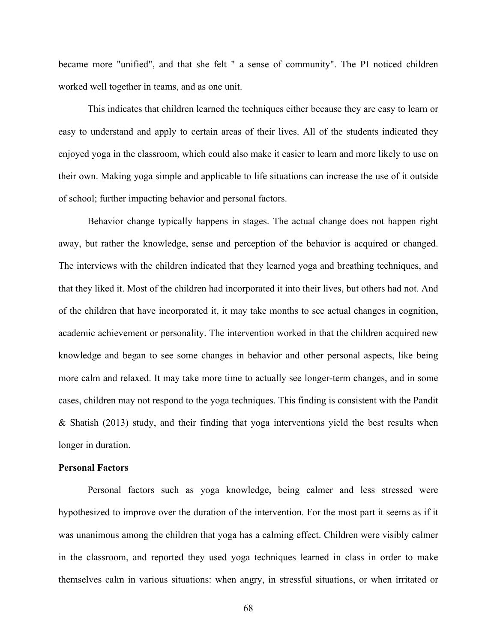became more "unified", and that she felt " a sense of community". The PI noticed children worked well together in teams, and as one unit.

This indicates that children learned the techniques either because they are easy to learn or easy to understand and apply to certain areas of their lives. All of the students indicated they enjoyed yoga in the classroom, which could also make it easier to learn and more likely to use on their own. Making yoga simple and applicable to life situations can increase the use of it outside of school; further impacting behavior and personal factors.

Behavior change typically happens in stages. The actual change does not happen right away, but rather the knowledge, sense and perception of the behavior is acquired or changed. The interviews with the children indicated that they learned yoga and breathing techniques, and that they liked it. Most of the children had incorporated it into their lives, but others had not. And of the children that have incorporated it, it may take months to see actual changes in cognition, academic achievement or personality. The intervention worked in that the children acquired new knowledge and began to see some changes in behavior and other personal aspects, like being more calm and relaxed. It may take more time to actually see longer-term changes, and in some cases, children may not respond to the yoga techniques. This finding is consistent with the Pandit & Shatish (2013) study, and their finding that yoga interventions yield the best results when longer in duration.

## **Personal Factors**

Personal factors such as yoga knowledge, being calmer and less stressed were hypothesized to improve over the duration of the intervention. For the most part it seems as if it was unanimous among the children that yoga has a calming effect. Children were visibly calmer in the classroom, and reported they used yoga techniques learned in class in order to make themselves calm in various situations: when angry, in stressful situations, or when irritated or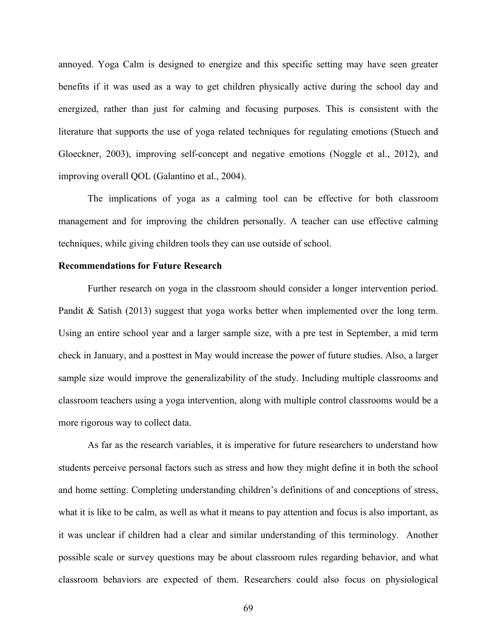annoyed. Yoga Calm is designed to energize and this specific setting may have seen greater benefits if it was used as a way to get children physically active during the school day and energized, rather than just for calming and focusing purposes. This is consistent with the literature that supports the use of yoga related techniques for regulating emotions (Stuech and Gloeckner, 2003), improving self-concept and negative emotions (Noggle et al., 2012), and improving overall QOL (Galantino et al., 2004).

The implications of yoga as a calming tool can be effective for both classroom management and for improving the children personally. A teacher can use effective calming techniques, while giving children tools they can use outside of school.

## **Recommendations for Future Research**

Further research on yoga in the classroom should consider a longer intervention period. Pandit & Satish (2013) suggest that yoga works better when implemented over the long term. Using an entire school year and a larger sample size, with a pre test in September, a mid term check in January, and a posttest in May would increase the power of future studies. Also, a larger sample size would improve the generalizability of the study. Including multiple classrooms and classroom teachers using a yoga intervention, along with multiple control classrooms would be a more rigorous way to collect data.

As far as the research variables, it is imperative for future researchers to understand how students perceive personal factors such as stress and how they might define it in both the school and home setting. Completing understanding children's definitions of and conceptions of stress, what it is like to be calm, as well as what it means to pay attention and focus is also important, as it was unclear if children had a clear and similar understanding of this terminology. Another possible scale or survey questions may be about classroom rules regarding behavior, and what classroom behaviors are expected of them. Researchers could also focus on physiological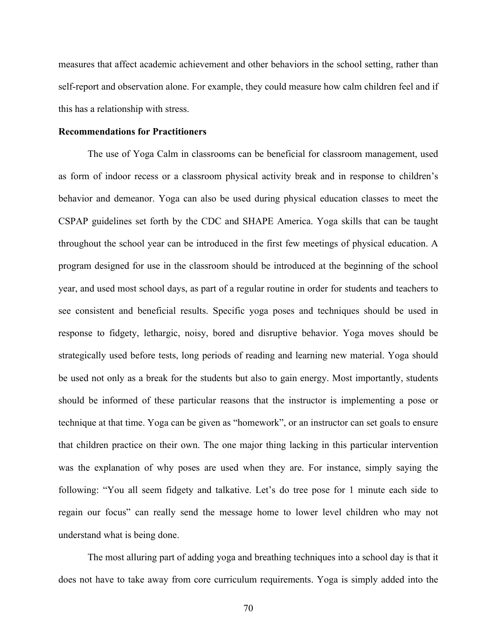measures that affect academic achievement and other behaviors in the school setting, rather than self-report and observation alone. For example, they could measure how calm children feel and if this has a relationship with stress.

## **Recommendations for Practitioners**

The use of Yoga Calm in classrooms can be beneficial for classroom management, used as form of indoor recess or a classroom physical activity break and in response to children's behavior and demeanor. Yoga can also be used during physical education classes to meet the CSPAP guidelines set forth by the CDC and SHAPE America. Yoga skills that can be taught throughout the school year can be introduced in the first few meetings of physical education. A program designed for use in the classroom should be introduced at the beginning of the school year, and used most school days, as part of a regular routine in order for students and teachers to see consistent and beneficial results. Specific yoga poses and techniques should be used in response to fidgety, lethargic, noisy, bored and disruptive behavior. Yoga moves should be strategically used before tests, long periods of reading and learning new material. Yoga should be used not only as a break for the students but also to gain energy. Most importantly, students should be informed of these particular reasons that the instructor is implementing a pose or technique at that time. Yoga can be given as "homework", or an instructor can set goals to ensure that children practice on their own. The one major thing lacking in this particular intervention was the explanation of why poses are used when they are. For instance, simply saying the following: "You all seem fidgety and talkative. Let's do tree pose for 1 minute each side to regain our focus" can really send the message home to lower level children who may not understand what is being done.

The most alluring part of adding yoga and breathing techniques into a school day is that it does not have to take away from core curriculum requirements. Yoga is simply added into the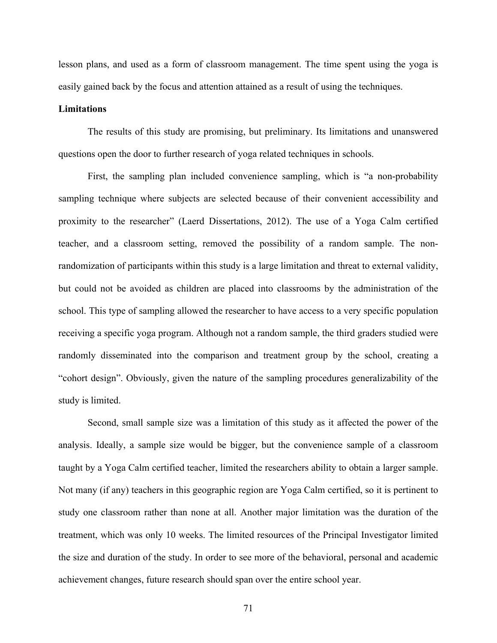lesson plans, and used as a form of classroom management. The time spent using the yoga is easily gained back by the focus and attention attained as a result of using the techniques.

#### **Limitations**

The results of this study are promising, but preliminary. Its limitations and unanswered questions open the door to further research of yoga related techniques in schools.

First, the sampling plan included convenience sampling, which is "a non-probability sampling technique where subjects are selected because of their convenient accessibility and proximity to the researcher" (Laerd Dissertations, 2012). The use of a Yoga Calm certified teacher, and a classroom setting, removed the possibility of a random sample. The nonrandomization of participants within this study is a large limitation and threat to external validity, but could not be avoided as children are placed into classrooms by the administration of the school. This type of sampling allowed the researcher to have access to a very specific population receiving a specific yoga program. Although not a random sample, the third graders studied were randomly disseminated into the comparison and treatment group by the school, creating a "cohort design". Obviously, given the nature of the sampling procedures generalizability of the study is limited.

Second, small sample size was a limitation of this study as it affected the power of the analysis. Ideally, a sample size would be bigger, but the convenience sample of a classroom taught by a Yoga Calm certified teacher, limited the researchers ability to obtain a larger sample. Not many (if any) teachers in this geographic region are Yoga Calm certified, so it is pertinent to study one classroom rather than none at all. Another major limitation was the duration of the treatment, which was only 10 weeks. The limited resources of the Principal Investigator limited the size and duration of the study. In order to see more of the behavioral, personal and academic achievement changes, future research should span over the entire school year.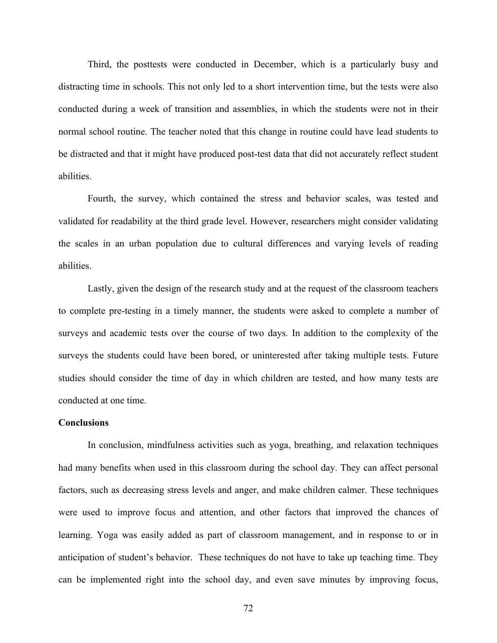Third, the posttests were conducted in December, which is a particularly busy and distracting time in schools. This not only led to a short intervention time, but the tests were also conducted during a week of transition and assemblies, in which the students were not in their normal school routine. The teacher noted that this change in routine could have lead students to be distracted and that it might have produced post-test data that did not accurately reflect student abilities.

Fourth, the survey, which contained the stress and behavior scales, was tested and validated for readability at the third grade level. However, researchers might consider validating the scales in an urban population due to cultural differences and varying levels of reading abilities.

Lastly, given the design of the research study and at the request of the classroom teachers to complete pre-testing in a timely manner, the students were asked to complete a number of surveys and academic tests over the course of two days. In addition to the complexity of the surveys the students could have been bored, or uninterested after taking multiple tests. Future studies should consider the time of day in which children are tested, and how many tests are conducted at one time.

### **Conclusions**

In conclusion, mindfulness activities such as yoga, breathing, and relaxation techniques had many benefits when used in this classroom during the school day. They can affect personal factors, such as decreasing stress levels and anger, and make children calmer. These techniques were used to improve focus and attention, and other factors that improved the chances of learning. Yoga was easily added as part of classroom management, and in response to or in anticipation of student's behavior. These techniques do not have to take up teaching time. They can be implemented right into the school day, and even save minutes by improving focus,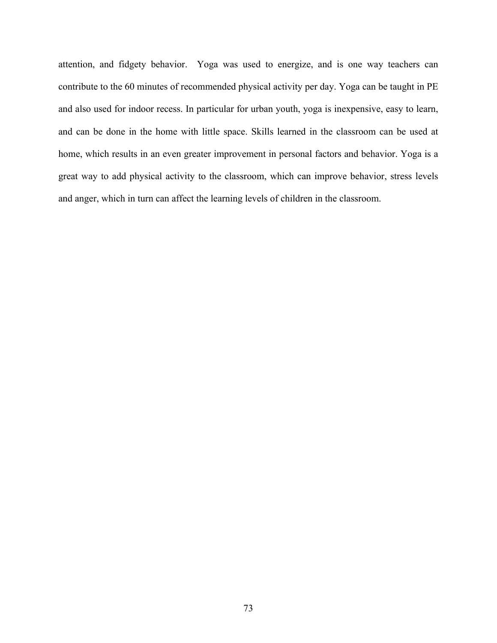attention, and fidgety behavior. Yoga was used to energize, and is one way teachers can contribute to the 60 minutes of recommended physical activity per day. Yoga can be taught in PE and also used for indoor recess. In particular for urban youth, yoga is inexpensive, easy to learn, and can be done in the home with little space. Skills learned in the classroom can be used at home, which results in an even greater improvement in personal factors and behavior. Yoga is a great way to add physical activity to the classroom, which can improve behavior, stress levels and anger, which in turn can affect the learning levels of children in the classroom.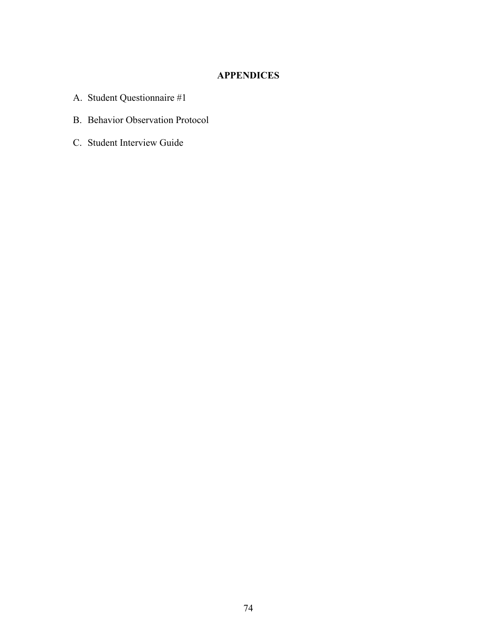# **APPENDICES**

- A. Student Questionnaire #1
- B. Behavior Observation Protocol
- C. Student Interview Guide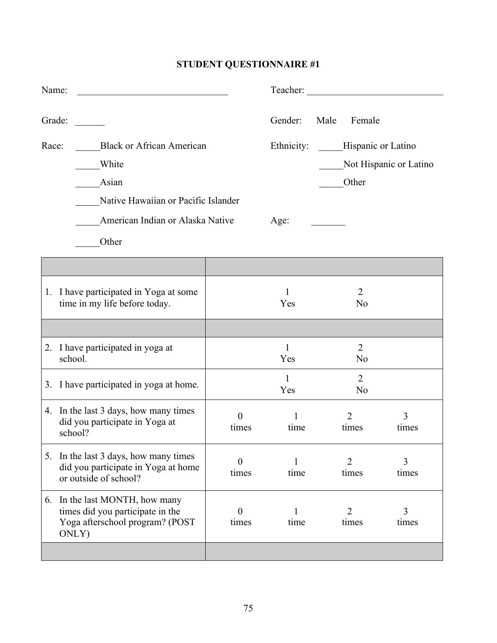# **STUDENT QUESTIONNAIRE #1**

| Name:  |                                                                                                                |                         |                     | Teacher:                               |                        |
|--------|----------------------------------------------------------------------------------------------------------------|-------------------------|---------------------|----------------------------------------|------------------------|
| Grade: |                                                                                                                |                         | Gender:             | Male<br>Female                         |                        |
| Race:  | <b>Black or African American</b><br>White<br>Asian<br>Native Hawaiian or Pacific Islander                      |                         |                     | Ethnicity: Hispanic or Latino<br>Other | Not Hispanic or Latino |
|        | American Indian or Alaska Native<br>Other                                                                      |                         | Age:                |                                        |                        |
|        |                                                                                                                |                         |                     |                                        |                        |
|        | 1. I have participated in Yoga at some<br>time in my life before today.                                        |                         | 1<br>Yes            | $\overline{2}$<br>N <sub>o</sub>       |                        |
|        |                                                                                                                |                         |                     |                                        |                        |
|        | 2. I have participated in yoga at<br>school.                                                                   |                         | 1<br>Yes            | $\overline{2}$<br>N <sub>o</sub>       |                        |
|        | 3. I have participated in yoga at home.                                                                        |                         | $\mathbf{1}$<br>Yes | $\overline{2}$<br>N <sub>o</sub>       |                        |
|        | 4. In the last 3 days, how many times<br>did you participate in Yoga at<br>school?                             | $\overline{0}$<br>times | 1<br>time           | $\overline{2}$<br>times                | 3<br>times             |
| 5.     | In the last 3 days, how many times<br>did you participate in Yoga at home<br>or outside of school?             | $\Omega$<br>times       | time                | 2<br>times                             | 3<br>times             |
|        | 6. In the last MONTH, how many<br>times did you participate in the<br>Yoga afterschool program? (POST<br>ONLY) | $\theta$<br>times       | time                | $\overline{2}$<br>times                | 3<br>times             |
|        |                                                                                                                |                         |                     |                                        |                        |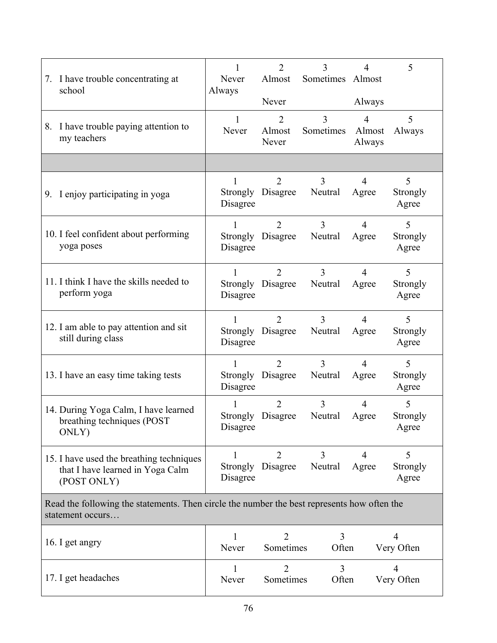| 7. I have trouble concentrating at<br>school                                                                    | 1<br>Never<br>Always      | $\overline{2}$<br>Almost            | 3<br>Sometimes Almost     | $\overline{4}$                     | 5                            |
|-----------------------------------------------------------------------------------------------------------------|---------------------------|-------------------------------------|---------------------------|------------------------------------|------------------------------|
|                                                                                                                 |                           | Never                               |                           | Always                             |                              |
| 8. I have trouble paying attention to<br>my teachers                                                            | $\mathbf{1}$<br>Never     | $\overline{2}$<br>Almost<br>Never   | 3<br>Sometimes            | $\overline{4}$<br>Almost<br>Always | 5<br>Always                  |
|                                                                                                                 |                           |                                     |                           |                                    |                              |
| 9. I enjoy participating in yoga                                                                                | Disagree                  | $\overline{2}$<br>Strongly Disagree | 3<br>Neutral              | $\overline{4}$<br>Agree            | 5<br>Strongly<br>Agree       |
| 10. I feel confident about performing<br>yoga poses                                                             | 1<br>Strongly<br>Disagree | $\overline{2}$<br>Disagree          | $\overline{3}$<br>Neutral | $\overline{4}$<br>Agree            | 5<br>Strongly<br>Agree       |
| 11. I think I have the skills needed to<br>perform yoga                                                         | 1<br>Strongly<br>Disagree | $\overline{2}$<br>Disagree          | $\overline{3}$<br>Neutral | $\overline{4}$<br>Agree            | 5<br>Strongly<br>Agree       |
| 12. I am able to pay attention and sit<br>still during class                                                    | 1<br>Strongly<br>Disagree | $\overline{2}$<br>Disagree          | $\overline{3}$<br>Neutral | $\overline{4}$<br>Agree            | 5<br>Strongly<br>Agree       |
| 13. I have an easy time taking tests                                                                            | 1<br>Disagree             | $\overline{2}$<br>Strongly Disagree | $\overline{3}$<br>Neutral | $\overline{4}$<br>Agree            | 5<br>Strongly<br>Agree       |
| 14. During Yoga Calm, I have learned<br>breathing techniques (POST)<br>ONLY)                                    | Disagree                  | $\overline{2}$<br>Strongly Disagree | 3<br>Neutral              | $\overline{4}$<br>Agree            | 5<br>Strongly<br>Agree       |
| 15. I have used the breathing techniques<br>that I have learned in Yoga Calm<br>(POST ONLY)                     | 1<br>Strongly<br>Disagree | $\overline{2}$<br>Disagree          | $\overline{3}$<br>Neutral | $\overline{4}$<br>Agree            | 5<br>Strongly<br>Agree       |
| Read the following the statements. Then circle the number the best represents how often the<br>statement occurs |                           |                                     |                           |                                    |                              |
| 16. I get angry                                                                                                 | Never                     | $\overline{2}$<br>Sometimes         | 3<br>Often                |                                    | 4<br>Very Often              |
| 17. I get headaches                                                                                             | 1<br>Never                | $\overline{2}$<br>Sometimes         | $\overline{3}$<br>Often   |                                    | $\overline{4}$<br>Very Often |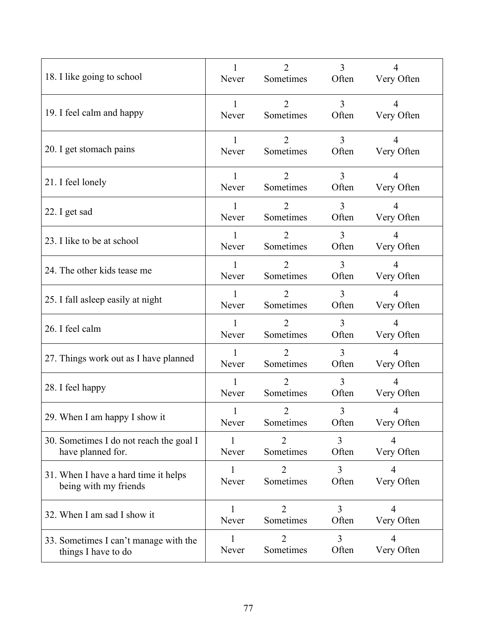| 18. I like going to school              | $\mathbf{1}$ | 2                           | $\overline{3}$ | 4               |
|-----------------------------------------|--------------|-----------------------------|----------------|-----------------|
|                                         | Never        | Sometimes                   | Often          | Very Often      |
| 19. I feel calm and happy               | $\mathbf{1}$ | $\overline{2}$              | $\overline{3}$ | $\overline{4}$  |
|                                         | Never        | Sometimes                   | Often          | Very Often      |
| 20. I get stomach pains                 | 1            | $\overline{2}$              | $\overline{3}$ | $\overline{4}$  |
|                                         | Never        | Sometimes                   | Often          | Very Often      |
| 21. I feel lonely                       | 1            | $\overline{2}$              | $\overline{3}$ | $\overline{4}$  |
|                                         | Never        | Sometimes                   | Often          | Very Often      |
| 22. I get sad                           | 1            | $\overline{2}$              | $\overline{3}$ | $\overline{4}$  |
|                                         | Never        | Sometimes                   | Often          | Very Often      |
| 23. I like to be at school              | 1            | $\overline{2}$              | $\overline{3}$ | $\overline{4}$  |
|                                         | Never        | Sometimes                   | Often          | Very Often      |
| 24. The other kids tease me             | 1            | $\overline{2}$              | $\overline{3}$ | $\overline{4}$  |
|                                         | Never        | Sometimes                   | Often          | Very Often      |
| 25. I fall asleep easily at night       | 1            | $\overline{2}$              | 3              | $\overline{4}$  |
|                                         | Never        | Sometimes                   | Often          | Very Often      |
| 26. I feel calm                         | 1            | $\overline{2}$              | 3              | $\overline{4}$  |
|                                         | Never        | Sometimes                   | Often          | Very Often      |
| 27. Things work out as I have planned   | 1            | $\overline{2}$              | 3              | 4               |
|                                         | Never        | Sometimes                   | Often          | Very Often      |
| 28. I feel happy                        | 1            | $\overline{2}$              | $\overline{3}$ | 4               |
|                                         | Never        | Sometimes                   | Often          | Very Often      |
| 29. When I am happy I show it           | Never        | $\overline{2}$<br>Sometimes | 3<br>Often     | Very Often      |
| 30. Sometimes I do not reach the goal I | I.           | 2                           | 3              | 4               |
| have planned for.                       | Never        | Sometimes                   | Often          | Very Often      |
| 31. When I have a hard time it helps    | Never        | 2                           | 3              | 4               |
| being with my friends                   |              | Sometimes                   | Often          | Very Often      |
| 32. When I am sad I show it             | Never        | $\overline{2}$<br>Sometimes | 3<br>Often     | 4<br>Very Often |
| 33. Sometimes I can't manage with the   | Never        | $\mathcal{D}_{\mathcal{L}}$ | 3              | 4               |
| things I have to do                     |              | Sometimes                   | Often          | Very Often      |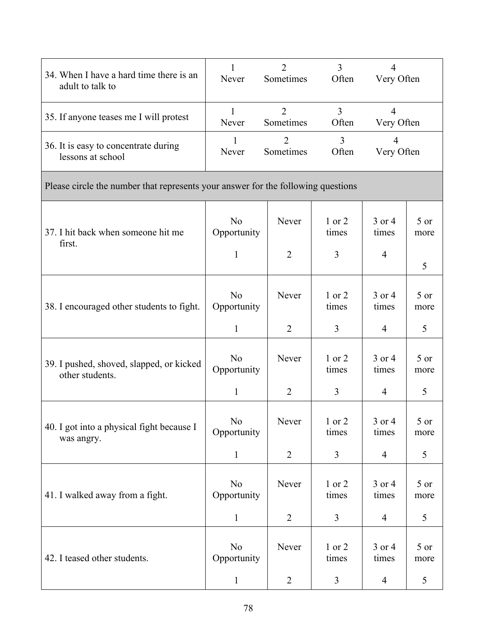| 34. When I have a hard time there is an<br>adult to talk to                      | Never                                         | $\overline{2}$<br>Sometimes | $\overline{3}$<br>Often | $\overline{4}$<br>Very Often      |              |
|----------------------------------------------------------------------------------|-----------------------------------------------|-----------------------------|-------------------------|-----------------------------------|--------------|
| 35. If anyone teases me I will protest                                           | 1<br>Never                                    | $\overline{2}$<br>Sometimes | $\overline{3}$<br>Often | $\overline{4}$<br>Very Often      |              |
| 36. It is easy to concentrate during<br>lessons at school                        | 1<br>Never                                    | $\overline{2}$<br>Sometimes | 3<br>Often              | $\overline{4}$<br>Very Often      |              |
| Please circle the number that represents your answer for the following questions |                                               |                             |                         |                                   |              |
| 37. I hit back when someone hit me<br>first.                                     | N <sub>o</sub><br>Opportunity<br>$\mathbf{1}$ | Never<br>$\overline{2}$     | 1 or 2<br>times<br>3    | 3 or 4<br>times<br>$\overline{4}$ | 5 or<br>more |
|                                                                                  |                                               |                             |                         |                                   | 5            |
| 38. I encouraged other students to fight.                                        | N <sub>0</sub><br>Opportunity                 | Never                       | 1 or 2<br>times         | 3 or 4<br>times                   | 5 or<br>more |
|                                                                                  | $\mathbf{1}$                                  | $\overline{2}$              | 3                       | 4                                 | 5            |
| 39. I pushed, shoved, slapped, or kicked<br>other students.                      | N <sub>o</sub><br>Opportunity                 | Never                       | 1 or 2<br>times         | 3 or 4<br>times                   | 5 or<br>more |
|                                                                                  | $\mathbf{1}$                                  | $\overline{2}$              | 3                       | 4                                 | 5            |
| 40. I got into a physical fight because I<br>was angry.                          | N <sub>o</sub><br>Opportunity                 | Never                       | 1 or 2<br>times         | $3$ or $4$<br>times               | 5 or<br>more |
|                                                                                  | $\mathbf{1}$                                  | $\overline{2}$              | 3                       | $\overline{4}$                    | 5            |
| 41. I walked away from a fight.                                                  | N <sub>o</sub><br>Opportunity                 | Never                       | 1 or 2<br>times         | 3 or 4<br>times                   | 5 or<br>more |
|                                                                                  | $\mathbf{1}$                                  | $\overline{2}$              | 3                       | $\overline{4}$                    | 5            |
| 42. I teased other students.                                                     | N <sub>o</sub><br>Opportunity                 | Never                       | 1 or 2<br>times         | 3 or 4<br>times                   | 5 or<br>more |
|                                                                                  | $\mathbf{1}$                                  | $\overline{2}$              | 3                       | $\overline{4}$                    | 5            |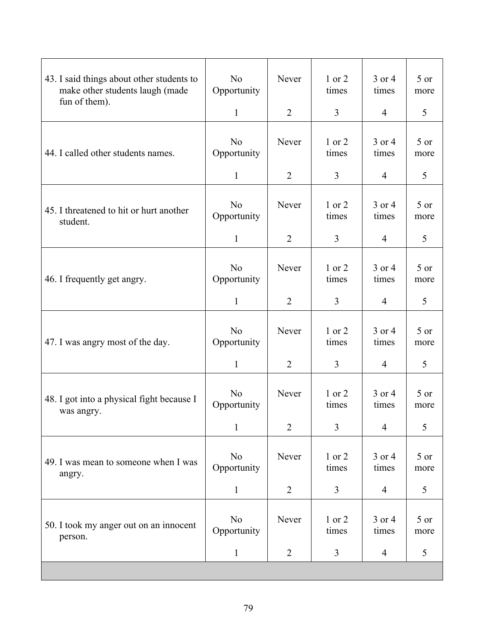| 43. I said things about other students to<br>make other students laugh (made<br>fun of them). | N <sub>o</sub><br>Opportunity<br>$\mathbf{1}$ | Never<br>$\overline{2}$ | 1 or 2<br>times<br>$\overline{3}$ | 3 or 4<br>times<br>$\overline{4}$ | $5$ or<br>more<br>5 |
|-----------------------------------------------------------------------------------------------|-----------------------------------------------|-------------------------|-----------------------------------|-----------------------------------|---------------------|
| 44. I called other students names.                                                            | N <sub>o</sub><br>Opportunity                 | Never                   | $1$ or $2$<br>times               | 3 or 4<br>times                   | $5$ or<br>more      |
|                                                                                               | $\mathbf{1}$                                  | $\overline{2}$          | $\overline{3}$                    | $\overline{4}$                    | 5                   |
| 45. I threatened to hit or hurt another<br>student.                                           | N <sub>o</sub><br>Opportunity                 | Never                   | 1 or 2<br>times                   | 3 or 4<br>times                   | $5$ or<br>more      |
|                                                                                               | $\mathbf{1}$                                  | $\overline{2}$          | $\overline{3}$                    | $\overline{4}$                    | 5                   |
| 46. I frequently get angry.                                                                   | N <sub>o</sub><br>Opportunity                 | Never                   | 1 or 2<br>times                   | 3 or 4<br>times                   | $5$ or<br>more      |
|                                                                                               | $\mathbf{1}$                                  | $\overline{2}$          | 3                                 | $\overline{4}$                    | 5                   |
| 47. I was angry most of the day.                                                              | N <sub>o</sub><br>Opportunity                 | Never                   | 1 or 2<br>times                   | 3 or 4<br>times                   | 5 or<br>more        |
|                                                                                               | $\mathbf{1}$                                  | $\overline{2}$          | $\overline{3}$                    | $\overline{4}$                    | 5                   |
| 48. I got into a physical fight because I<br>was angry.                                       | N <sub>o</sub><br>Opportunity                 | Never                   | 1 or 2<br>times                   | 3 or 4<br>times                   | 5 or<br>more        |
|                                                                                               | $\mathbf{1}$                                  | $\overline{2}$          | $\overline{3}$                    | 4                                 | 5                   |
| 49. I was mean to someone when I was<br>angry.                                                | N <sub>0</sub><br>Opportunity                 | Never                   | 1 or 2<br>times                   | 3 or 4<br>times                   | 5 or<br>more        |
|                                                                                               | $\mathbf{1}$                                  | $\overline{2}$          | 3                                 | $\overline{4}$                    | 5                   |
| 50. I took my anger out on an innocent<br>person.                                             | N <sub>o</sub><br>Opportunity                 | Never                   | 1 or 2<br>times                   | 3 or 4<br>times                   | $5$ or<br>more      |
|                                                                                               | $\mathbf{1}$                                  | $\overline{2}$          | 3                                 | $\overline{4}$                    | 5                   |
|                                                                                               |                                               |                         |                                   |                                   |                     |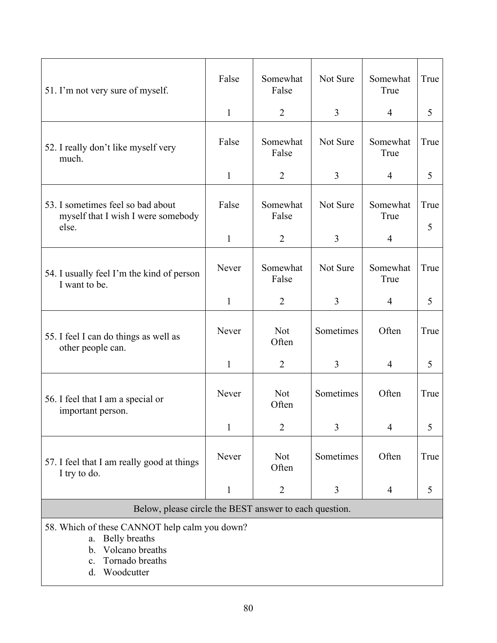| 51. I'm not very sure of myself.                                                 | False        | Somewhat<br>False   | Not Sure       | Somewhat<br>True | True      |  |
|----------------------------------------------------------------------------------|--------------|---------------------|----------------|------------------|-----------|--|
|                                                                                  | $\mathbf{1}$ | 2                   | $\overline{3}$ | $\overline{4}$   | 5         |  |
| 52. I really don't like myself very<br>much.                                     | False        | Somewhat<br>False   | Not Sure       | Somewhat<br>True | True      |  |
|                                                                                  | $\mathbf{1}$ | 2                   | $\overline{3}$ | $\overline{4}$   | 5         |  |
| 53. I sometimes feel so bad about<br>myself that I wish I were somebody<br>else. | False        | Somewhat<br>False   | Not Sure       | Somewhat<br>True | True<br>5 |  |
|                                                                                  | $\mathbf{1}$ | $\overline{2}$      | $\overline{3}$ | $\overline{4}$   |           |  |
| 54. I usually feel I'm the kind of person<br>I want to be.                       | Never        | Somewhat<br>False   | Not Sure       | Somewhat<br>True | True      |  |
|                                                                                  | $\mathbf{1}$ | 2                   | $\overline{3}$ | $\overline{4}$   | 5         |  |
| 55. I feel I can do things as well as<br>other people can.                       | Never        | <b>Not</b><br>Often | Sometimes      | Often            | True      |  |
|                                                                                  | $\mathbf{1}$ | $\overline{2}$      | $\overline{3}$ | $\overline{4}$   | 5         |  |
| 56. I feel that I am a special or<br>important person.                           | Never        | <b>Not</b><br>Often | Sometimes      | Often            | True      |  |
|                                                                                  | 1            | $\overline{2}$      | 3              | 4                | 5         |  |
| 57. I feel that I am really good at things<br>I try to do.                       | Never        | <b>Not</b><br>Often | Sometimes      | Often            | True      |  |
|                                                                                  | $\mathbf{1}$ | $\overline{2}$      | 3              | 4                | 5         |  |
| Below, please circle the BEST answer to each question.                           |              |                     |                |                  |           |  |

58. Which of these CANNOT help calm you down?

- a. Belly breaths
- b. Volcano breaths
- c. Tornado breaths
- d. Woodcutter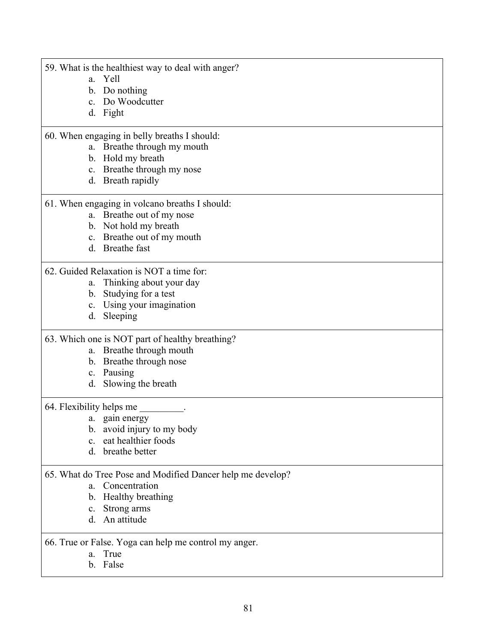|  | 59. What is the healthiest way to deal with anger? |  |
|--|----------------------------------------------------|--|
|  |                                                    |  |

- a. Yell
- b. Do nothing
- c. Do Woodcutter
- d. Fight

# 60. When engaging in belly breaths I should:

- a. Breathe through my mouth
- b. Hold my breath
- c. Breathe through my nose
- d. Breath rapidly

# 61. When engaging in volcano breaths I should:

- a. Breathe out of my nose
- b. Not hold my breath
- c. Breathe out of my mouth
- d. Breathe fast

# 62. Guided Relaxation is NOT a time for:

- a. Thinking about your day
- b. Studying for a test
- c. Using your imagination
- d. Sleeping

# 63. Which one is NOT part of healthy breathing?

- a. Breathe through mouth
- b. Breathe through nose
- c. Pausing
- d. Slowing the breath

# 64. Flexibility helps me

- a. gain energy
- b. avoid injury to my body
- c. eat healthier foods
- d. breathe better

# 65. What do Tree Pose and Modified Dancer help me develop?

- a. Concentration
- b. Healthy breathing
- c. Strong arms
- d. An attitude

# 66. True or False. Yoga can help me control my anger.

- a. True
- b. False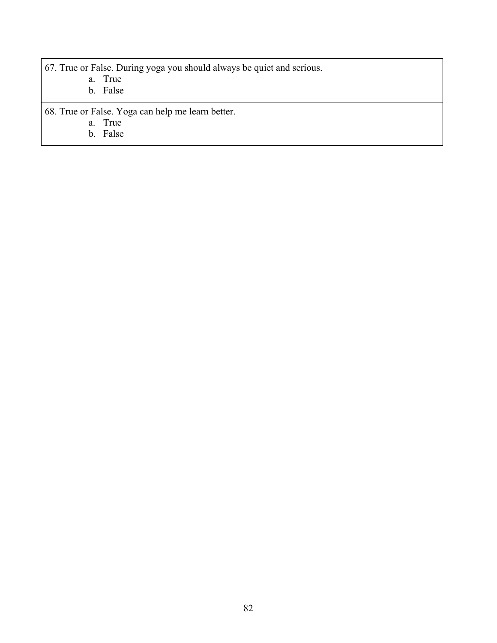67. True or False. During yoga you should always be quiet and serious.

- a. True
- b. False

68. True or False. Yoga can help me learn better.

- a. True
- b. False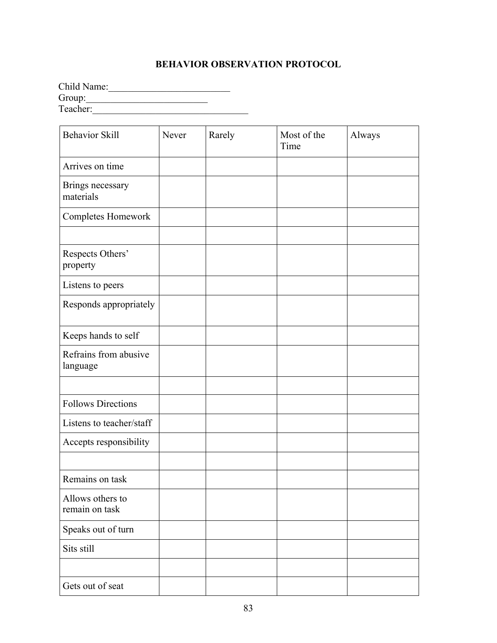# **BEHAVIOR OBSERVATION PROTOCOL**

Child Name:  $Group:$ Teacher:\_\_\_\_\_\_\_\_\_\_\_\_\_\_\_\_\_\_\_\_\_\_\_\_\_\_\_\_\_\_\_\_

| <b>Behavior Skill</b>              | Never | Rarely | Most of the<br>Time | Always |
|------------------------------------|-------|--------|---------------------|--------|
| Arrives on time                    |       |        |                     |        |
| Brings necessary<br>materials      |       |        |                     |        |
| Completes Homework                 |       |        |                     |        |
|                                    |       |        |                     |        |
| Respects Others'<br>property       |       |        |                     |        |
| Listens to peers                   |       |        |                     |        |
| Responds appropriately             |       |        |                     |        |
| Keeps hands to self                |       |        |                     |        |
| Refrains from abusive<br>language  |       |        |                     |        |
|                                    |       |        |                     |        |
| <b>Follows Directions</b>          |       |        |                     |        |
| Listens to teacher/staff           |       |        |                     |        |
| Accepts responsibility             |       |        |                     |        |
|                                    |       |        |                     |        |
| Remains on task                    |       |        |                     |        |
| Allows others to<br>remain on task |       |        |                     |        |
| Speaks out of turn                 |       |        |                     |        |
| Sits still                         |       |        |                     |        |
|                                    |       |        |                     |        |
| Gets out of seat                   |       |        |                     |        |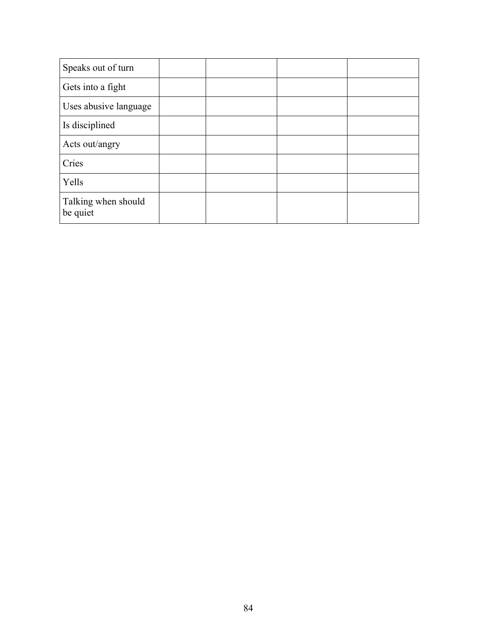| Speaks out of turn              |  |  |
|---------------------------------|--|--|
| Gets into a fight               |  |  |
| Uses abusive language           |  |  |
| Is disciplined                  |  |  |
| Acts out/angry                  |  |  |
| Cries                           |  |  |
| Yells                           |  |  |
| Talking when should<br>be quiet |  |  |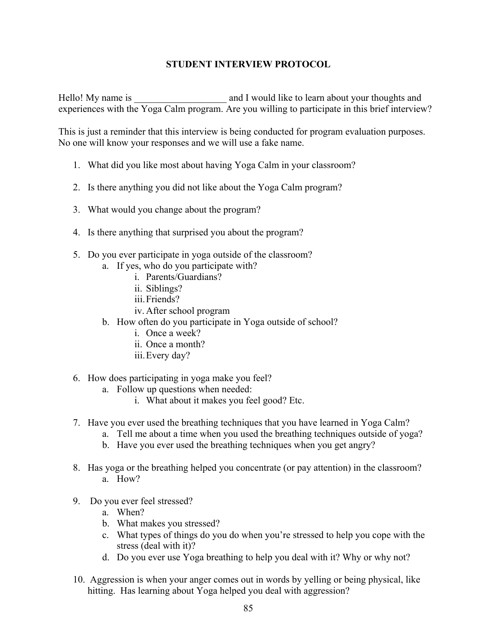# **STUDENT INTERVIEW PROTOCOL**

Hello! My name is \_\_\_\_\_\_\_\_\_\_\_\_\_\_\_\_\_\_\_\_\_\_\_ and I would like to learn about your thoughts and experiences with the Yoga Calm program. Are you willing to participate in this brief interview?

This is just a reminder that this interview is being conducted for program evaluation purposes. No one will know your responses and we will use a fake name.

- 1. What did you like most about having Yoga Calm in your classroom?
- 2. Is there anything you did not like about the Yoga Calm program?
- 3. What would you change about the program?
- 4. Is there anything that surprised you about the program?
- 5. Do you ever participate in yoga outside of the classroom?
	- a. If yes, who do you participate with?
		- i. Parents/Guardians?
			- ii. Siblings?
			- iii.Friends?
			- iv. After school program
	- b. How often do you participate in Yoga outside of school?
		- i. Once a week?
		- ii. Once a month?
		- iii.Every day?
- 6. How does participating in yoga make you feel?
	- a. Follow up questions when needed:
		- i. What about it makes you feel good? Etc.
- 7. Have you ever used the breathing techniques that you have learned in Yoga Calm?
	- a. Tell me about a time when you used the breathing techniques outside of yoga?
	- b. Have you ever used the breathing techniques when you get angry?
- 8. Has yoga or the breathing helped you concentrate (or pay attention) in the classroom? a. How?
- 9. Do you ever feel stressed?
	- a. When?
	- b. What makes you stressed?
	- c. What types of things do you do when you're stressed to help you cope with the stress (deal with it)?
	- d. Do you ever use Yoga breathing to help you deal with it? Why or why not?
- 10. Aggression is when your anger comes out in words by yelling or being physical, like hitting. Has learning about Yoga helped you deal with aggression?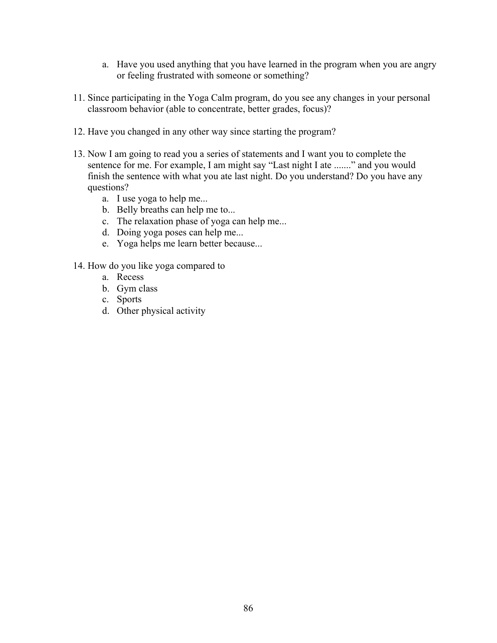- a. Have you used anything that you have learned in the program when you are angry or feeling frustrated with someone or something?
- 11. Since participating in the Yoga Calm program, do you see any changes in your personal classroom behavior (able to concentrate, better grades, focus)?
- 12. Have you changed in any other way since starting the program?
- 13. Now I am going to read you a series of statements and I want you to complete the sentence for me. For example, I am might say "Last night I ate ......." and you would finish the sentence with what you ate last night. Do you understand? Do you have any questions?
	- a. I use yoga to help me...
	- b. Belly breaths can help me to...
	- c. The relaxation phase of yoga can help me...
	- d. Doing yoga poses can help me...
	- e. Yoga helps me learn better because...
- 14. How do you like yoga compared to
	- a. Recess
	- b. Gym class
	- c. Sports
	- d. Other physical activity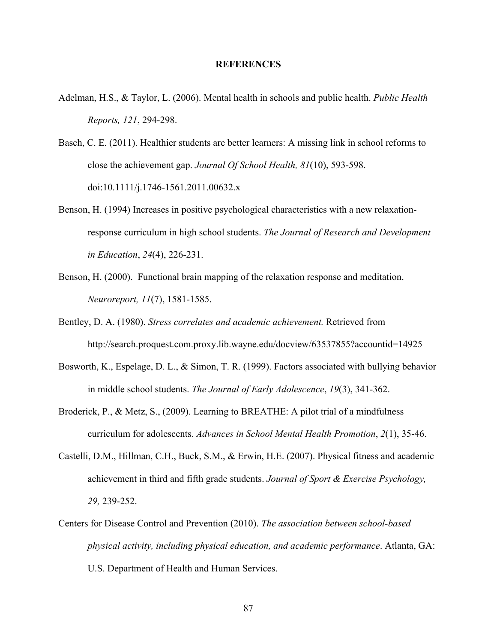#### **REFERENCES**

- Adelman, H.S., & Taylor, L. (2006). Mental health in schools and public health. *Public Health Reports, 121*, 294-298.
- Basch, C. E. (2011). Healthier students are better learners: A missing link in school reforms to close the achievement gap. *Journal Of School Health, 81*(10), 593-598. doi:10.1111/j.1746-1561.2011.00632.x
- Benson, H. (1994) Increases in positive psychological characteristics with a new relaxationresponse curriculum in high school students. *The Journal of Research and Development in Education*, *24*(4), 226-231.
- Benson, H. (2000). Functional brain mapping of the relaxation response and meditation. *Neuroreport, 11*(7), 1581-1585.
- Bentley, D. A. (1980). *Stress correlates and academic achievement.* Retrieved from http://search.proquest.com.proxy.lib.wayne.edu/docview/63537855?accountid=14925
- Bosworth, K., Espelage, D. L., & Simon, T. R. (1999). Factors associated with bullying behavior in middle school students. *The Journal of Early Adolescence*, *19*(3), 341-362.
- Broderick, P., & Metz, S., (2009). Learning to BREATHE: A pilot trial of a mindfulness curriculum for adolescents. *Advances in School Mental Health Promotion*, *2*(1), 35-46.
- Castelli, D.M., Hillman, C.H., Buck, S.M., & Erwin, H.E. (2007). Physical fitness and academic achievement in third and fifth grade students. *Journal of Sport & Exercise Psychology, 29,* 239-252.
- Centers for Disease Control and Prevention (2010). *The association between school-based physical activity, including physical education, and academic performance*. Atlanta, GA: U.S. Department of Health and Human Services.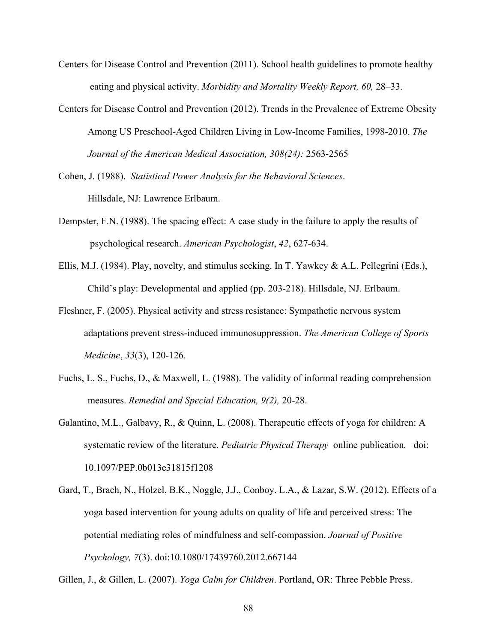- Centers for Disease Control and Prevention (2011). School health guidelines to promote healthy eating and physical activity. *Morbidity and Mortality Weekly Report, 60,* 28–33.
- Centers for Disease Control and Prevention (2012). Trends in the Prevalence of Extreme Obesity Among US Preschool-Aged Children Living in Low-Income Families, 1998-2010. *The Journal of the American Medical Association, 308(24):* 2563-2565
- Cohen, J. (1988). *Statistical Power Analysis for the Behavioral Sciences*. Hillsdale, NJ: Lawrence Erlbaum.
- Dempster, F.N. (1988). The spacing effect: A case study in the failure to apply the results of psychological research. *American Psychologist*, *42*, 627-634.
- Ellis, M.J. (1984). Play, novelty, and stimulus seeking. In T. Yawkey & A.L. Pellegrini (Eds.), Child's play: Developmental and applied (pp. 203-218). Hillsdale, NJ. Erlbaum.
- Fleshner, F. (2005). Physical activity and stress resistance: Sympathetic nervous system adaptations prevent stress-induced immunosuppression. *The American College of Sports Medicine*, *33*(3), 120-126.
- Fuchs, L. S., Fuchs, D., & Maxwell, L. (1988). The validity of informal reading comprehension measures. *Remedial and Special Education, 9(2),* 20-28.
- Galantino, M.L., Galbavy, R., & Quinn, L. (2008). Therapeutic effects of yoga for children: A systematic review of the literature. *Pediatric Physical Therapy* online publication*.* doi: 10.1097/PEP.0b013e31815f1208
- Gard, T., Brach, N., Holzel, B.K., Noggle, J.J., Conboy. L.A., & Lazar, S.W. (2012). Effects of a yoga based intervention for young adults on quality of life and perceived stress: The potential mediating roles of mindfulness and self-compassion. *Journal of Positive Psychology, 7*(3). doi:10.1080/17439760.2012.667144

Gillen, J., & Gillen, L. (2007). *Yoga Calm for Children*. Portland, OR: Three Pebble Press.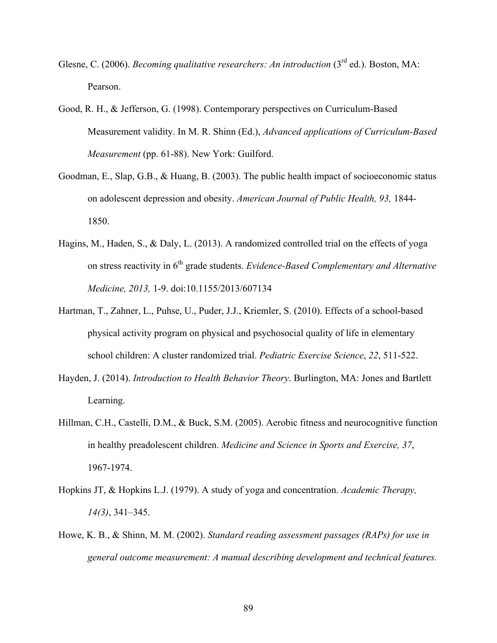- Glesne, C. (2006). *Becoming qualitative researchers: An introduction* (3rd ed.). Boston, MA: Pearson.
- Good, R. H., & Jefferson, G. (1998). Contemporary perspectives on Curriculum-Based Measurement validity. In M. R. Shinn (Ed.), *Advanced applications of Curriculum-Based Measurement* (pp. 61-88). New York: Guilford.
- Goodman, E., Slap, G.B., & Huang, B. (2003). The public health impact of socioeconomic status on adolescent depression and obesity. *American Journal of Public Health, 93,* 1844- 1850.
- Hagins, M., Haden, S., & Daly, L. (2013). A randomized controlled trial on the effects of yoga on stress reactivity in 6th grade students. *Evidence-Based Complementary and Alternative Medicine, 2013,* 1-9. doi:10.1155/2013/607134
- Hartman, T., Zahner, L., Puhse, U., Puder, J.J., Kriemler, S. (2010). Effects of a school-based physical activity program on physical and psychosocial quality of life in elementary school children: A cluster randomized trial. *Pediatric Exercise Science*, *22*, 511-522.
- Hayden, J. (2014). *Introduction to Health Behavior Theory*. Burlington, MA: Jones and Bartlett Learning.
- Hillman, C.H., Castelli, D.M., & Buck, S.M. (2005). Aerobic fitness and neurocognitive function in healthy preadolescent children. *Medicine and Science in Sports and Exercise, 37*, 1967-1974.
- Hopkins JT, & Hopkins L.J. (1979). A study of yoga and concentration. *Academic Therapy, 14(3)*, 341–345.
- Howe, K. B., & Shinn, M. M. (2002). *Standard reading assessment passages (RAPs) for use in general outcome measurement: A manual describing development and technical features.*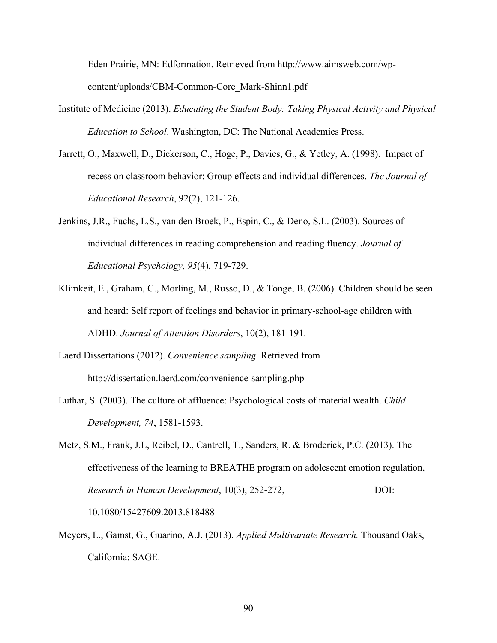Eden Prairie, MN: Edformation. Retrieved from http://www.aimsweb.com/wpcontent/uploads/CBM-Common-Core\_Mark-Shinn1.pdf

- Institute of Medicine (2013). *Educating the Student Body: Taking Physical Activity and Physical Education to School*. Washington, DC: The National Academies Press.
- Jarrett, O., Maxwell, D., Dickerson, C., Hoge, P., Davies, G., & Yetley, A. (1998). Impact of recess on classroom behavior: Group effects and individual differences. *The Journal of Educational Research*, 92(2), 121-126.
- Jenkins, J.R., Fuchs, L.S., van den Broek, P., Espin, C., & Deno, S.L. (2003). Sources of individual differences in reading comprehension and reading fluency. *Journal of Educational Psychology, 95*(4), 719-729.
- Klimkeit, E., Graham, C., Morling, M., Russo, D., & Tonge, B. (2006). Children should be seen and heard: Self report of feelings and behavior in primary-school-age children with ADHD. *Journal of Attention Disorders*, 10(2), 181-191.
- Laerd Dissertations (2012). *Convenience sampling*. Retrieved from http://dissertation.laerd.com/convenience-sampling.php
- Luthar, S. (2003). The culture of affluence: Psychological costs of material wealth. *Child Development, 74*, 1581-1593.
- Metz, S.M., Frank, J.L, Reibel, D., Cantrell, T., Sanders, R. & Broderick, P.C. (2013). The effectiveness of the learning to BREATHE program on adolescent emotion regulation, *Research in Human Development*, 10(3), 252-272, DOI: 10.1080/15427609.2013.818488
- Meyers, L., Gamst, G., Guarino, A.J. (2013). *Applied Multivariate Research.* Thousand Oaks, California: SAGE.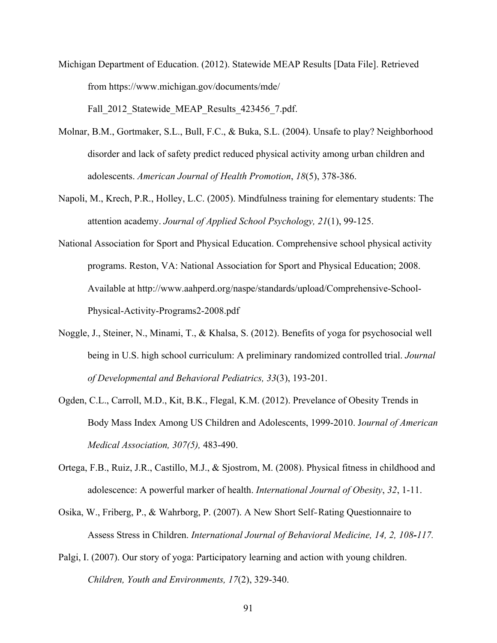- Michigan Department of Education. (2012). Statewide MEAP Results [Data File]. Retrieved from https://www.michigan.gov/documents/mde/ Fall 2012 Statewide MEAP Results 423456 7.pdf.
- Molnar, B.M., Gortmaker, S.L., Bull, F.C., & Buka, S.L. (2004). Unsafe to play? Neighborhood disorder and lack of safety predict reduced physical activity among urban children and adolescents. *American Journal of Health Promotion*, *18*(5), 378-386.
- Napoli, M., Krech, P.R., Holley, L.C. (2005). Mindfulness training for elementary students: The attention academy. *Journal of Applied School Psychology, 21*(1), 99-125.
- National Association for Sport and Physical Education. Comprehensive school physical activity programs. Reston, VA: National Association for Sport and Physical Education; 2008. Available at http://www.aahperd.org/naspe/standards/upload/Comprehensive-School-Physical-Activity-Programs2-2008.pdf
- Noggle, J., Steiner, N., Minami, T., & Khalsa, S. (2012). Benefits of yoga for psychosocial well being in U.S. high school curriculum: A preliminary randomized controlled trial. *Journal of Developmental and Behavioral Pediatrics, 33*(3), 193-201.
- Ogden, C.L., Carroll, M.D., Kit, B.K., Flegal, K.M. (2012). Prevelance of Obesity Trends in Body Mass Index Among US Children and Adolescents, 1999-2010. J*ournal of American Medical Association, 307(5),* 483-490.
- Ortega, F.B., Ruiz, J.R., Castillo, M.J., & Sjostrom, M. (2008). Physical fitness in childhood and adolescence: A powerful marker of health. *International Journal of Obesity*, *32*, 1-11.
- Osika, W., Friberg, P., & Wahrborg, P. (2007). A New Short Self‐Rating Questionnaire to Assess Stress in Children. *International Journal of Behavioral Medicine, 14, 2, 108-117.*
- Palgi, I. (2007). Our story of yoga: Participatory learning and action with young children. *Children, Youth and Environments, 17*(2), 329-340.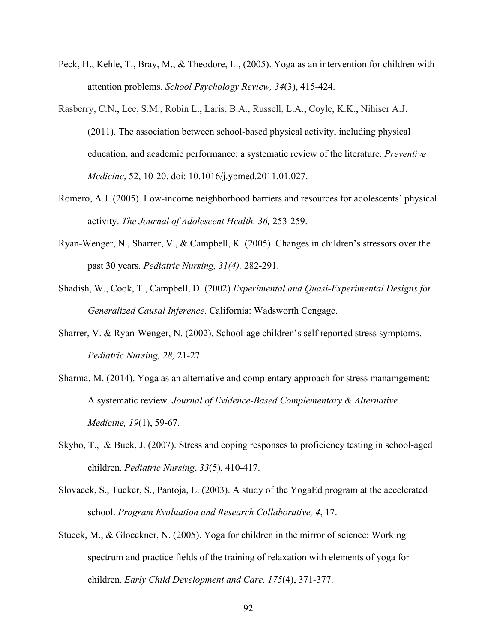- Peck, H., Kehle, T., Bray, M., & Theodore, L., (2005). Yoga as an intervention for children with attention problems. *School Psychology Review, 34*(3), 415-424.
- Rasberry, C.N**.**, Lee, S.M., Robin L., Laris, B.A., Russell, L.A., Coyle, K.K., Nihiser A.J. (2011). The association between school-based physical activity, including physical education, and academic performance: a systematic review of the literature. *Preventive Medicine*, 52, 10-20. doi: 10.1016/j.ypmed.2011.01.027.
- Romero, A.J. (2005). Low-income neighborhood barriers and resources for adolescents' physical activity. *The Journal of Adolescent Health, 36,* 253-259.
- Ryan-Wenger, N., Sharrer, V., & Campbell, K. (2005). Changes in children's stressors over the past 30 years. *Pediatric Nursing, 31(4),* 282-291.
- Shadish, W., Cook, T., Campbell, D. (2002) *Experimental and Quasi-Experimental Designs for Generalized Causal Inference*. California: Wadsworth Cengage.
- Sharrer, V. & Ryan-Wenger, N. (2002). School-age children's self reported stress symptoms. *Pediatric Nursing, 28,* 21-27.
- Sharma, M. (2014). Yoga as an alternative and complentary approach for stress manamgement: A systematic review. *Journal of Evidence-Based Complementary & Alternative Medicine, 19*(1), 59-67.
- Skybo, T., & Buck, J. (2007). Stress and coping responses to proficiency testing in school-aged children. *Pediatric Nursing*, *33*(5), 410-417.
- Slovacek, S., Tucker, S., Pantoja, L. (2003). A study of the YogaEd program at the accelerated school. *Program Evaluation and Research Collaborative, 4*, 17.
- Stueck, M., & Gloeckner, N. (2005). Yoga for children in the mirror of science: Working spectrum and practice fields of the training of relaxation with elements of yoga for children. *Early Child Development and Care, 175*(4), 371-377.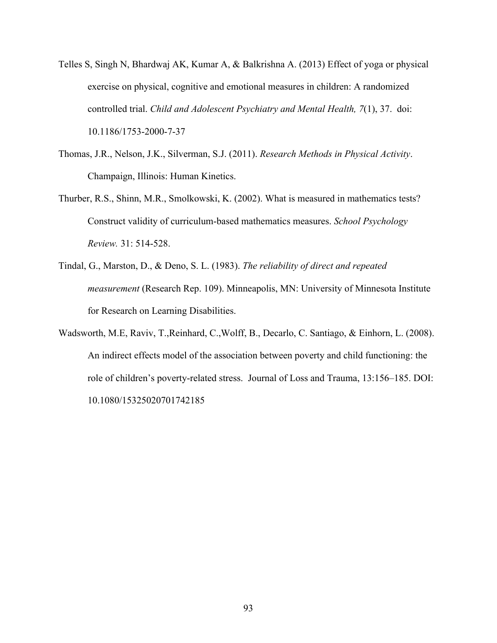- Telles S, Singh N, Bhardwaj AK, Kumar A, & Balkrishna A. (2013) Effect of yoga or physical exercise on physical, cognitive and emotional measures in children: A randomized controlled trial. *Child and Adolescent Psychiatry and Mental Health, 7*(1), 37. doi: 10.1186/1753-2000-7-37
- Thomas, J.R., Nelson, J.K., Silverman, S.J. (2011). *Research Methods in Physical Activity*. Champaign, Illinois: Human Kinetics.
- Thurber, R.S., Shinn, M.R., Smolkowski, K. (2002). What is measured in mathematics tests? Construct validity of curriculum-based mathematics measures. *School Psychology Review.* 31: 514-528.
- Tindal, G., Marston, D., & Deno, S. L. (1983). *The reliability of direct and repeated measurement* (Research Rep. 109). Minneapolis, MN: University of Minnesota Institute for Research on Learning Disabilities.
- Wadsworth, M.E, Raviv, T.,Reinhard, C.,Wolff, B., Decarlo, C. Santiago, & Einhorn, L. (2008). An indirect effects model of the association between poverty and child functioning: the role of children's poverty-related stress. Journal of Loss and Trauma, 13:156–185. DOI: 10.1080/15325020701742185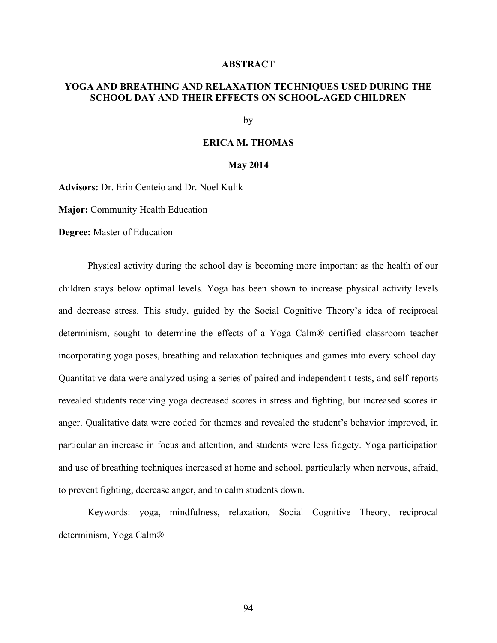#### **ABSTRACT**

# **YOGA AND BREATHING AND RELAXATION TECHNIQUES USED DURING THE SCHOOL DAY AND THEIR EFFECTS ON SCHOOL-AGED CHILDREN**

by

#### **ERICA M. THOMAS**

#### **May 2014**

**Advisors:** Dr. Erin Centeio and Dr. Noel Kulik

**Major:** Community Health Education

**Degree:** Master of Education

Physical activity during the school day is becoming more important as the health of our children stays below optimal levels. Yoga has been shown to increase physical activity levels and decrease stress. This study, guided by the Social Cognitive Theory's idea of reciprocal determinism, sought to determine the effects of a Yoga Calm® certified classroom teacher incorporating yoga poses, breathing and relaxation techniques and games into every school day. Quantitative data were analyzed using a series of paired and independent t-tests, and self-reports revealed students receiving yoga decreased scores in stress and fighting, but increased scores in anger. Qualitative data were coded for themes and revealed the student's behavior improved, in particular an increase in focus and attention, and students were less fidgety. Yoga participation and use of breathing techniques increased at home and school, particularly when nervous, afraid, to prevent fighting, decrease anger, and to calm students down.

Keywords: yoga, mindfulness, relaxation, Social Cognitive Theory, reciprocal determinism, Yoga Calm®

94